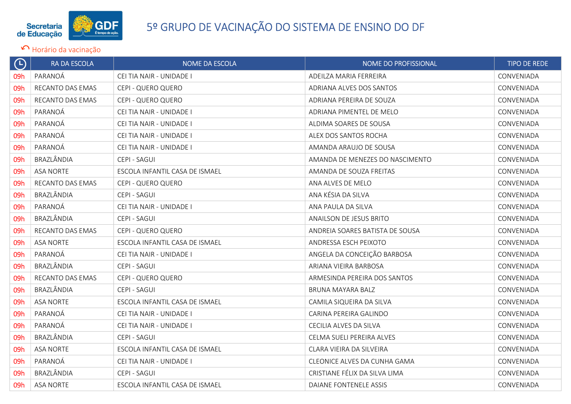

| $\bigoplus$ | RA DA ESCOLA            | NOME DA ESCOLA                 | NOME DO PROFISSIONAL            | <b>TIPO DE REDE</b> |
|-------------|-------------------------|--------------------------------|---------------------------------|---------------------|
| 09h         | PARANOÁ                 | CEI TIA NAIR - UNIDADE I       | ADEILZA MARIA FERREIRA          | CONVENIADA          |
| 09h         | RECANTO DAS EMAS        | CEPI - QUERO QUERO             | ADRIANA ALVES DOS SANTOS        | CONVENIADA          |
| 09h         | RECANTO DAS EMAS        | CEPI - QUERO QUERO             | ADRIANA PEREIRA DE SOUZA        | CONVENIADA          |
| 09h         | PARANOÁ                 | CEI TIA NAIR - UNIDADE I       | ADRIANA PIMENTEL DE MELO        | CONVENIADA          |
| 09h         | PARANOÁ                 | CEI TIA NAIR - UNIDADE I       | ALDIMA SOARES DE SOUSA          | CONVENIADA          |
| 09h         | PARANOÁ                 | CEI TIA NAIR - UNIDADE I       | ALEX DOS SANTOS ROCHA           | CONVENIADA          |
| 09h         | PARANOÁ                 | CEI TIA NAIR - UNIDADE I       | AMANDA ARAUJO DE SOUSA          | CONVENIADA          |
| 09h         | BRAZLÂNDIA              | CEPI - SAGUI                   | AMANDA DE MENEZES DO NASCIMENTO | CONVENIADA          |
| 09h         | <b>ASA NORTE</b>        | ESCOLA INFANTIL CASA DE ISMAEL | AMANDA DE SOUZA FREITAS         | CONVENIADA          |
| 09h         | <b>RECANTO DAS EMAS</b> | CEPI - QUERO QUERO             | ANA ALVES DE MELO               | CONVENIADA          |
| 09h         | BRAZLÂNDIA              | CEPI - SAGUI                   | ANA KÉSIA DA SILVA              | CONVENIADA          |
| 09h         | PARANOÁ                 | CEI TIA NAIR - UNIDADE I       | ANA PAULA DA SILVA              | CONVENIADA          |
| 09h         | BRAZLÂNDIA              | CEPI - SAGUI                   | ANAILSON DE JESUS BRITO         | CONVENIADA          |
| 09h         | RECANTO DAS EMAS        | CEPI - QUERO QUERO             | ANDREIA SOARES BATISTA DE SOUSA | CONVENIADA          |
| 09h         | <b>ASA NORTE</b>        | ESCOLA INFANTIL CASA DE ISMAEL | ANDRESSA ESCH PEIXOTO           | CONVENIADA          |
| 09h         | PARANOÁ                 | CEI TIA NAIR - UNIDADE I       | ANGELA DA CONCEIÇÃO BARBOSA     | CONVENIADA          |
| 09h         | BRAZLÂNDIA              | CEPI - SAGUI                   | ARIANA VIEIRA BARBOSA           | CONVENIADA          |
| 09h         | RECANTO DAS EMAS        | CEPI - QUERO QUERO             | ARMESINDA PEREIRA DOS SANTOS    | CONVENIADA          |
| 09h         | BRAZLÂNDIA              | CEPI - SAGUI                   | BRUNA MAYARA BALZ               | CONVENIADA          |
| 09h         | <b>ASA NORTE</b>        | ESCOLA INFANTIL CASA DE ISMAEL | CAMILA SIQUEIRA DA SILVA        | CONVENIADA          |
| 09h         | PARANOÁ                 | CEI TIA NAIR - UNIDADE I       | CARINA PEREIRA GALINDO          | CONVENIADA          |
| 09h         | PARANOÁ                 | CEI TIA NAIR - UNIDADE I       | CECILIA ALVES DA SILVA          | CONVENIADA          |
| 09h         | BRAZLÂNDIA              | CEPI - SAGUI                   | CELMA SUELI PEREIRA ALVES       | CONVENIADA          |
| 09h         | <b>ASA NORTE</b>        | ESCOLA INFANTIL CASA DE ISMAEL | CLARA VIEIRA DA SILVEIRA        | CONVENIADA          |
| 09h         | PARANOÁ                 | CEI TIA NAIR - UNIDADE I       | CLEONICE ALVES DA CUNHA GAMA    | CONVENIADA          |
| 09h         | BRAZLÂNDIA              | CEPI - SAGUI                   | CRISTIANE FÉLIX DA SILVA LIMA   | CONVENIADA          |
| 09h         | <b>ASA NORTE</b>        | ESCOLA INFANTIL CASA DE ISMAEL | DAIANE FONTENELE ASSIS          | CONVENIADA          |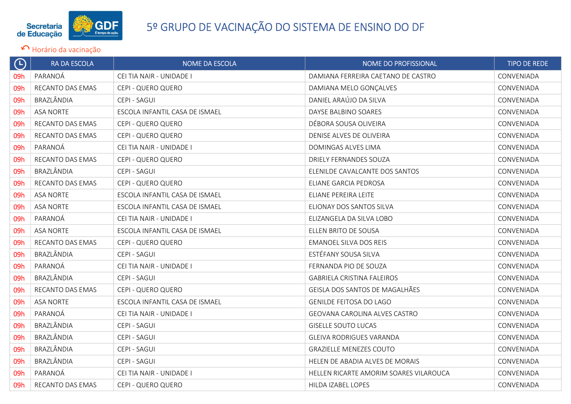

| $\bigoplus$ | RA DA ESCOLA     | NOME DA ESCOLA                 | NOME DO PROFISSIONAL                   | <b>TIPO DE REDE</b> |
|-------------|------------------|--------------------------------|----------------------------------------|---------------------|
| 09h         | PARANOÁ          | CEI TIA NAIR - UNIDADE I       | DAMIANA FERREIRA CAETANO DE CASTRO     | CONVENIADA          |
| 09h         | RECANTO DAS EMAS | CEPI - QUERO QUERO             | DAMIANA MELO GONÇALVES                 | CONVENIADA          |
| 09h         | BRAZLÂNDIA       | CEPI - SAGUI                   | DANIEL ARAÚJO DA SILVA                 | CONVENIADA          |
| 09h         | <b>ASA NORTE</b> | ESCOLA INFANTIL CASA DE ISMAEL | DAYSE BALBINO SOARES                   | CONVENIADA          |
| 09h         | RECANTO DAS EMAS | CEPI - QUERO QUERO             | DÉBORA SOUSA OLIVEIRA                  | CONVENIADA          |
| 09h         | RECANTO DAS EMAS | CEPI - QUERO QUERO             | DENISE ALVES DE OLIVEIRA               | CONVENIADA          |
| 09h         | PARANOÁ          | CEI TIA NAIR - UNIDADE I       | DOMINGAS ALVES LIMA                    | CONVENIADA          |
| 09h         | RECANTO DAS EMAS | CEPI - QUERO QUERO             | DRIELY FERNANDES SOUZA                 | CONVENIADA          |
| 09h         | BRAZLÂNDIA       | CEPI - SAGUI                   | ELENILDE CAVALCANTE DOS SANTOS         | CONVENIADA          |
| 09h         | RECANTO DAS EMAS | CEPI - QUERO QUERO             | ELIANE GARCIA PEDROSA                  | CONVENIADA          |
| 09h         | <b>ASA NORTE</b> | ESCOLA INFANTIL CASA DE ISMAEL | ELIANE PEREIRA LEITE                   | CONVENIADA          |
| 09h         | <b>ASA NORTE</b> | ESCOLA INFANTIL CASA DE ISMAEL | ELIONAY DOS SANTOS SILVA               | CONVENIADA          |
| 09h         | PARANOÁ          | CEI TIA NAIR - UNIDADE I       | ELIZANGELA DA SILVA LOBO               | CONVENIADA          |
| 09h         | <b>ASA NORTE</b> | ESCOLA INFANTIL CASA DE ISMAEL | ELLEN BRITO DE SOUSA                   | CONVENIADA          |
| 09h         | RECANTO DAS EMAS | CEPI - QUERO QUERO             | <b>EMANOEL SILVA DOS REIS</b>          | CONVENIADA          |
| 09h         | BRAZLÂNDIA       | CEPI - SAGUI                   | ESTÉFANY SOUSA SILVA                   | CONVENIADA          |
| 09h         | PARANOÁ          | CEI TIA NAIR - UNIDADE I       | FERNANDA PIO DE SOUZA                  | CONVENIADA          |
| 09h         | BRAZLÂNDIA       | CEPI - SAGUI                   | <b>GABRIELA CRISTINA FALEIROS</b>      | CONVENIADA          |
| 09h         | RECANTO DAS EMAS | CEPI - QUERO QUERO             | GEISLA DOS SANTOS DE MAGALHÃES         | CONVENIADA          |
| 09h         | <b>ASA NORTE</b> | ESCOLA INFANTIL CASA DE ISMAEL | <b>GENILDE FEITOSA DO LAGO</b>         | CONVENIADA          |
| 09h         | PARANOÁ          | CEI TIA NAIR - UNIDADE I       | GEOVANA CAROLINA ALVES CASTRO          | CONVENIADA          |
| 09h         | BRAZLÂNDIA       | CEPI - SAGUI                   | <b>GISELLE SOUTO LUCAS</b>             | CONVENIADA          |
| 09h         | BRAZLÂNDIA       | CEPI - SAGUI                   | <b>GLEIVA RODRIGUES VARANDA</b>        | CONVENIADA          |
| 09h         | BRAZLÂNDIA       | CEPI - SAGUI                   | <b>GRAZIELLE MENEZES COUTO</b>         | CONVENIADA          |
| 09h         | BRAZLÂNDIA       | CEPI - SAGUI                   | HELEN DE ABADIA ALVES DE MORAIS        | CONVENIADA          |
| 09h         | PARANOÁ          | CEI TIA NAIR - UNIDADE I       | HELLEN RICARTE AMORIM SOARES VILAROUCA | CONVENIADA          |
| 09h         | RECANTO DAS EMAS | CEPI - QUERO QUERO             | HILDA IZABEL LOPES                     | CONVENIADA          |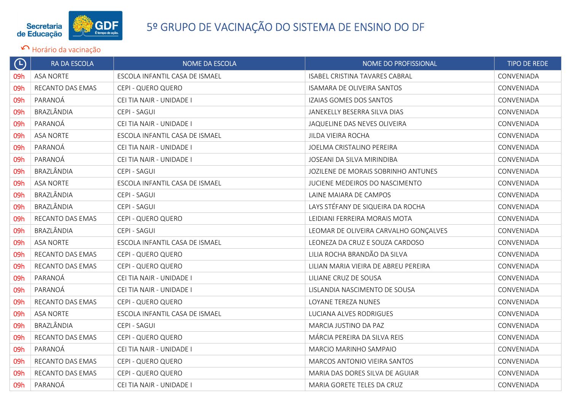

| $\bigoplus$ | RA DA ESCOLA     | <b>NOME DA ESCOLA</b>          | NOME DO PROFISSIONAL                  | <b>TIPO DE REDE</b> |
|-------------|------------------|--------------------------------|---------------------------------------|---------------------|
| 09h         | <b>ASA NORTE</b> | ESCOLA INFANTIL CASA DE ISMAEL | ISABEL CRISTINA TAVARES CABRAL        | CONVENIADA          |
| 09h         | RECANTO DAS EMAS | CEPI - QUERO QUERO             | ISAMARA DE OLIVEIRA SANTOS            | CONVENIADA          |
| 09h         | PARANOÁ          | CEI TIA NAIR - UNIDADE I       | IZAIAS GOMES DOS SANTOS               | CONVENIADA          |
| 09h         | BRAZLÂNDIA       | CEPI - SAGUI                   | JANEKELLY BESERRA SILVA DIAS          | CONVENIADA          |
| 09h         | PARANOÁ          | CEI TIA NAIR - UNIDADE I       | JAQUELINE DAS NEVES OLIVEIRA          | CONVENIADA          |
| 09h         | <b>ASA NORTE</b> | ESCOLA INFANTIL CASA DE ISMAEL | JILDA VIEIRA ROCHA                    | CONVENIADA          |
| 09h         | PARANOÁ          | CEI TIA NAIR - UNIDADE I       | JOELMA CRISTALINO PEREIRA             | CONVENIADA          |
| 09h         | PARANOÁ          | CEI TIA NAIR - UNIDADE I       | JOSEANI DA SILVA MIRINDIBA            | CONVENIADA          |
| 09h         | BRAZLÂNDIA       | CEPI - SAGUI                   | JOZILENE DE MORAIS SOBRINHO ANTUNES   | CONVENIADA          |
| 09h         | <b>ASA NORTE</b> | ESCOLA INFANTIL CASA DE ISMAEL | JUCIENE MEDEIROS DO NASCIMENTO        | CONVENIADA          |
| 09h         | BRAZLÂNDIA       | CEPI - SAGUI                   | LAINE MAIARA DE CAMPOS                | CONVENIADA          |
| 09h         | BRAZLÂNDIA       | CEPI - SAGUI                   | LAYS STÉFANY DE SIQUEIRA DA ROCHA     | CONVENIADA          |
| 09h         | RECANTO DAS EMAS | CEPI - QUERO QUERO             | LEIDIANI FERREIRA MORAIS MOTA         | CONVENIADA          |
| 09h         | BRAZLÂNDIA       | CEPI - SAGUI                   | LEOMAR DE OLIVEIRA CARVALHO GONÇALVES | CONVENIADA          |
| 09h         | <b>ASA NORTE</b> | ESCOLA INFANTIL CASA DE ISMAEL | LEONEZA DA CRUZ E SOUZA CARDOSO       | CONVENIADA          |
| 09h         | RECANTO DAS EMAS | CEPI - QUERO QUERO             | LILIA ROCHA BRANDÃO DA SILVA          | CONVENIADA          |
| 09h         | RECANTO DAS EMAS | CEPI - QUERO QUERO             | LILIAN MARIA VIEIRA DE ABREU PEREIRA  | CONVENIADA          |
| 09h         | PARANOÁ          | CEI TIA NAIR - UNIDADE I       | LILIANE CRUZ DE SOUSA                 | CONVENIADA          |
| 09h         | PARANOÁ          | CEI TIA NAIR - UNIDADE I       | LISLANDIA NASCIMENTO DE SOUSA         | CONVENIADA          |
| 09h         | RECANTO DAS EMAS | CEPI - QUERO QUERO             | LOYANE TEREZA NUNES                   | CONVENIADA          |
| 09h         | <b>ASA NORTE</b> | ESCOLA INFANTIL CASA DE ISMAEL | LUCIANA ALVES RODRIGUES               | CONVENIADA          |
| 09h         | BRAZLÂNDIA       | CEPI - SAGUI                   | MARCIA JUSTINO DA PAZ                 | CONVENIADA          |
| 09h         | RECANTO DAS EMAS | CEPI - QUERO QUERO             | MÁRCIA PEREIRA DA SILVA REIS          | CONVENIADA          |
| 09h         | PARANOÁ          | CEI TIA NAIR - UNIDADE I       | MARCIO MARINHO SAMPAIO                | CONVENIADA          |
| 09h         | RECANTO DAS EMAS | CEPI - QUERO QUERO             | MARCOS ANTONIO VIEIRA SANTOS          | CONVENIADA          |
| 09h         | RECANTO DAS EMAS | CEPI - QUERO QUERO             | MARIA DAS DORES SILVA DE AGUIAR       | CONVENIADA          |
| 09h         | PARANOÁ          | CEI TIA NAIR - UNIDADE I       | MARIA GORETE TELES DA CRUZ            | CONVENIADA          |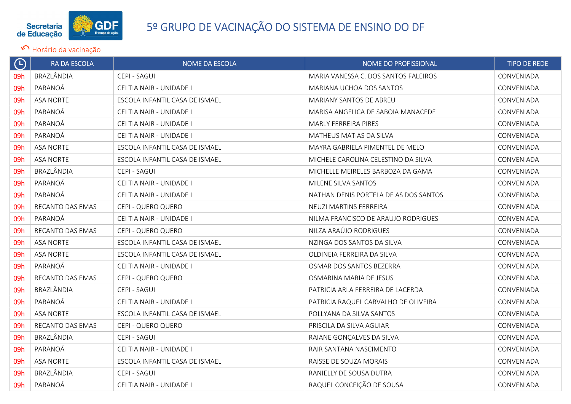

| $\Theta$ | RA DA ESCOLA     | NOME DA ESCOLA                 | NOME DO PROFISSIONAL                  | <b>TIPO DE REDE</b> |
|----------|------------------|--------------------------------|---------------------------------------|---------------------|
| 09h      | BRAZLÂNDIA       | CEPI - SAGUI                   | MARIA VANESSA C. DOS SANTOS FALEIROS  | CONVENIADA          |
| 09h      | PARANOÁ          | CEI TIA NAIR - UNIDADE I       | MARIANA UCHOA DOS SANTOS              | CONVENIADA          |
| 09h      | <b>ASA NORTE</b> | ESCOLA INFANTIL CASA DE ISMAEL | MARIANY SANTOS DE ABREU               | CONVENIADA          |
| 09h      | PARANOÁ          | CEI TIA NAIR - UNIDADE I       | MARISA ANGELICA DE SABOIA MANACEDE    | CONVENIADA          |
| 09h      | PARANOÁ          | CEI TIA NAIR - UNIDADE I       | MARLY FERREIRA PIRES                  | CONVENIADA          |
| 09h      | PARANOÁ          | CEI TIA NAIR - UNIDADE I       | MATHEUS MATIAS DA SILVA               | CONVENIADA          |
| 09h      | <b>ASA NORTE</b> | ESCOLA INFANTIL CASA DE ISMAEL | MAYRA GABRIELA PIMENTEL DE MELO       | CONVENIADA          |
| 09h      | <b>ASA NORTE</b> | ESCOLA INFANTIL CASA DE ISMAEL | MICHELE CAROLINA CELESTINO DA SILVA   | CONVENIADA          |
| 09h      | BRAZLÂNDIA       | CEPI - SAGUI                   | MICHELLE MEIRELES BARBOZA DA GAMA     | CONVENIADA          |
| 09h      | PARANOÁ          | CEI TIA NAIR - UNIDADE I       | MILENE SILVA SANTOS                   | CONVENIADA          |
| 09h      | PARANOÁ          | CEI TIA NAIR - UNIDADE I       | NATHAN DENIS PORTELA DE AS DOS SANTOS | CONVENIADA          |
| 09h      | RECANTO DAS EMAS | CEPI - QUERO QUERO             | NEUZI MARTINS FERREIRA                | CONVENIADA          |
| 09h      | PARANOÁ          | CEI TIA NAIR - UNIDADE I       | NILMA FRANCISCO DE ARAUJO RODRIGUES   | CONVENIADA          |
| 09h      | RECANTO DAS EMAS | CEPI - QUERO QUERO             | NILZA ARAÚJO RODRIGUES                | CONVENIADA          |
| 09h      | ASA NORTE        | ESCOLA INFANTIL CASA DE ISMAEL | NZINGA DOS SANTOS DA SILVA            | CONVENIADA          |
| 09h      | <b>ASA NORTE</b> | ESCOLA INFANTIL CASA DE ISMAEL | OLDINEIA FERREIRA DA SILVA            | CONVENIADA          |
| 09h      | PARANOÁ          | CEI TIA NAIR - UNIDADE I       | OSMAR DOS SANTOS BEZERRA              | CONVENIADA          |
| 09h      | RECANTO DAS EMAS | CEPI - QUERO QUERO             | OSMARINA MARIA DE JESUS               | CONVENIADA          |
| 09h      | BRAZLÂNDIA       | CEPI - SAGUI                   | PATRICIA ARLA FERREIRA DE LACERDA     | CONVENIADA          |
| 09h      | PARANOÁ          | CEI TIA NAIR - UNIDADE I       | PATRICIA RAQUEL CARVALHO DE OLIVEIRA  | CONVENIADA          |
| 09h      | <b>ASA NORTE</b> | ESCOLA INFANTIL CASA DE ISMAEL | POLLYANA DA SILVA SANTOS              | CONVENIADA          |
| 09h      | RECANTO DAS EMAS | CEPI - QUERO QUERO             | PRISCILA DA SILVA AGUIAR              | CONVENIADA          |
| 09h      | BRAZLÂNDIA       | CEPI - SAGUI                   | RAIANE GONÇALVES DA SILVA             | CONVENIADA          |
| 09h      | PARANOÁ          | CEI TIA NAIR - UNIDADE I       | RAIR SANTANA NASCIMENTO               | CONVENIADA          |
| 09h      | <b>ASA NORTE</b> | ESCOLA INFANTIL CASA DE ISMAEL | RAISSE DE SOUZA MORAIS                | CONVENIADA          |
| 09h      | BRAZLÂNDIA       | CEPI - SAGUI                   | RANIELLY DE SOUSA DUTRA               | CONVENIADA          |
| 09h      | PARANOÁ          | CEI TIA NAIR - UNIDADE I       | RAQUEL CONCEIÇÃO DE SOUSA             | CONVENIADA          |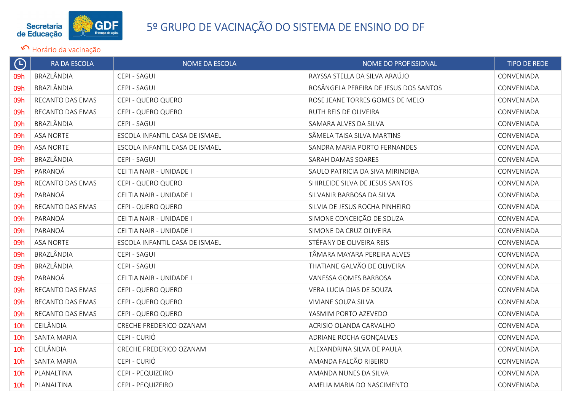

| $\Theta$        | RA DA ESCOLA       | NOME DA ESCOLA                 | NOME DO PROFISSIONAL                  | <b>TIPO DE REDE</b> |
|-----------------|--------------------|--------------------------------|---------------------------------------|---------------------|
| 09h             | BRAZLÂNDIA         | CEPI - SAGUI                   | RAYSSA STELLA DA SILVA ARAÚJO         | CONVENIADA          |
| 09h             | BRAZLÂNDIA         | CEPI - SAGUI                   | ROSÂNGELA PEREIRA DE JESUS DOS SANTOS | CONVENIADA          |
| 09h             | RECANTO DAS EMAS   | CEPI - QUERO QUERO             | ROSE JEANE TORRES GOMES DE MELO       | CONVENIADA          |
| 09h             | RECANTO DAS EMAS   | CEPI - QUERO QUERO             | RUTH REIS DE OLIVEIRA                 | CONVENIADA          |
| 09h             | BRAZLÂNDIA         | CEPI - SAGUI                   | SAMARA ALVES DA SILVA                 | CONVENIADA          |
| 09h             | <b>ASA NORTE</b>   | ESCOLA INFANTIL CASA DE ISMAEL | SÂMELA TAISA SILVA MARTINS            | CONVENIADA          |
| 09h             | <b>ASA NORTE</b>   | ESCOLA INFANTIL CASA DE ISMAEL | SANDRA MARIA PORTO FERNANDES          | CONVENIADA          |
| 09h             | BRAZLÂNDIA         | CEPI - SAGUI                   | SARAH DAMAS SOARES                    | CONVENIADA          |
| 09h             | PARANOÁ            | CEI TIA NAIR - UNIDADE I       | SAULO PATRICIA DA SIVA MIRINDIBA      | CONVENIADA          |
| 09h             | RECANTO DAS EMAS   | CEPI - QUERO QUERO             | SHIRLEIDE SILVA DE JESUS SANTOS       | CONVENIADA          |
| 09h             | PARANOÁ            | CEI TIA NAIR - UNIDADE I       | SILVANIR BARBOSA DA SILVA             | CONVENIADA          |
| 09h             | RECANTO DAS EMAS   | CEPI - QUERO QUERO             | SILVIA DE JESUS ROCHA PINHEIRO        | CONVENIADA          |
| 09h             | PARANOÁ            | CEI TIA NAIR - UNIDADE I       | SIMONE CONCEIÇÃO DE SOUZA             | CONVENIADA          |
| 09h             | PARANOÁ            | CEI TIA NAIR - UNIDADE I       | SIMONE DA CRUZ OLIVEIRA               | CONVENIADA          |
| 09h             | <b>ASA NORTE</b>   | ESCOLA INFANTIL CASA DE ISMAEL | STÉFANY DE OLIVEIRA REIS              | CONVENIADA          |
| 09h             | BRAZLÂNDIA         | CEPI - SAGUI                   | TÂMARA MAYARA PEREIRA ALVES           | CONVENIADA          |
| 09h             | BRAZLÂNDIA         | CEPI - SAGUI                   | THATIANE GALVÃO DE OLIVEIRA           | CONVENIADA          |
| 09h             | PARANOÁ            | CEI TIA NAIR - UNIDADE I       | VANESSA GOMES BARBOSA                 | CONVENIADA          |
| 09h             | RECANTO DAS EMAS   | CEPI - QUERO QUERO             | VERA LUCIA DIAS DE SOUZA              | CONVENIADA          |
| 09h             | RECANTO DAS EMAS   | CEPI - QUERO QUERO             | VIVIANE SOUZA SILVA                   | CONVENIADA          |
| 09h             | RECANTO DAS EMAS   | CEPI - QUERO QUERO             | YASMIM PORTO AZEVEDO                  | CONVENIADA          |
| 10 <sub>h</sub> | CEILÂNDIA          | CRECHE FREDERICO OZANAM        | ACRISIO OLANDA CARVALHO               | CONVENIADA          |
| 10 <sub>h</sub> | <b>SANTA MARIA</b> | CEPI - CURIÓ                   | ADRIANE ROCHA GONÇALVES               | CONVENIADA          |
| 10 <sub>h</sub> | CEILÂNDIA          | CRECHE FREDERICO OZANAM        | ALEXANDRINA SILVA DE PAULA            | CONVENIADA          |
| 10 <sub>h</sub> | <b>SANTA MARIA</b> | CEPI - CURIÓ                   | AMANDA FALCÃO RIBEIRO                 | CONVENIADA          |
| 10 <sub>h</sub> | PLANALTINA         | CEPI - PEQUIZEIRO              | AMANDA NUNES DA SILVA                 | CONVENIADA          |
| 10 <sub>h</sub> | PLANALTINA         | CEPI - PEQUIZEIRO              | AMELIA MARIA DO NASCIMENTO            | CONVENIADA          |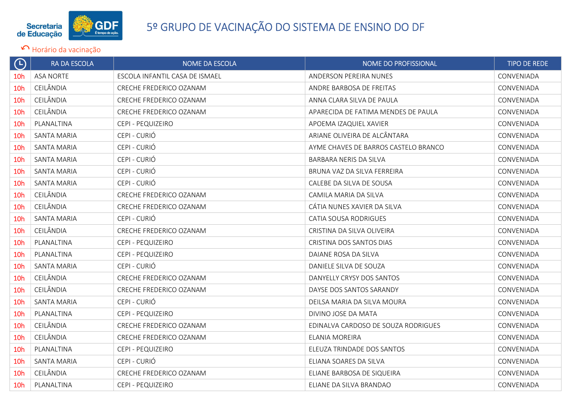

| $\left(\mathsf{L}\right)$ | RA DA ESCOLA       | <b>NOME DA ESCOLA</b>          | NOME DO PROFISSIONAL                 | <b>TIPO DE REDE</b> |
|---------------------------|--------------------|--------------------------------|--------------------------------------|---------------------|
| 10 <sub>h</sub>           | <b>ASA NORTE</b>   | ESCOLA INFANTIL CASA DE ISMAEL | <b>ANDERSON PEREIRA NUNES</b>        | CONVENIADA          |
| 10 <sub>h</sub>           | CEILÂNDIA          | CRECHE FREDERICO OZANAM        | ANDRE BARBOSA DE FREITAS             | CONVENIADA          |
| 10 <sub>h</sub>           | CEILÂNDIA          | CRECHE FREDERICO OZANAM        | ANNA CLARA SILVA DE PAULA            | CONVENIADA          |
| 10 <sub>h</sub>           | CEILÂNDIA          | CRECHE FREDERICO OZANAM        | APARECIDA DE FATIMA MENDES DE PAULA  | CONVENIADA          |
| 10 <sub>h</sub>           | PLANALTINA         | CEPI - PEQUIZEIRO              | APOEMA IZAQUIEL XAVIER               | CONVENIADA          |
| 10 <sub>h</sub>           | SANTA MARIA        | CEPI - CURIÓ                   | ARIANE OLIVEIRA DE ALCÂNTARA         | CONVENIADA          |
| 10 <sub>h</sub>           | SANTA MARIA        | CEPI - CURIÓ                   | AYME CHAVES DE BARROS CASTELO BRANCO | CONVENIADA          |
| 10 <sub>h</sub>           | SANTA MARIA        | CEPI - CURIÓ                   | BARBARA NERIS DA SILVA               | CONVENIADA          |
| 10 <sub>h</sub>           | SANTA MARIA        | CEPI - CURIÓ                   | BRUNA VAZ DA SILVA FERREIRA          | CONVENIADA          |
| 10 <sub>h</sub>           | SANTA MARIA        | CEPI - CURIÓ                   | CALEBE DA SILVA DE SOUSA             | CONVENIADA          |
| 10 <sub>h</sub>           | CEILÂNDIA          | CRECHE FREDERICO OZANAM        | CAMILA MARIA DA SILVA                | CONVENIADA          |
| 10 <sub>h</sub>           | CEILÂNDIA          | CRECHE FREDERICO OZANAM        | CATIA NUNES XAVIER DA SILVA          | CONVENIADA          |
| 10 <sub>h</sub>           | SANTA MARIA        | CEPI - CURIÓ                   | <b>CATIA SOUSA RODRIGUES</b>         | CONVENIADA          |
| 10 <sub>h</sub>           | CEILÂNDIA          | CRECHE FREDERICO OZANAM        | CRISTINA DA SILVA OLIVEIRA           | CONVENIADA          |
| 10 <sub>h</sub>           | PLANALTINA         | CEPI - PEQUIZEIRO              | CRISTINA DOS SANTOS DIAS             | CONVENIADA          |
| 10 <sub>h</sub>           | PLANALTINA         | CEPI - PEQUIZEIRO              | DAIANE ROSA DA SILVA                 | CONVENIADA          |
| 10 <sub>h</sub>           | SANTA MARIA        | CEPI - CURIÓ                   | DANIELE SILVA DE SOUZA               | CONVENIADA          |
| 10 <sub>h</sub>           | CEILÂNDIA          | CRECHE FREDERICO OZANAM        | DANYELLY CRYSY DOS SANTOS            | CONVENIADA          |
| 10 <sub>h</sub>           | CEILÂNDIA          | CRECHE FREDERICO OZANAM        | DAYSE DOS SANTOS SARANDY             | CONVENIADA          |
| 10h                       | SANTA MARIA        | CEPI - CURIÓ                   | DEILSA MARIA DA SILVA MOURA          | CONVENIADA          |
| 10 <sub>h</sub>           | PLANALTINA         | CEPI - PEQUIZEIRO              | DIVINO JOSE DA MATA                  | CONVENIADA          |
| 10 <sub>h</sub>           | CEILÂNDIA          | CRECHE FREDERICO OZANAM        | EDINALVA CARDOSO DE SOUZA RODRIGUES  | CONVENIADA          |
| 10 <sub>h</sub>           | CEILÂNDIA          | CRECHE FREDERICO OZANAM        | ELANIA MOREIRA                       | CONVENIADA          |
| 10 <sub>h</sub>           | PLANALTINA         | CEPI - PEQUIZEIRO              | ELEUZA TRINDADE DOS SANTOS           | CONVENIADA          |
| 10 <sub>h</sub>           | <b>SANTA MARIA</b> | CEPI - CURIÓ                   | ELIANA SOARES DA SILVA               | CONVENIADA          |
| 10h                       | CEILÂNDIA          | CRECHE FREDERICO OZANAM        | ELIANE BARBOSA DE SIQUEIRA           | CONVENIADA          |
| 10 <sub>h</sub>           | PLANALTINA         | CEPI - PEQUIZEIRO              | ELIANE DA SILVA BRANDAO              | CONVENIADA          |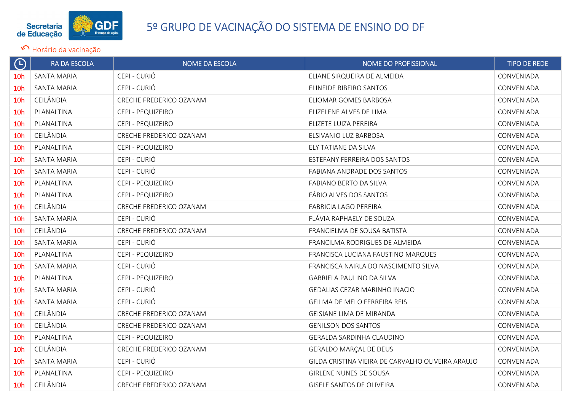

### Secretaria de Educação San Estados de Ensino de Ensino de Ensino DO DF<br>de Educação de Educação Sistema de Ensino DO DF

| $\Theta$        | RA DA ESCOLA       | NOME DA ESCOLA          | NOME DO PROFISSIONAL                              | <b>TIPO DE REDE</b> |
|-----------------|--------------------|-------------------------|---------------------------------------------------|---------------------|
| 10 <sub>h</sub> | <b>SANTA MARIA</b> | CEPI - CURIÓ            | ELIANE SIRQUEIRA DE ALMEIDA                       | CONVENIADA          |
| 10 <sub>h</sub> | <b>SANTA MARIA</b> | CEPI - CURIÓ            | ELINEIDE RIBEIRO SANTOS                           | CONVENIADA          |
| 10 <sub>h</sub> | CEILÂNDIA          | CRECHE FREDERICO OZANAM | ELIOMAR GOMES BARBOSA                             | CONVENIADA          |
| 10 <sub>h</sub> | PLANALTINA         | CEPI - PEQUIZEIRO       | ELIZELENE ALVES DE LIMA                           | CONVENIADA          |
| 10h             | PLANALTINA         | CEPI - PEQUIZEIRO       | ELIZETE LUIZA PEREIRA                             | CONVENIADA          |
| 10 <sub>h</sub> | CEILÂNDIA          | CRECHE FREDERICO OZANAM | ELSIVANIO LUZ BARBOSA                             | CONVENIADA          |
| 10 <sub>h</sub> | PLANALTINA         | CEPI - PEQUIZEIRO       | ELY TATIANE DA SILVA                              | CONVENIADA          |
| 10 <sub>h</sub> | <b>SANTA MARIA</b> | CEPI - CURIÓ            | ESTEFANY FERREIRA DOS SANTOS                      | CONVENIADA          |
| 10 <sub>h</sub> | SANTA MARIA        | CEPI - CURIÓ            | FABIANA ANDRADE DOS SANTOS                        | CONVENIADA          |
| 10 <sub>h</sub> | PLANALTINA         | CEPI - PEQUIZEIRO       | FABIANO BERTO DA SILVA                            | CONVENIADA          |
| 10 <sub>h</sub> | PLANALTINA         | CEPI - PEQUIZEIRO       | FÁBIO ALVES DOS SANTOS                            | CONVENIADA          |
| 10 <sub>h</sub> | CEILÂNDIA          | CRECHE FREDERICO OZANAM | FABRICIA LAGO PEREIRA                             | CONVENIADA          |
| 10 <sub>h</sub> | <b>SANTA MARIA</b> | CEPI - CURIÓ            | FLÁVIA RAPHAELY DE SOUZA                          | CONVENIADA          |
| 10 <sub>h</sub> | CEILÂNDIA          | CRECHE FREDERICO OZANAM | FRANCIELMA DE SOUSA BATISTA                       | CONVENIADA          |
| 10 <sub>h</sub> | SANTA MARIA        | CEPI - CURIÓ            | FRANCILMA RODRIGUES DE ALMEIDA                    | CONVENIADA          |
| 10 <sub>h</sub> | PLANALTINA         | CEPI - PEQUIZEIRO       | FRANCISCA LUCIANA FAUSTINO MARQUES                | CONVENIADA          |
| 10 <sub>h</sub> | <b>SANTA MARIA</b> | CEPI - CURIÓ            | FRANCISCA NAIRLA DO NASCIMENTO SILVA              | CONVENIADA          |
| 10 <sub>h</sub> | PLANALTINA         | CEPI - PEQUIZEIRO       | GABRIELA PAULINO DA SILVA                         | CONVENIADA          |
| 10 <sub>h</sub> | <b>SANTA MARIA</b> | CEPI - CURIÓ            | GEDALIAS CEZAR MARINHO INACIO                     | CONVENIADA          |
| 10h             | SANTA MARIA        | CEPI - CURIÓ            | GEILMA DE MELO FERREIRA REIS                      | CONVENIADA          |
| 10 <sub>h</sub> | CEILÂNDIA          | CRECHE FREDERICO OZANAM | GEISIANE LIMA DE MIRANDA                          | CONVENIADA          |
| 10 <sub>h</sub> | CEILÂNDIA          | CRECHE FREDERICO OZANAM | <b>GENILSON DOS SANTOS</b>                        | CONVENIADA          |
| 10 <sub>h</sub> | PLANALTINA         | CEPI - PEQUIZEIRO       | GERALDA SARDINHA CLAUDINO                         | CONVENIADA          |
| 10 <sub>h</sub> | CEILÂNDIA          | CRECHE FREDERICO OZANAM | <b>GERALDO MARÇAL DE DEUS</b>                     | CONVENIADA          |
| 10 <sub>h</sub> | <b>SANTA MARIA</b> | CEPI - CURIÓ            | GILDA CRISTINA VIEIRA DE CARVALHO OLIVEIRA ARAUJO | CONVENIADA          |
| 10 <sub>h</sub> | PLANALTINA         | CEPI - PEQUIZEIRO       | <b>GIRLENE NUNES DE SOUSA</b>                     | CONVENIADA          |
| 10 <sub>h</sub> | CEILÂNDIA          | CRECHE FREDERICO OZANAM | GISELE SANTOS DE OLIVEIRA                         | CONVENIADA          |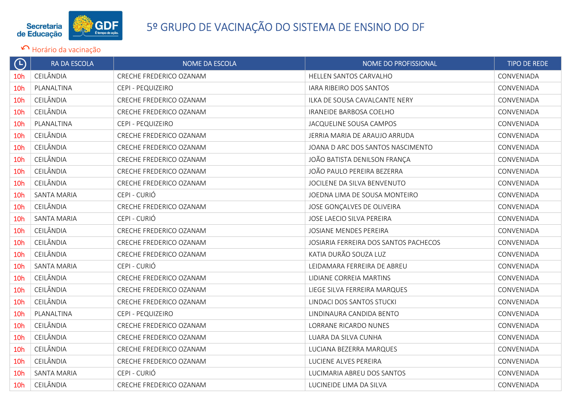

| $\Theta$        | <b>RA DA ESCOLA</b> | NOME DA ESCOLA          | NOME DO PROFISSIONAL                  | <b>TIPO DE REDE</b> |
|-----------------|---------------------|-------------------------|---------------------------------------|---------------------|
| 10 <sub>h</sub> | CEILÂNDIA           | CRECHE FREDERICO OZANAM | HELLEN SANTOS CARVALHO                | CONVENIADA          |
| 10 <sub>h</sub> | PLANALTINA          | CEPI - PEQUIZEIRO       | IARA RIBEIRO DOS SANTOS               | CONVENIADA          |
| 10 <sub>h</sub> | CEILÂNDIA           | CRECHE FREDERICO OZANAM | ILKA DE SOUSA CAVALCANTE NERY         | CONVENIADA          |
| 10 <sub>h</sub> | CEILÂNDIA           | CRECHE FREDERICO OZANAM | IRANEIDE BARBOSA COELHO               | CONVENIADA          |
| 10 <sub>h</sub> | PLANALTINA          | CEPI - PEQUIZEIRO       | JACQUELINE SOUSA CAMPOS               | CONVENIADA          |
| 10 <sub>h</sub> | CEILÂNDIA           | CRECHE FREDERICO OZANAM | JERRIA MARIA DE ARAUJO ARRUDA         | CONVENIADA          |
| 10 <sub>h</sub> | CEILÂNDIA           | CRECHE FREDERICO OZANAM | JOANA D ARC DOS SANTOS NASCIMENTO     | CONVENIADA          |
| 10 <sub>h</sub> | CEILÂNDIA           | CRECHE FREDERICO OZANAM | JOÃO BATISTA DENILSON FRANÇA          | CONVENIADA          |
| 10 <sub>h</sub> | CEILÂNDIA           | CRECHE FREDERICO OZANAM | JOÃO PAULO PEREIRA BEZERRA            | CONVENIADA          |
| 10 <sub>h</sub> | CEILÂNDIA           | CRECHE FREDERICO OZANAM | JOCILENE DA SILVA BENVENUTO           | CONVENIADA          |
| 10 <sub>h</sub> | <b>SANTA MARIA</b>  | CEPI - CURIÓ            | JOEDNA LIMA DE SOUSA MONTEIRO         | CONVENIADA          |
| 10 <sub>h</sub> | CEILÂNDIA           | CRECHE FREDERICO OZANAM | JOSE GONÇALVES DE OLIVEIRA            | CONVENIADA          |
| 10 <sub>h</sub> | <b>SANTA MARIA</b>  | CEPI - CURIÓ            | JOSE LAECIO SILVA PEREIRA             | CONVENIADA          |
| 10 <sub>h</sub> | CEILÂNDIA           | CRECHE FREDERICO OZANAM | JOSIANE MENDES PEREIRA                | CONVENIADA          |
| 10 <sub>h</sub> | CEILÂNDIA           | CRECHE FREDERICO OZANAM | JOSIARIA FERREIRA DOS SANTOS PACHECOS | CONVENIADA          |
| <b>10h</b>      | CEILÂNDIA           | CRECHE FREDERICO OZANAM | KATIA DURÃO SOUZA LUZ                 | CONVENIADA          |
| 10 <sub>h</sub> | <b>SANTA MARIA</b>  | CEPI - CURIÓ            | LEIDAMARA FERREIRA DE ABREU           | CONVENIADA          |
| 10 <sub>h</sub> | CEILÂNDIA           | CRECHE FREDERICO OZANAM | LIDIANE CORREIA MARTINS               | CONVENIADA          |
| 10 <sub>h</sub> | CEILÂNDIA           | CRECHE FREDERICO OZANAM | LIEGE SILVA FERREIRA MARQUES          | CONVENIADA          |
| 10 <sub>h</sub> | CEILÂNDIA           | CRECHE FREDERICO OZANAM | LINDACI DOS SANTOS STUCKI             | CONVENIADA          |
| 10 <sub>h</sub> | PLANALTINA          | CEPI - PEQUIZEIRO       | LINDINAURA CANDIDA BENTO              | CONVENIADA          |
| 10 <sub>h</sub> | CEILÂNDIA           | CRECHE FREDERICO OZANAM | LORRANE RICARDO NUNES                 | CONVENIADA          |
| 10 <sub>h</sub> | CEILÂNDIA           | CRECHE FREDERICO OZANAM | LUARA DA SILVA CUNHA                  | CONVENIADA          |
| 10 <sub>h</sub> | CEILÂNDIA           | CRECHE FREDERICO OZANAM | LUCIANA BEZERRA MARQUES               | CONVENIADA          |
| 10 <sub>h</sub> | CEILÂNDIA           | CRECHE FREDERICO OZANAM | LUCIENE ALVES PEREIRA                 | CONVENIADA          |
| 10 <sub>h</sub> | <b>SANTA MARIA</b>  | CEPI - CURIÓ            | LUCIMARIA ABREU DOS SANTOS            | CONVENIADA          |
| 10 <sub>h</sub> | CEILÂNDIA           | CRECHE FREDERICO OZANAM | LUCINEIDE LIMA DA SILVA               | CONVENIADA          |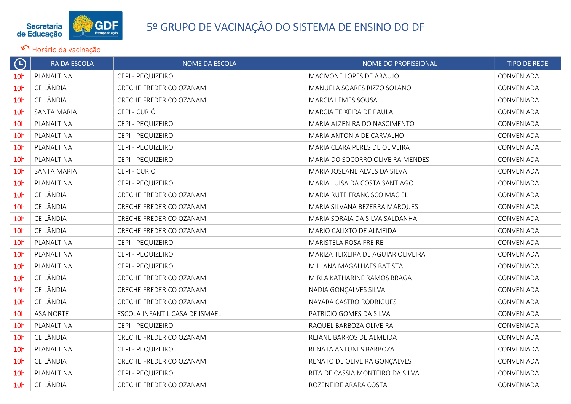

| $\bigoplus$     | RA DA ESCOLA       | NOME DA ESCOLA                 | NOME DO PROFISSIONAL               | <b>TIPO DE REDE</b> |
|-----------------|--------------------|--------------------------------|------------------------------------|---------------------|
| 10 <sub>h</sub> | PLANALTINA         | CEPI - PEQUIZEIRO              | MACIVONE LOPES DE ARAUJO           | CONVENIADA          |
| 10 <sub>h</sub> | CEILÂNDIA          | CRECHE FREDERICO OZANAM        | MANUELA SOARES RIZZO SOLANO        | CONVENIADA          |
| 10 <sub>h</sub> | CEILÂNDIA          | CRECHE FREDERICO OZANAM        | MARCIA LEMES SOUSA                 | CONVENIADA          |
| 10 <sub>h</sub> | <b>SANTA MARIA</b> | CEPI - CURIÓ                   | MARCIA TEIXEIRA DE PAULA           | CONVENIADA          |
| 10 <sub>h</sub> | PLANALTINA         | CEPI - PEQUIZEIRO              | MARIA ALZENIRA DO NASCIMENTO       | CONVENIADA          |
| 10 <sub>h</sub> | PLANALTINA         | CEPI - PEQUIZEIRO              | MARIA ANTONIA DE CARVALHO          | CONVENIADA          |
| 10 <sub>h</sub> | PLANALTINA         | CEPI - PEQUIZEIRO              | MARIA CLARA PERES DE OLIVEIRA      | CONVENIADA          |
| 10 <sub>h</sub> | PLANALTINA         | CEPI - PEQUIZEIRO              | MARIA DO SOCORRO OLIVEIRA MENDES   | CONVENIADA          |
| 10 <sub>h</sub> | <b>SANTA MARIA</b> | CEPI - CURIÓ                   | MARIA JOSEANE ALVES DA SILVA       | CONVENIADA          |
| 10 <sub>h</sub> | PLANALTINA         | CEPI - PEQUIZEIRO              | MARIA LUISA DA COSTA SANTIAGO      | CONVENIADA          |
| 10 <sub>h</sub> | CEILÂNDIA          | CRECHE FREDERICO OZANAM        | MARIA RUTE FRANCISCO MACIEL        | CONVENIADA          |
| 10 <sub>h</sub> | CEILÂNDIA          | CRECHE FREDERICO OZANAM        | MARIA SILVANA BEZERRA MARQUES      | CONVENIADA          |
| 10 <sub>h</sub> | CEILÂNDIA          | CRECHE FREDERICO OZANAM        | MARIA SORAIA DA SILVA SALDANHA     | CONVENIADA          |
| 10 <sub>h</sub> | CEILÂNDIA          | CRECHE FREDERICO OZANAM        | MARIO CALIXTO DE ALMEIDA           | CONVENIADA          |
| 10 <sub>h</sub> | PLANALTINA         | CEPI - PEQUIZEIRO              | MARISTELA ROSA FREIRE              | CONVENIADA          |
| 10 <sub>h</sub> | PLANALTINA         | CEPI - PEQUIZEIRO              | MARIZA TEIXEIRA DE AGUIAR OLIVEIRA | CONVENIADA          |
| 10 <sub>h</sub> | PLANALTINA         | CEPI - PEQUIZEIRO              | MILLANA MAGALHAES BATISTA          | CONVENIADA          |
| 10 <sub>h</sub> | CEILÂNDIA          | CRECHE FREDERICO OZANAM        | MIRLA KATHARINE RAMOS BRAGA        | CONVENIADA          |
| 10 <sub>h</sub> | CEILÂNDIA          | CRECHE FREDERICO OZANAM        | NADIA GONÇALVES SILVA              | CONVENIADA          |
| 10h             | CEILÂNDIA          | CRECHE FREDERICO OZANAM        | NAYARA CASTRO RODRIGUES            | CONVENIADA          |
| 10 <sub>h</sub> | <b>ASA NORTE</b>   | ESCOLA INFANTIL CASA DE ISMAEL | PATRICIO GOMES DA SILVA            | CONVENIADA          |
| 10 <sub>h</sub> | PLANALTINA         | CEPI - PEQUIZEIRO              | RAQUEL BARBOZA OLIVEIRA            | CONVENIADA          |
| 10h             | CEILÂNDIA          | CRECHE FREDERICO OZANAM        | REJANE BARROS DE ALMEIDA           | CONVENIADA          |
| 10 <sub>h</sub> | PLANALTINA         | CEPI - PEQUIZEIRO              | RENATA ANTUNES BARBOZA             | CONVENIADA          |
| 10 <sub>h</sub> | CEILÂNDIA          | CRECHE FREDERICO OZANAM        | RENATO DE OLIVEIRA GONÇALVES       | CONVENIADA          |
| 10h             | PLANALTINA         | CEPI - PEQUIZEIRO              | RITA DE CASSIA MONTEIRO DA SILVA   | CONVENIADA          |
| 10 <sub>h</sub> | CEILÂNDIA          | CRECHE FREDERICO OZANAM        | ROZENEIDE ARARA COSTA              | CONVENIADA          |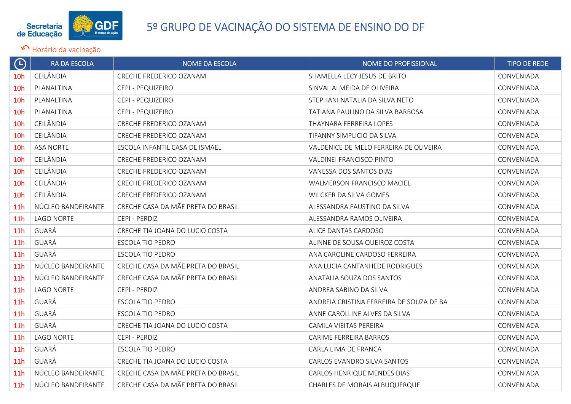

| $\bigoplus$     | RA DA ESCOLA       | NOME DA ESCOLA                     | <b>NOME DO PROFISSIONAL</b>              | <b>TIPO DE REDE</b> |
|-----------------|--------------------|------------------------------------|------------------------------------------|---------------------|
| 10 <sub>h</sub> | CEILÂNDIA          | CRECHE FREDERICO OZANAM            | SHAMELLA LECY JESUS DE BRITO             | CONVENIADA          |
| 10 <sub>h</sub> | PLANALTINA         | CEPI - PEQUIZEIRO                  | SINVAL ALMEIDA DE OLIVEIRA               | CONVENIADA          |
| 10h             | PLANALTINA         | CEPI - PEQUIZEIRO                  | STEPHANI NATALIA DA SILVA NETO           | CONVENIADA          |
| 10 <sub>h</sub> | PLANALTINA         | CEPI - PEQUIZEIRO                  | TATIANA PAULINO DA SILVA BARBOSA         | CONVENIADA          |
| 10h             | CEILÂNDIA          | CRECHE FREDERICO OZANAM            | THAYNARA FERREIRA LOPES                  | CONVENIADA          |
| 10 <sub>h</sub> | CEILÂNDIA          | CRECHE FREDERICO OZANAM            | TIFANNY SIMPLICIO DA SILVA               | CONVENIADA          |
| 10 <sub>h</sub> | <b>ASA NORTE</b>   | ESCOLA INFANTIL CASA DE ISMAEL     | VALDENICE DE MELO FERREIRA DE OLIVEIRA   | CONVENIADA          |
| 10h             | CEILÂNDIA          | CRECHE FREDERICO OZANAM            | VALDINEI FRANCISCO PINTO                 | CONVENIADA          |
| 10 <sub>h</sub> | CEILÂNDIA          | CRECHE FREDERICO OZANAM            | VANESSA DOS SANTOS DIAS                  | CONVENIADA          |
| 10 <sub>h</sub> | CEILÂNDIA          | CRECHE FREDERICO OZANAM            | <b>WALMERSON FRANCISCO MACIEL</b>        | CONVENIADA          |
| 10h             | CEILÂNDIA          | CRECHE FREDERICO OZANAM            | WILCKER DA SILVA GOMES                   | CONVENIADA          |
| 11 <sub>h</sub> | NÚCLEO BANDEIRANTE | CRECHE CASA DA MÃE PRETA DO BRASIL | ALESSANDRA FAUSTINO DA SILVA             | CONVENIADA          |
| 11 <sub>h</sub> | <b>LAGO NORTE</b>  | CEPI - PERDIZ                      | ALESSANDRA RAMOS OLIVEIRA                | CONVENIADA          |
| 11h             | GUARÁ              | CRECHE TIA JOANA DO LUCIO COSTA    | ALICE DANTAS CARDOSO                     | CONVENIADA          |
| 11 <sub>h</sub> | GUARÁ              | ESCOLA TIO PEDRO                   | ALINNE DE SOUSA QUEIROZ COSTA            | CONVENIADA          |
| 11 <sub>h</sub> | GUARÁ              | <b>ESCOLA TIO PEDRO</b>            | ANA CAROLINE CARDOSO FERREIRA            | CONVENIADA          |
| 11 <sub>h</sub> | NÚCLEO BANDEIRANTE | CRECHE CASA DA MÃE PRETA DO BRASIL | ANA LUCIA CANTANHEDE RODRIGUES           | CONVENIADA          |
| 11 <sub>h</sub> | NÚCLEO BANDEIRANTE | CRECHE CASA DA MÃE PRETA DO BRASIL | ANATALIA SOUZA DOS SANTOS                | CONVENIADA          |
| 11 <sub>h</sub> | <b>LAGO NORTE</b>  | CEPI - PERDIZ                      | ANDREA SABINO DA SILVA                   | CONVENIADA          |
| 11h             | GUARÁ              | ESCOLA TIO PEDRO                   | ANDREIA CRISTINA FERREIRA DE SOUZA DE BA | CONVENIADA          |
| 11 <sub>h</sub> | GUARÁ              | ESCOLA TIO PEDRO                   | ANNE CAROLLINE ALVES DA SILVA            | CONVENIADA          |
| 11 <sub>h</sub> | GUARÁ              | CRECHE TIA JOANA DO LUCIO COSTA    | CAMILA VIEITAS PEREIRA                   | CONVENIADA          |
| 11 <sub>h</sub> | <b>LAGO NORTE</b>  | CEPI - PERDIZ                      | CARIME FERREIRA BARROS                   | CONVENIADA          |
| 11 <sub>h</sub> | GUARÁ              | ESCOLA TIO PEDRO                   | CARLA LIMA DE FRANCA                     | CONVENIADA          |
| 11 <sub>h</sub> | GUARÁ              | CRECHE TIA JOANA DO LUCIO COSTA    | CARLOS EVANDRO SILVA SANTOS              | CONVENIADA          |
| 11 <sub>h</sub> | NÚCLEO BANDEIRANTE | CRECHE CASA DA MÃE PRETA DO BRASIL | CARLOS HENRIQUE MENDES DIAS              | CONVENIADA          |
| 11h             | NÚCLEO BANDEIRANTE | CRECHE CASA DA MÃE PRETA DO BRASIL | <b>CHARLES DE MORAIS ALBUQUERQUE</b>     | CONVENIADA          |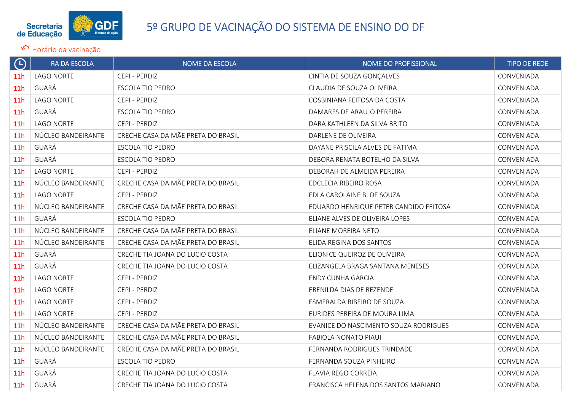

| $\bigodot$      | <b>RA DA ESCOLA</b> | <b>NOME DA ESCOLA</b>              | NOME DO PROFISSIONAL                   | <b>TIPO DE REDE</b> |
|-----------------|---------------------|------------------------------------|----------------------------------------|---------------------|
| 11 <sub>h</sub> | <b>LAGO NORTE</b>   | CEPI - PERDIZ                      | CINTIA DE SOUZA GONÇALVES              | CONVENIADA          |
| 11h             | GUARÁ               | <b>ESCOLA TIO PEDRO</b>            | CLAUDIA DE SOUZA OLIVEIRA              | CONVENIADA          |
| 11h             | <b>LAGO NORTE</b>   | CEPI - PERDIZ                      | COSBINIANA FEITOSA DA COSTA            | CONVENIADA          |
| 11 <sub>h</sub> | GUARÁ               | <b>ESCOLA TIO PEDRO</b>            | DAMARES DE ARAUJO PEREIRA              | CONVENIADA          |
| 11 <sub>h</sub> | LAGO NORTE          | CEPI - PERDIZ                      | DARA KATHLEEN DA SILVA BRITO           | CONVENIADA          |
| 11 <sub>h</sub> | NÚCLEO BANDEIRANTE  | CRECHE CASA DA MÃE PRETA DO BRASIL | DARLENE DE OLIVEIRA                    | CONVENIADA          |
| 11 <sub>h</sub> | GUARÁ               | <b>ESCOLA TIO PEDRO</b>            | DAYANE PRISCILA ALVES DE FATIMA        | CONVENIADA          |
| 11 <sub>h</sub> | GUARÁ               | ESCOLA TIO PEDRO                   | DEBORA RENATA BOTELHO DA SILVA         | CONVENIADA          |
| 11 <sub>h</sub> | <b>LAGO NORTE</b>   | CEPI - PERDIZ                      | DEBORAH DE ALMEIDA PEREIRA             | CONVENIADA          |
| 11 <sub>h</sub> | NÚCLEO BANDEIRANTE  | CRECHE CASA DA MÃE PRETA DO BRASIL | EDCLECIA RIBEIRO ROSA                  | CONVENIADA          |
| 11 <sub>h</sub> | LAGO NORTE          | CEPI - PERDIZ                      | EDLA CAROLAINE B. DE SOUZA             | CONVENIADA          |
| 11 <sub>h</sub> | NÚCLEO BANDEIRANTE  | CRECHE CASA DA MÃE PRETA DO BRASIL | EDUARDO HENRIQUE PETER CANDIDO FEITOSA | CONVENIADA          |
| 11 <sub>h</sub> | GUARÁ               | ESCOLA TIO PEDRO                   | ELIANE ALVES DE OLIVEIRA LOPES         | CONVENIADA          |
| 11 <sub>h</sub> | NÚCLEO BANDEIRANTE  | CRECHE CASA DA MÃE PRETA DO BRASIL | ELIANE MOREIRA NETO                    | CONVENIADA          |
| 11 <sub>h</sub> | NÚCLEO BANDEIRANTE  | CRECHE CASA DA MÃE PRETA DO BRASIL | ELIDA REGINA DOS SANTOS                | CONVENIADA          |
| 11 <sub>h</sub> | GUARÁ               | CRECHE TIA JOANA DO LUCIO COSTA    | ELIONICE QUEIROZ DE OLIVEIRA           | CONVENIADA          |
| 11 <sub>h</sub> | GUARÁ               | CRECHE TIA JOANA DO LUCIO COSTA    | ELIZANGELA BRAGA SANTANA MENESES       | CONVENIADA          |
| 11 <sub>h</sub> | LAGO NORTE          | CEPI - PERDIZ                      | ENDY CUNHA GARCIA                      | CONVENIADA          |
| 11 <sub>h</sub> | <b>LAGO NORTE</b>   | CEPI - PERDIZ                      | ERENILDA DIAS DE REZENDE               | CONVENIADA          |
| 11 <sub>h</sub> | <b>LAGO NORTE</b>   | CEPI - PERDIZ                      | ESMERALDA RIBEIRO DE SOUZA             | CONVENIADA          |
| 11 <sub>h</sub> | LAGO NORTE          | CEPI - PERDIZ                      | EURIDES PEREIRA DE MOURA LIMA          | CONVENIADA          |
| 11h             | NÚCLEO BANDEIRANTE  | CRECHE CASA DA MÃE PRETA DO BRASIL | EVANICE DO NASCIMENTO SOUZA RODRIGUES  | CONVENIADA          |
| 11 <sub>h</sub> | NÚCLEO BANDEIRANTE  | CRECHE CASA DA MÃE PRETA DO BRASIL | <b>FABIOLA NONATO PIAUI</b>            | CONVENIADA          |
| 11 <sub>h</sub> | NÚCLEO BANDEIRANTE  | CRECHE CASA DA MÃE PRETA DO BRASIL | FERNANDA RODRIGUES TRINDADE            | CONVENIADA          |
| 11 <sub>h</sub> | GUARÁ               | <b>ESCOLA TIO PEDRO</b>            | FERNANDA SOUZA PINHEIRO                | CONVENIADA          |
| 11 <sub>h</sub> | GUARÁ               | CRECHE TIA JOANA DO LUCIO COSTA    | FLAVIA REGO CORREIA                    | CONVENIADA          |
| 11h             | GUARÁ               | CRECHE TIA JOANA DO LUCIO COSTA    | FRANCISCA HELENA DOS SANTOS MARIANO    | CONVENIADA          |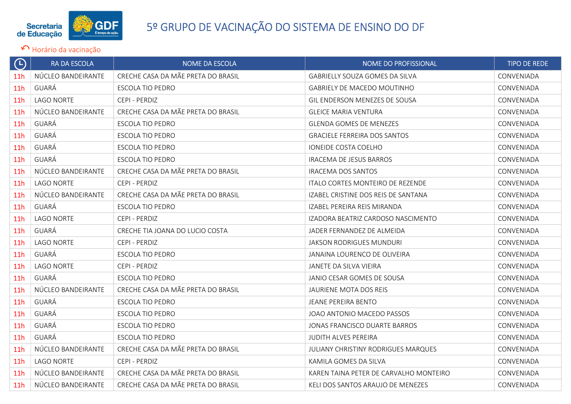

| $\Theta$        | RA DA ESCOLA       | NOME DA ESCOLA                     | NOME DO PROFISSIONAL                    | <b>TIPO DE REDE</b> |
|-----------------|--------------------|------------------------------------|-----------------------------------------|---------------------|
| 11 <sub>h</sub> | NÚCLEO BANDEIRANTE | CRECHE CASA DA MÃE PRETA DO BRASIL | <b>GABRIELLY SOUZA GOMES DA SILVA</b>   | CONVENIADA          |
| 11h             | GUARÁ              | <b>ESCOLA TIO PEDRO</b>            | <b>GABRIELY DE MACEDO MOUTINHO</b>      | CONVENIADA          |
| <b>11h</b>      | <b>LAGO NORTE</b>  | CEPI - PERDIZ                      | GIL ENDERSON MENEZES DE SOUSA           | CONVENIADA          |
| 11 <sub>h</sub> | NÚCLEO BANDEIRANTE | CRECHE CASA DA MÃE PRETA DO BRASIL | <b>GLEICE MARIA VENTURA</b>             | CONVENIADA          |
| 11 <sub>h</sub> | GUARÁ              | <b>ESCOLA TIO PEDRO</b>            | <b>GLENDA GOMES DE MENEZES</b>          | CONVENIADA          |
| 11 <sub>h</sub> | GUARÁ              | <b>ESCOLA TIO PEDRO</b>            | <b>GRACIELE FERREIRA DOS SANTOS</b>     | CONVENIADA          |
| 11 <sub>h</sub> | GUARÁ              | <b>ESCOLA TIO PEDRO</b>            | IONEIDE COSTA COELHO                    | CONVENIADA          |
| 11 <sub>h</sub> | GUARÁ              | <b>ESCOLA TIO PEDRO</b>            | <b>IRACEMA DE JESUS BARROS</b>          | CONVENIADA          |
| 11 <sub>h</sub> | NÚCLEO BANDEIRANTE | CRECHE CASA DA MÃE PRETA DO BRASIL | IRACEMA DOS SANTOS                      | CONVENIADA          |
| 11 <sub>h</sub> | LAGO NORTE         | CEPI - PERDIZ                      | <b>ITALO CORTES MONTEIRO DE REZENDE</b> | CONVENIADA          |
| 11h             | NÚCLEO BANDEIRANTE | CRECHE CASA DA MÃE PRETA DO BRASIL | IZABEL CRISTINE DOS REIS DE SANTANA     | CONVENIADA          |
| 11 <sub>h</sub> | GUARÁ              | ESCOLA TIO PEDRO                   | IZABEL PEREIRA REIS MIRANDA             | CONVENIADA          |
| 11 <sub>h</sub> | LAGO NORTE         | CEPI - PERDIZ                      | IZADORA BEATRIZ CARDOSO NASCIMENTO      | CONVENIADA          |
| 11 <sub>h</sub> | GUARÁ              | CRECHE TIA JOANA DO LUCIO COSTA    | JADER FERNANDEZ DE ALMEIDA              | CONVENIADA          |
| 11 <sub>h</sub> | <b>LAGO NORTE</b>  | CEPI - PERDIZ                      | JAKSON RODRIGUES MUNDURI                | CONVENIADA          |
| 11h             | GUARÁ              | ESCOLA TIO PEDRO                   | JANAINA LOURENCO DE OLIVEIRA            | CONVENIADA          |
| 11 <sub>h</sub> | LAGO NORTE         | CEPI - PERDIZ                      | <b>JANETE DA SILVA VIEIRA</b>           | CONVENIADA          |
| 11 <sub>h</sub> | GUARÁ              | ESCOLA TIO PEDRO                   | JANIO CESAR GOMES DE SOUSA              | CONVENIADA          |
| 11 <sub>h</sub> | NÚCLEO BANDEIRANTE | CRECHE CASA DA MÃE PRETA DO BRASIL | JAURIENE MOTA DOS REIS                  | CONVENIADA          |
| 11 <sub>h</sub> | GUARÁ              | <b>ESCOLA TIO PEDRO</b>            | <b>JEANE PEREIRA BENTO</b>              | CONVENIADA          |
| 11h             | GUARÁ              | <b>ESCOLA TIO PEDRO</b>            | JOAO ANTONIO MACEDO PASSOS              | CONVENIADA          |
| 11h             | GUARÁ              | <b>ESCOLA TIO PEDRO</b>            | JONAS FRANCISCO DUARTE BARROS           | CONVENIADA          |
| 11 <sub>h</sub> | GUARÁ              | <b>ESCOLA TIO PEDRO</b>            | JUDITH ALVES PEREIRA                    | CONVENIADA          |
| 11 <sub>h</sub> | NÚCLEO BANDEIRANTE | CRECHE CASA DA MÃE PRETA DO BRASIL | JULIANY CHRISTINY RODRIGUES MARQUES     | CONVENIADA          |
| 11h             | LAGO NORTE         | CEPI - PERDIZ                      | KAMILA GOMES DA SILVA                   | CONVENIADA          |
| 11 <sub>h</sub> | NÚCLEO BANDEIRANTE | CRECHE CASA DA MÃE PRETA DO BRASIL | KAREN TAINA PETER DE CARVALHO MONTEIRO  | CONVENIADA          |
| 11 <sub>h</sub> | NÚCLEO BANDEIRANTE | CRECHE CASA DA MÃE PRETA DO BRASIL | KELI DOS SANTOS ARAUJO DE MENEZES       | CONVENIADA          |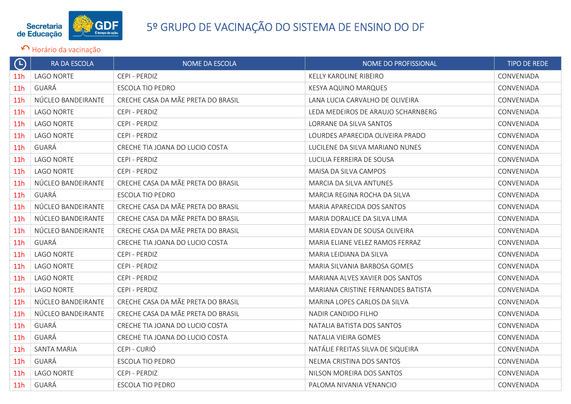

| $\bigodot$      | <b>RA DA ESCOLA</b> | <b>NOME DA ESCOLA</b>              | <b>NOME DO PROFISSIONAL</b>        | <b>TIPO DE REDE</b> |
|-----------------|---------------------|------------------------------------|------------------------------------|---------------------|
| 11 <sub>h</sub> | <b>LAGO NORTE</b>   | CEPI - PERDIZ                      | KELLY KAROLINE RIBEIRO             | CONVENIADA          |
| 11 <sub>h</sub> | GUARÁ               | <b>ESCOLA TIO PEDRO</b>            | KESYA AQUINO MARQUES               | CONVENIADA          |
| 11 <sub>h</sub> | NÚCLEO BANDEIRANTE  | CRECHE CASA DA MÃE PRETA DO BRASIL | LANA LUCIA CARVALHO DE OLIVEIRA    | CONVENIADA          |
| 11 <sub>h</sub> | <b>LAGO NORTE</b>   | CEPI - PERDIZ                      | LEDA MEDEIROS DE ARAUJO SCHARNBERG | CONVENIADA          |
| 11 <sub>h</sub> | <b>LAGO NORTE</b>   | CEPI - PERDIZ                      | LORRANE DA SILVA SANTOS            | CONVENIADA          |
| 11 <sub>h</sub> | <b>LAGO NORTE</b>   | CEPI - PERDIZ                      | LOURDES APARECIDA OLIVEIRA PRADO   | CONVENIADA          |
| 11 <sub>h</sub> | GUARÁ               | CRECHE TIA JOANA DO LUCIO COSTA    | LUCILENE DA SILVA MARIANO NUNES    | CONVENIADA          |
| 11 <sub>h</sub> | <b>LAGO NORTE</b>   | CEPI - PERDIZ                      | LUCILIA FERREIRA DE SOUSA          | CONVENIADA          |
| 11 <sub>h</sub> | <b>LAGO NORTE</b>   | CEPI - PERDIZ                      | MAISA DA SILVA CAMPOS              | CONVENIADA          |
| 11h             | NÚCLEO BANDEIRANTE  | CRECHE CASA DA MÃE PRETA DO BRASIL | <b>MARCIA DA SILVA ANTUNES</b>     | CONVENIADA          |
| 11h             | GUARÁ               | <b>ESCOLA TIO PEDRO</b>            | MARCIA REGINA ROCHA DA SILVA       | CONVENIADA          |
| 11h             | NÚCLEO BANDEIRANTE  | CRECHE CASA DA MÃE PRETA DO BRASIL | MARIA APARECIDA DOS SANTOS         | CONVENIADA          |
| 11 <sub>h</sub> | NÚCLEO BANDEIRANTE  | CRECHE CASA DA MÃE PRETA DO BRASIL | MARIA DORALICE DA SILVA LIMA       | CONVENIADA          |
| 11h             | NÚCLEO BANDEIRANTE  | CRECHE CASA DA MÃE PRETA DO BRASIL | MARIA EDVAN DE SOUSA OLIVEIRA      | CONVENIADA          |
| 11 <sub>h</sub> | GUARÁ               | CRECHE TIA JOANA DO LUCIO COSTA    | MARIA ELIANE VELEZ RAMOS FERRAZ    | CONVENIADA          |
| 11 <sub>h</sub> | <b>LAGO NORTE</b>   | CEPI - PERDIZ                      | MARIA LEIDIANA DA SILVA            | CONVENIADA          |
| 11 <sub>h</sub> | <b>LAGO NORTE</b>   | CEPI - PERDIZ                      | MARIA SILVANIA BARBOSA GOMES       | CONVENIADA          |
| 11h             | <b>LAGO NORTE</b>   | CEPI - PERDIZ                      | MARIANA ALVES XAVIER DOS SANTOS    | CONVENIADA          |
| 11h             | <b>LAGO NORTE</b>   | CEPI - PERDIZ                      | MARIANA CRISTINE FERNANDES BATISTA | CONVENIADA          |
| 11h             | NÚCLEO BANDEIRANTE  | CRECHE CASA DA MÃE PRETA DO BRASIL | MARINA LOPES CARLOS DA SILVA       | CONVENIADA          |
| 11 <sub>h</sub> | NÚCLEO BANDEIRANTE  | CRECHE CASA DA MÃE PRETA DO BRASIL | NADIR CANDIDO FILHO                | CONVENIADA          |
| 11 <sub>h</sub> | GUARÁ               | CRECHE TIA JOANA DO LUCIO COSTA    | NATALIA BATISTA DOS SANTOS         | CONVENIADA          |
| 11 <sub>h</sub> | GUARÁ               | CRECHE TIA JOANA DO LUCIO COSTA    | NATALIA VIEIRA GOMES               | CONVENIADA          |
| 11 <sub>h</sub> | <b>SANTA MARIA</b>  | CEPI - CURIÓ                       | NATÁLIE FREITAS SILVA DE SIQUEIRA  | CONVENIADA          |
| 11 <sub>h</sub> | GUARÁ               | ESCOLA TIO PEDRO                   | NELMA CRISTINA DOS SANTOS          | CONVENIADA          |
| 11 <sub>h</sub> | <b>LAGO NORTE</b>   | CEPI - PERDIZ                      | NILSON MOREIRA DOS SANTOS          | CONVENIADA          |
| 11h             | GUARÁ               | <b>ESCOLA TIO PEDRO</b>            | PALOMA NIVANIA VENANCIO            | CONVENIADA          |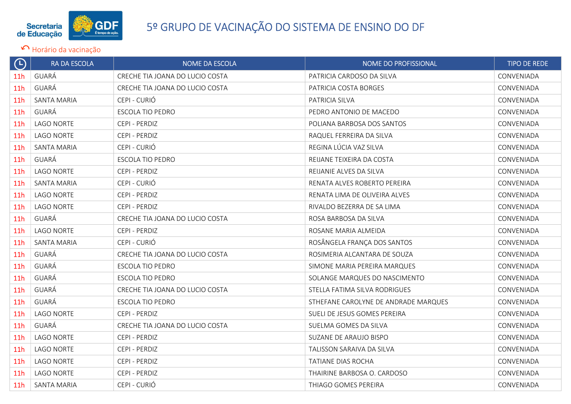

| $\Theta$        | RA DA ESCOLA       | NOME DA ESCOLA                  | NOME DO PROFISSIONAL                 | <b>TIPO DE REDE</b> |
|-----------------|--------------------|---------------------------------|--------------------------------------|---------------------|
| 11 <sub>h</sub> | GUARÁ              | CRECHE TIA JOANA DO LUCIO COSTA | PATRICIA CARDOSO DA SILVA            | CONVENIADA          |
| 11 <sub>h</sub> | GUARÁ              | CRECHE TIA JOANA DO LUCIO COSTA | PATRICIA COSTA BORGES                | CONVENIADA          |
| 11h             | SANTA MARIA        | CEPI - CURIÓ                    | PATRICIA SILVA                       | CONVENIADA          |
| 11 <sub>h</sub> | GUARÁ              | ESCOLA TIO PEDRO                | PEDRO ANTONIO DE MACEDO              | CONVENIADA          |
| 11 <sub>h</sub> | LAGO NORTE         | CEPI - PERDIZ                   | POLIANA BARBOSA DOS SANTOS           | CONVENIADA          |
| 11 <sub>h</sub> | <b>LAGO NORTE</b>  | CEPI - PERDIZ                   | RAQUEL FERREIRA DA SILVA             | CONVENIADA          |
| 11 <sub>h</sub> | SANTA MARIA        | CEPI - CURIÓ                    | REGINA LÚCIA VAZ SILVA               | CONVENIADA          |
| 11 <sub>h</sub> | GUARÁ              | <b>ESCOLA TIO PEDRO</b>         | REIJANE TEIXEIRA DA COSTA            | CONVENIADA          |
| 11 <sub>h</sub> | <b>LAGO NORTE</b>  | CEPI - PERDIZ                   | REIJANIE ALVES DA SILVA              | CONVENIADA          |
| 11h             | <b>SANTA MARIA</b> | CEPI - CURIÓ                    | RENATA ALVES ROBERTO PEREIRA         | CONVENIADA          |
| 11 <sub>h</sub> | <b>LAGO NORTE</b>  | CEPI - PERDIZ                   | RENATA LIMA DE OLIVEIRA ALVES        | CONVENIADA          |
| 11 <sub>h</sub> | LAGO NORTE         | CEPI - PERDIZ                   | RIVALDO BEZERRA DE SA LIMA           | CONVENIADA          |
| 11 <sub>h</sub> | GUARÁ              | CRECHE TIA JOANA DO LUCIO COSTA | ROSA BARBOSA DA SILVA                | CONVENIADA          |
| 11h             | <b>LAGO NORTE</b>  | CEPI - PERDIZ                   | ROSANE MARIA ALMEIDA                 | CONVENIADA          |
| 11 <sub>h</sub> | <b>SANTA MARIA</b> | CEPI - CURIÓ                    | ROSÂNGELA FRANÇA DOS SANTOS          | CONVENIADA          |
| 11 <sub>h</sub> | GUARÁ              | CRECHE TIA JOANA DO LUCIO COSTA | ROSIMERIA ALCANTARA DE SOUZA         | CONVENIADA          |
| 11 <sub>h</sub> | GUARÁ              | ESCOLA TIO PEDRO                | SIMONE MARIA PEREIRA MARQUES         | CONVENIADA          |
| 11 <sub>h</sub> | GUARÁ              | ESCOLA TIO PEDRO                | SOLANGE MARQUES DO NASCIMENTO        | CONVENIADA          |
| 11 <sub>h</sub> | GUARÁ              | CRECHE TIA JOANA DO LUCIO COSTA | STELLA FATIMA SILVA RODRIGUES        | CONVENIADA          |
| 11h             | GUARÁ              | <b>ESCOLA TIO PEDRO</b>         | STHEFANE CAROLYNE DE ANDRADE MARQUES | CONVENIADA          |
| 11 <sub>h</sub> | <b>LAGO NORTE</b>  | CEPI - PERDIZ                   | SUELI DE JESUS GOMES PEREIRA         | CONVENIADA          |
| 11 <sub>h</sub> | GUARÁ              | CRECHE TIA JOANA DO LUCIO COSTA | SUELMA GOMES DA SILVA                | CONVENIADA          |
| 11 <sub>h</sub> | <b>LAGO NORTE</b>  | CEPI - PERDIZ                   | SUZANE DE ARAUJO BISPO               | CONVENIADA          |
| 11 <sub>h</sub> | LAGO NORTE         | CEPI - PERDIZ                   | TALISSON SARAIVA DA SILVA            | CONVENIADA          |
| 11 <sub>h</sub> | <b>LAGO NORTE</b>  | CEPI - PERDIZ                   | TATIANE DIAS ROCHA                   | CONVENIADA          |
| 11 <sub>h</sub> | <b>LAGO NORTE</b>  | CEPI - PERDIZ                   | THAIRINE BARBOSA O. CARDOSO          | CONVENIADA          |
| 11 <sub>h</sub> | <b>SANTA MARIA</b> | CEPI - CURIÓ                    | THIAGO GOMES PEREIRA                 | CONVENIADA          |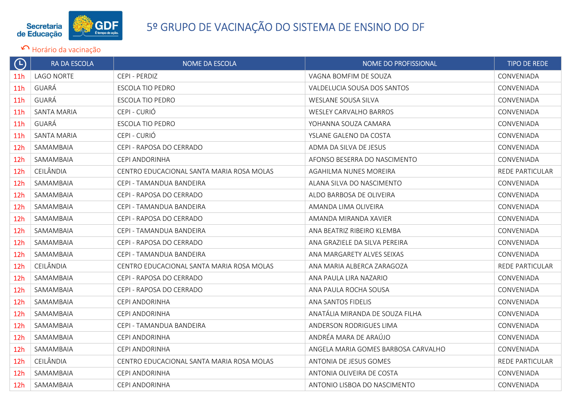

| $\Theta$        | RA DA ESCOLA      | <b>NOME DA ESCOLA</b>                     | NOME DO PROFISSIONAL                | <b>TIPO DE REDE</b>    |
|-----------------|-------------------|-------------------------------------------|-------------------------------------|------------------------|
| 11 <sub>h</sub> | <b>LAGO NORTE</b> | CEPI - PERDIZ                             | VAGNA BOMFIM DE SOUZA               | CONVENIADA             |
| 11 <sub>h</sub> | GUARÁ             | <b>ESCOLA TIO PEDRO</b>                   | VALDELUCIA SOUSA DOS SANTOS         | CONVENIADA             |
| 11 <sub>h</sub> | GUARÁ             | ESCOLA TIO PEDRO                          | WESLANE SOUSA SILVA                 | CONVENIADA             |
| 11 <sub>h</sub> | SANTA MARIA       | CEPI - CURIÓ                              | <b>WESLEY CARVALHO BARROS</b>       | CONVENIADA             |
| 11 <sub>h</sub> | GUARÁ             | ESCOLA TIO PEDRO                          | YOHANNA SOUZA CAMARA                | CONVENIADA             |
| 11 <sub>h</sub> | SANTA MARIA       | CEPI - CURIÓ                              | YSLANE GALENO DA COSTA              | CONVENIADA             |
| 12 <sub>h</sub> | SAMAMBAIA         | CEPI - RAPOSA DO CERRADO                  | ADMA DA SILVA DE JESUS              | CONVENIADA             |
| 12h             | SAMAMBAIA         | CEPI ANDORINHA                            | AFONSO BESERRA DO NASCIMENTO        | CONVENIADA             |
| 12 <sub>h</sub> | CEILÂNDIA         | CENTRO EDUCACIONAL SANTA MARIA ROSA MOLAS | AGAHILMA NUNES MOREIRA              | <b>REDE PARTICULAR</b> |
| 12 <sub>h</sub> | SAMAMBAIA         | CEPI - TAMANDUA BANDEIRA                  | ALANA SILVA DO NASCIMENTO           | CONVENIADA             |
| 12 <sub>h</sub> | SAMAMBAIA         | CEPI - RAPOSA DO CERRADO                  | ALDO BARBOSA DE OLIVEIRA            | CONVENIADA             |
| 12 <sub>h</sub> | SAMAMBAIA         | CEPI - TAMANDUA BANDEIRA                  | AMANDA LIMA OLIVEIRA                | CONVENIADA             |
| 12 <sub>h</sub> | SAMAMBAIA         | CEPI - RAPOSA DO CERRADO                  | AMANDA MIRANDA XAVIER               | CONVENIADA             |
| 12 <sub>h</sub> | SAMAMBAIA         | CEPI - TAMANDUA BANDEIRA                  | ANA BEATRIZ RIBEIRO KLEMBA          | CONVENIADA             |
| 12 <sub>h</sub> | SAMAMBAIA         | CEPI - RAPOSA DO CERRADO                  | ANA GRAZIELE DA SILVA PEREIRA       | CONVENIADA             |
| 12 <sub>h</sub> | SAMAMBAIA         | CEPI - TAMANDUA BANDEIRA                  | ANA MARGARETY ALVES SEIXAS          | CONVENIADA             |
| 12h             | CEILÂNDIA         | CENTRO EDUCACIONAL SANTA MARIA ROSA MOLAS | ANA MARIA ALBERCA ZARAGOZA          | REDE PARTICULAR        |
| 12 <sub>h</sub> | SAMAMBAIA         | CEPI - RAPOSA DO CERRADO                  | ANA PAULA LIRA NAZARIO              | CONVENIADA             |
| 12 <sub>h</sub> | SAMAMBAIA         | CEPI - RAPOSA DO CERRADO                  | ANA PAULA ROCHA SOUSA               | CONVENIADA             |
| 12h             | SAMAMBAIA         | CEPI ANDORINHA                            | ANA SANTOS FIDELIS                  | CONVENIADA             |
| 12h             | SAMAMBAIA         | CEPI ANDORINHA                            | ANATÁLIA MIRANDA DE SOUZA FILHA     | CONVENIADA             |
| 12h             | SAMAMBAIA         | CEPI - TAMANDUA BANDEIRA                  | ANDERSON RODRIGUES LIMA             | CONVENIADA             |
| 12 <sub>h</sub> | SAMAMBAIA         | CEPI ANDORINHA                            | ANDRÉA MARA DE ARAÚJO               | CONVENIADA             |
| 12 <sub>h</sub> | SAMAMBAIA         | CEPI ANDORINHA                            | ANGELA MARIA GOMES BARBOSA CARVALHO | CONVENIADA             |
| 12h             | CEILÂNDIA         | CENTRO EDUCACIONAL SANTA MARIA ROSA MOLAS | ANTONIA DE JESUS GOMES              | REDE PARTICULAR        |
| 12h             | SAMAMBAIA         | CEPI ANDORINHA                            | ANTONIA OLIVEIRA DE COSTA           | CONVENIADA             |
| 12 <sub>h</sub> | SAMAMBAIA         | CEPI ANDORINHA                            | ANTONIO LISBOA DO NASCIMENTO        | CONVENIADA             |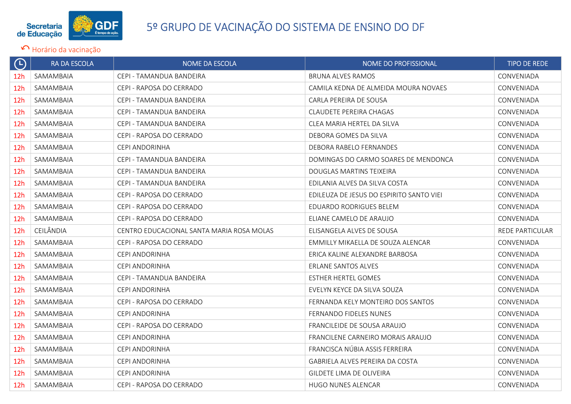

| $\Theta$        | RA DA ESCOLA | <b>NOME DA ESCOLA</b>                     | <b>NOME DO PROFISSIONAL</b>              | <b>TIPO DE REDE</b> |
|-----------------|--------------|-------------------------------------------|------------------------------------------|---------------------|
| 12 <sub>h</sub> | SAMAMBAIA    | CEPI - TAMANDUA BANDEIRA                  | <b>BRUNA ALVES RAMOS</b>                 | CONVENIADA          |
| 12h             | SAMAMBAIA    | CEPI - RAPOSA DO CERRADO                  | CAMILA KEDNA DE ALMEIDA MOURA NOVAES     | CONVENIADA          |
| 12 <sub>h</sub> | SAMAMBAIA    | CEPI - TAMANDUA BANDEIRA                  | CARLA PEREIRA DE SOUSA                   | CONVENIADA          |
| 12 <sub>h</sub> | SAMAMBAIA    | CEPI - TAMANDUA BANDEIRA                  | CLAUDETE PEREIRA CHAGAS                  | CONVENIADA          |
| 12 <sub>h</sub> | SAMAMBAIA    | CEPI - TAMANDUA BANDEIRA                  | CLEA MARIA HERTEL DA SILVA               | CONVENIADA          |
| 12h             | SAMAMBAIA    | CEPI - RAPOSA DO CERRADO                  | DEBORA GOMES DA SILVA                    | CONVENIADA          |
| 12h             | SAMAMBAIA    | CEPI ANDORINHA                            | DEBORA RABELO FERNANDES                  | CONVENIADA          |
| 12 <sub>h</sub> | SAMAMBAIA    | CEPI - TAMANDUA BANDEIRA                  | DOMINGAS DO CARMO SOARES DE MENDONCA     | CONVENIADA          |
| 12h             | SAMAMBAIA    | CEPI - TAMANDUA BANDEIRA                  | DOUGLAS MARTINS TEIXEIRA                 | CONVENIADA          |
| 12 <sub>h</sub> | SAMAMBAIA    | CEPI - TAMANDUA BANDEIRA                  | EDILANIA ALVES DA SILVA COSTA            | CONVENIADA          |
| 12 <sub>h</sub> | SAMAMBAIA    | CEPI - RAPOSA DO CERRADO                  | EDILEUZA DE JESUS DO ESPIRITO SANTO VIEI | CONVENIADA          |
| 12h             | SAMAMBAIA    | CEPI - RAPOSA DO CERRADO                  | EDUARDO RODRIGUES BELEM                  | CONVENIADA          |
| 12 <sub>h</sub> | SAMAMBAIA    | CEPI - RAPOSA DO CERRADO                  | ELIANE CAMELO DE ARAUJO                  | CONVENIADA          |
| 12 <sub>h</sub> | CEILÂNDIA    | CENTRO EDUCACIONAL SANTA MARIA ROSA MOLAS | ELISANGELA ALVES DE SOUSA                | REDE PARTICULAR     |
| 12h             | SAMAMBAIA    | CEPI - RAPOSA DO CERRADO                  | EMMILLY MIKAELLA DE SOUZA ALENCAR        | CONVENIADA          |
| 12 <sub>h</sub> | SAMAMBAIA    | CEPI ANDORINHA                            | ERICA KALINE ALEXANDRE BARBOSA           | CONVENIADA          |
| 12h             | SAMAMBAIA    | CEPI ANDORINHA                            | ERLANE SANTOS ALVES                      | CONVENIADA          |
| 12 <sub>h</sub> | SAMAMBAIA    | CEPI - TAMANDUA BANDEIRA                  | <b>ESTHER HERTEL GOMES</b>               | CONVENIADA          |
| 12 <sub>h</sub> | SAMAMBAIA    | CEPI ANDORINHA                            | EVELYN KEYCE DA SILVA SOUZA              | CONVENIADA          |
| 12 <sub>h</sub> | SAMAMBAIA    | CEPI - RAPOSA DO CERRADO                  | FERNANDA KELY MONTEIRO DOS SANTOS        | CONVENIADA          |
| 12 <sub>h</sub> | SAMAMBAIA    | CEPI ANDORINHA                            | FERNANDO FIDELES NUNES                   | CONVENIADA          |
| 12 <sub>h</sub> | SAMAMBAIA    | CEPI - RAPOSA DO CERRADO                  | FRANCILEIDE DE SOUSA ARAUJO              | CONVENIADA          |
| 12h             | SAMAMBAIA    | CEPI ANDORINHA                            | FRANCILENE CARNEIRO MORAIS ARAUJO        | CONVENIADA          |
| 12 <sub>h</sub> | SAMAMBAIA    | CEPI ANDORINHA                            | FRANCISCA NÚBIA ASSIS FERREIRA           | CONVENIADA          |
| 12 <sub>h</sub> | SAMAMBAIA    | CEPI ANDORINHA                            | GABRIELA ALVES PEREIRA DA COSTA          | CONVENIADA          |
| 12h             | SAMAMBAIA    | CEPI ANDORINHA                            | GILDETE LIMA DE OLIVEIRA                 | CONVENIADA          |
| 12 <sub>h</sub> | SAMAMBAIA    | CEPI - RAPOSA DO CERRADO                  | HUGO NUNES ALENCAR                       | CONVENIADA          |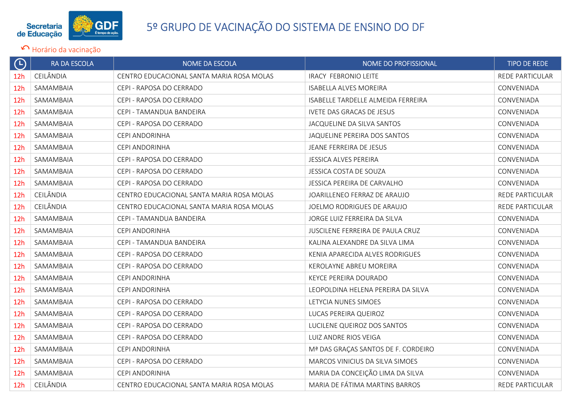

| $\bigoplus$     | RA DA ESCOLA | <b>NOME DA ESCOLA</b>                     | NOME DO PROFISSIONAL                | <b>TIPO DE REDE</b>    |
|-----------------|--------------|-------------------------------------------|-------------------------------------|------------------------|
| 12 <sub>h</sub> | CEILÂNDIA    | CENTRO EDUCACIONAL SANTA MARIA ROSA MOLAS | <b>IRACY FEBRONIO LEITE</b>         | <b>REDE PARTICULAR</b> |
| 12 <sub>h</sub> | SAMAMBAIA    | CEPI - RAPOSA DO CERRADO                  | <b>ISABELLA ALVES MOREIRA</b>       | CONVENIADA             |
| 12 <sub>h</sub> | SAMAMBAIA    | CEPI - RAPOSA DO CERRADO                  | ISABELLE TARDELLE ALMEIDA FERREIRA  | CONVENIADA             |
| 12 <sub>h</sub> | SAMAMBAIA    | CEPI - TAMANDUA BANDEIRA                  | IVETE DAS GRACAS DE JESUS           | CONVENIADA             |
| 12 <sub>h</sub> | SAMAMBAIA    | CEPI - RAPOSA DO CERRADO                  | JACQUELINE DA SILVA SANTOS          | CONVENIADA             |
| 12h             | SAMAMBAIA    | CEPI ANDORINHA                            | JAQUELINE PEREIRA DOS SANTOS        | CONVENIADA             |
| 12 <sub>h</sub> | SAMAMBAIA    | CEPI ANDORINHA                            | JEANE FERREIRA DE JESUS             | CONVENIADA             |
| 12h             | SAMAMBAIA    | CEPI - RAPOSA DO CERRADO                  | JESSICA ALVES PEREIRA               | CONVENIADA             |
| 12h             | SAMAMBAIA    | CEPI - RAPOSA DO CERRADO                  | <b>JESSICA COSTA DE SOUZA</b>       | CONVENIADA             |
| 12 <sub>h</sub> | SAMAMBAIA    | CEPI - RAPOSA DO CERRADO                  | <b>JESSICA PEREIRA DE CARVALHO</b>  | CONVENIADA             |
| 12 <sub>h</sub> | CEILÂNDIA    | CENTRO EDUCACIONAL SANTA MARIA ROSA MOLAS | JOARILLENEO FERRAZ DE ARAUJO        | REDE PARTICULAR        |
| 12 <sub>h</sub> | CEILÂNDIA    | CENTRO EDUCACIONAL SANTA MARIA ROSA MOLAS | JOELMO RODRIGUES DE ARAUJO          | <b>REDE PARTICULAR</b> |
| 12 <sub>h</sub> | SAMAMBAIA    | CEPI - TAMANDUA BANDEIRA                  | JORGE LUIZ FERREIRA DA SILVA        | CONVENIADA             |
| 12 <sub>h</sub> | SAMAMBAIA    | CEPI ANDORINHA                            | JUSCILENE FERREIRA DE PAULA CRUZ    | CONVENIADA             |
| 12 <sub>h</sub> | SAMAMBAIA    | CEPI - TAMANDUA BANDEIRA                  | KALINA ALEXANDRE DA SILVA LIMA      | CONVENIADA             |
| 12 <sub>h</sub> | SAMAMBAIA    | CEPI - RAPOSA DO CERRADO                  | KENIA APARECIDA ALVES RODRIGUES     | CONVENIADA             |
| 12 <sub>h</sub> | SAMAMBAIA    | CEPI - RAPOSA DO CERRADO                  | KEROLAYNE ABREU MOREIRA             | CONVENIADA             |
| 12 <sub>h</sub> | SAMAMBAIA    | CEPI ANDORINHA                            | KEYCE PEREIRA DOURADO               | CONVENIADA             |
| 12 <sub>h</sub> | SAMAMBAIA    | CEPI ANDORINHA                            | LEOPOLDINA HELENA PEREIRA DA SILVA  | CONVENIADA             |
| 12 <sub>h</sub> | SAMAMBAIA    | CEPI - RAPOSA DO CERRADO                  | LETYCIA NUNES SIMOES                | CONVENIADA             |
| 12 <sub>h</sub> | SAMAMBAIA    | CEPI - RAPOSA DO CERRADO                  | LUCAS PEREIRA QUEIROZ               | CONVENIADA             |
| 12 <sub>h</sub> | SAMAMBAIA    | CEPI - RAPOSA DO CERRADO                  | LUCILENE QUEIROZ DOS SANTOS         | CONVENIADA             |
| 12h             | SAMAMBAIA    | CEPI - RAPOSA DO CERRADO                  | LUIZ ANDRE RIOS VEIGA               | CONVENIADA             |
| 12 <sub>h</sub> | SAMAMBAIA    | CEPI ANDORINHA                            | Mª DAS GRAÇAS SANTOS DE F. CORDEIRO | CONVENIADA             |
| 12 <sub>h</sub> | SAMAMBAIA    | CEPI - RAPOSA DO CERRADO                  | MARCOS VINICIUS DA SILVA SIMOES     | CONVENIADA             |
| 12h             | SAMAMBAIA    | CEPI ANDORINHA                            | MARIA DA CONCEIÇÃO LIMA DA SILVA    | CONVENIADA             |
| 12h             | CEILÂNDIA    | CENTRO EDUCACIONAL SANTA MARIA ROSA MOLAS | MARIA DE FÁTIMA MARTINS BARROS      | <b>REDE PARTICULAR</b> |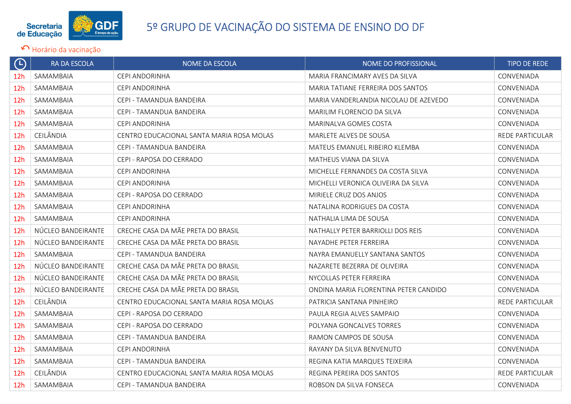

| $\Theta$        | RA DA ESCOLA       | NOME DA ESCOLA                            | NOME DO PROFISSIONAL                  | <b>TIPO DE REDE</b>    |
|-----------------|--------------------|-------------------------------------------|---------------------------------------|------------------------|
| 12 <sub>h</sub> | SAMAMBAIA          | CEPI ANDORINHA                            | MARIA FRANCIMARY AVES DA SILVA        | CONVENIADA             |
| 12 <sub>h</sub> | SAMAMBAIA          | CEPI ANDORINHA                            | MARIA TATIANE FERREIRA DOS SANTOS     | CONVENIADA             |
| 12h             | SAMAMBAIA          | CEPI - TAMANDUA BANDEIRA                  | MARIA VANDERLANDIA NICOLAU DE AZEVEDO | CONVENIADA             |
| 12 <sub>h</sub> | SAMAMBAIA          | CEPI - TAMANDUA BANDEIRA                  | MARILIM FLORENCIO DA SILVA            | CONVENIADA             |
| 12 <sub>h</sub> | SAMAMBAIA          | CEPI ANDORINHA                            | MARINALVA GOMES COSTA                 | CONVENIADA             |
| 12h             | CEILÂNDIA          | CENTRO EDUCACIONAL SANTA MARIA ROSA MOLAS | MARLETE ALVES DE SOUSA                | <b>REDE PARTICULAR</b> |
| 12 <sub>h</sub> | SAMAMBAIA          | CEPI - TAMANDUA BANDEIRA                  | MATEUS EMANUEL RIBEIRO KLEMBA         | CONVENIADA             |
| 12h             | SAMAMBAIA          | CEPI - RAPOSA DO CERRADO                  | MATHEUS VIANA DA SILVA                | CONVENIADA             |
| 12 <sub>h</sub> | SAMAMBAIA          | CEPI ANDORINHA                            | MICHELLE FERNANDES DA COSTA SILVA     | CONVENIADA             |
| 12 <sub>h</sub> | SAMAMBAIA          | CEPI ANDORINHA                            | MICHELLI VERONICA OLIVEIRA DA SILVA   | CONVENIADA             |
| 12 <sub>h</sub> | SAMAMBAIA          | CEPI - RAPOSA DO CERRADO                  | MIRIELE CRUZ DOS ANJOS                | CONVENIADA             |
| 12 <sub>h</sub> | SAMAMBAIA          | CEPI ANDORINHA                            | NATALINA RODRIGUES DA COSTA           | CONVENIADA             |
| 12 <sub>h</sub> | SAMAMBAIA          | CEPI ANDORINHA                            | NATHALIA LIMA DE SOUSA                | CONVENIADA             |
| 12 <sub>h</sub> | NÚCLEO BANDEIRANTE | CRECHE CASA DA MÃE PRETA DO BRASIL        | NATHALLY PETER BARRIOLLI DOS REIS     | CONVENIADA             |
| 12 <sub>h</sub> | NÚCLEO BANDEIRANTE | CRECHE CASA DA MÃE PRETA DO BRASIL        | NAYADHE PETER FERREIRA                | CONVENIADA             |
| 12 <sub>h</sub> | SAMAMBAIA          | CEPI - TAMANDUA BANDEIRA                  | NAYRA EMANUELLY SANTANA SANTOS        | CONVENIADA             |
| 12 <sub>h</sub> | NÚCLEO BANDEIRANTE | CRECHE CASA DA MÃE PRETA DO BRASIL        | NAZARETE BEZERRA DE OLIVEIRA          | CONVENIADA             |
| 12 <sub>h</sub> | NÚCLEO BANDEIRANTE | CRECHE CASA DA MÃE PRETA DO BRASIL        | NYCOLLAS PETER FERREIRA               | CONVENIADA             |
| 12 <sub>h</sub> | NÚCLEO BANDEIRANTE | CRECHE CASA DA MÃE PRETA DO BRASIL        | ONDINA MARIA FLORENTINA PETER CANDIDO | CONVENIADA             |
| 12 <sub>h</sub> | CEILÂNDIA          | CENTRO EDUCACIONAL SANTA MARIA ROSA MOLAS | PATRICIA SANTANA PINHEIRO             | <b>REDE PARTICULAR</b> |
| 12 <sub>h</sub> | SAMAMBAIA          | CEPI - RAPOSA DO CERRADO                  | PAULA REGIA ALVES SAMPAIO             | CONVENIADA             |
| 12 <sub>h</sub> | SAMAMBAIA          | CEPI - RAPOSA DO CERRADO                  | POLYANA GONCALVES TORRES              | CONVENIADA             |
| 12 <sub>h</sub> | SAMAMBAIA          | CEPI - TAMANDUA BANDEIRA                  | RAMON CAMPOS DE SOUSA                 | CONVENIADA             |
| 12 <sub>h</sub> | SAMAMBAIA          | CEPI ANDORINHA                            | RAYANY DA SILVA BENVENUTO             | CONVENIADA             |
| 12h             | SAMAMBAIA          | CEPI - TAMANDUA BANDEIRA                  | REGINA KATIA MARQUES TEIXEIRA         | CONVENIADA             |
| 12h             | CEILÂNDIA          | CENTRO EDUCACIONAL SANTA MARIA ROSA MOLAS | REGINA PEREIRA DOS SANTOS             | <b>REDE PARTICULAR</b> |
| 12h             | SAMAMBAIA          | CEPI - TAMANDUA BANDEIRA                  | ROBSON DA SILVA FONSECA               | CONVENIADA             |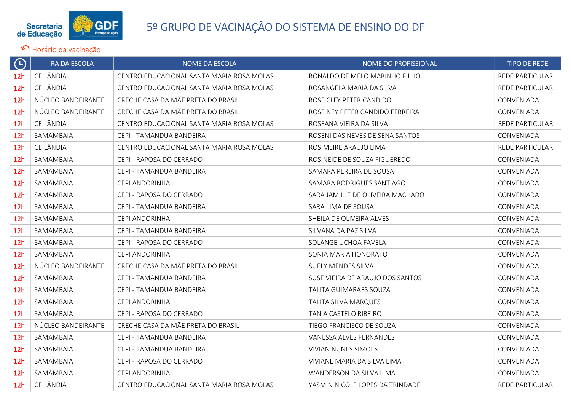

| $\bigoplus$     | RA DA ESCOLA       | <b>NOME DA ESCOLA</b>                     | NOME DO PROFISSIONAL             | <b>TIPO DE REDE</b>    |
|-----------------|--------------------|-------------------------------------------|----------------------------------|------------------------|
| 12 <sub>h</sub> | CEILÂNDIA          | CENTRO EDUCACIONAL SANTA MARIA ROSA MOLAS | RONALDO DE MELO MARINHO FILHO    | <b>REDE PARTICULAR</b> |
| 12 <sub>h</sub> | CEILÂNDIA          | CENTRO EDUCACIONAL SANTA MARIA ROSA MOLAS | ROSANGELA MARIA DA SILVA         | <b>REDE PARTICULAR</b> |
| 12h             | NÚCLEO BANDEIRANTE | CRECHE CASA DA MÃE PRETA DO BRASIL        | ROSE CLEY PETER CANDIDO          | CONVENIADA             |
| 12 <sub>h</sub> | NÚCLEO BANDEIRANTE | CRECHE CASA DA MÃE PRETA DO BRASIL        | ROSE NEY PETER CANDIDO FERREIRA  | CONVENIADA             |
| 12 <sub>h</sub> | CEILÂNDIA          | CENTRO EDUCACIONAL SANTA MARIA ROSA MOLAS | ROSEANA VIEIRA DA SILVA          | <b>REDE PARTICULAR</b> |
| 12h             | SAMAMBAIA          | CEPI - TAMANDUA BANDEIRA                  | ROSENI DAS NEVES DE SENA SANTOS  | CONVENIADA             |
| 12 <sub>h</sub> | CEILÂNDIA          | CENTRO EDUCACIONAL SANTA MARIA ROSA MOLAS | ROSIMEIRE ARAUJO LIMA            | REDE PARTICULAR        |
| 12h             | SAMAMBAIA          | CEPI - RAPOSA DO CERRADO                  | ROSINEIDE DE SOUZA FIGUEREDO     | CONVENIADA             |
| 12h             | SAMAMBAIA          | CEPI - TAMANDUA BANDEIRA                  | SAMARA PEREIRA DE SOUSA          | CONVENIADA             |
| 12 <sub>h</sub> | SAMAMBAIA          | CEPI ANDORINHA                            | SAMARA RODRIGUES SANTIAGO        | CONVENIADA             |
| 12 <sub>h</sub> | SAMAMBAIA          | CEPI - RAPOSA DO CERRADO                  | SARA JAMILLE DE OLIVEIRA MACHADO | CONVENIADA             |
| 12 <sub>h</sub> | SAMAMBAIA          | CEPI - TAMANDUA BANDEIRA                  | SARA LIMA DE SOUSA               | CONVENIADA             |
| 12 <sub>h</sub> | SAMAMBAIA          | CEPI ANDORINHA                            | SHEILA DE OLIVEIRA ALVES         | CONVENIADA             |
| 12 <sub>h</sub> | SAMAMBAIA          | CEPI - TAMANDUA BANDEIRA                  | SILVANA DA PAZ SILVA             | CONVENIADA             |
| 12 <sub>h</sub> | SAMAMBAIA          | CEPI - RAPOSA DO CERRADO                  | SOLANGE UCHOA FAVELA             | CONVENIADA             |
| 12 <sub>h</sub> | SAMAMBAIA          | CEPI ANDORINHA                            | SONIA MARIA HONORATO             | CONVENIADA             |
| 12h             | NÚCLEO BANDEIRANTE | CRECHE CASA DA MÃE PRETA DO BRASIL        | <b>SUELY MENDES SILVA</b>        | CONVENIADA             |
| 12 <sub>h</sub> | SAMAMBAIA          | CEPI - TAMANDUA BANDEIRA                  | SUSE VIEIRA DE ARAUJO DOS SANTOS | CONVENIADA             |
| 12 <sub>h</sub> | SAMAMBAIA          | CEPI - TAMANDUA BANDEIRA                  | TALITA GUIMARAES SOUZA           | CONVENIADA             |
| 12h             | SAMAMBAIA          | CEPI ANDORINHA                            | TALITA SILVA MARQUES             | CONVENIADA             |
| 12 <sub>h</sub> | SAMAMBAIA          | CEPI - RAPOSA DO CERRADO                  | TANIA CASTELO RIBEIRO            | CONVENIADA             |
| 12 <sub>h</sub> | NÚCLEO BANDEIRANTE | CRECHE CASA DA MÃE PRETA DO BRASIL        | TIEGO FRANCISCO DE SOUZA         | CONVENIADA             |
| 12h             | SAMAMBAIA          | CEPI - TAMANDUA BANDEIRA                  | VANESSA ALVES FERNANDES          | CONVENIADA             |
| 12 <sub>h</sub> | SAMAMBAIA          | CEPI - TAMANDUA BANDEIRA                  | <b>VIVIAN NUNES SIMOES</b>       | <b>CONVENIADA</b>      |
| 12 <sub>h</sub> | SAMAMBAIA          | CEPI - RAPOSA DO CERRADO                  | VIVIANE MARIA DA SILVA LIMA      | CONVENIADA             |
| 12h             | SAMAMBAIA          | CEPI ANDORINHA                            | WANDERSON DA SILVA LIMA          | CONVENIADA             |
| 12h             | CEILÂNDIA          | CENTRO EDUCACIONAL SANTA MARIA ROSA MOLAS | YASMIN NICOLE LOPES DA TRINDADE  | <b>REDE PARTICULAR</b> |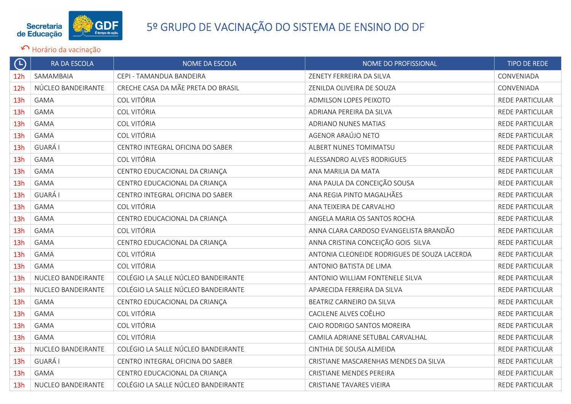

| $\Theta$        | RA DA ESCOLA       | <b>NOME DA ESCOLA</b>               | NOME DO PROFISSIONAL                         | TIPO DE REDE           |
|-----------------|--------------------|-------------------------------------|----------------------------------------------|------------------------|
| 12 <sub>h</sub> | SAMAMBAIA          | CEPI - TAMANDUA BANDEIRA            | ZENETY FERREIRA DA SILVA                     | CONVENIADA             |
| 12h             | NÚCLEO BANDEIRANTE | CRECHE CASA DA MÃE PRETA DO BRASIL  | ZENILDA OLIVEIRA DE SOUZA                    | CONVENIADA             |
| 13h             | <b>GAMA</b>        | COL VITÓRIA                         | ADMILSON LOPES PEIXOTO                       | REDE PARTICULAR        |
| 13h             | <b>GAMA</b>        | COL VITÓRIA                         | ADRIANA PEREIRA DA SILVA                     | REDE PARTICULAR        |
| 13h             | <b>GAMA</b>        | COL VITÓRIA                         | ADRIANO NUNES MATIAS                         | REDE PARTICULAR        |
| 13h             | <b>GAMA</b>        | COL VITÓRIA                         | AGENOR ARAÚJO NETO                           | REDE PARTICULAR        |
| 13h             | <b>GUARÁ I</b>     | CENTRO INTEGRAL OFICINA DO SABER    | ALBERT NUNES TOMIMATSU                       | REDE PARTICULAR        |
| 13h             | <b>GAMA</b>        | COL VITÓRIA                         | ALESSANDRO ALVES RODRIGUES                   | REDE PARTICULAR        |
| 13h             | <b>GAMA</b>        | CENTRO EDUCACIONAL DA CRIANÇA       | ANA MARILIA DA MATA                          | <b>REDE PARTICULAR</b> |
| 13h             | <b>GAMA</b>        | CENTRO EDUCACIONAL DA CRIANÇA       | ANA PAULA DA CONCEIÇÃO SOUSA                 | <b>REDE PARTICULAR</b> |
| 13h             | <b>GUARÁ I</b>     | CENTRO INTEGRAL OFICINA DO SABER    | ANA REGIA PINTO MAGALHÃES                    | REDE PARTICULAR        |
| 13h             | <b>GAMA</b>        | COL VITÓRIA                         | ANA TEIXEIRA DE CARVALHO                     | REDE PARTICULAR        |
| 13h             | <b>GAMA</b>        | CENTRO EDUCACIONAL DA CRIANÇA       | ANGELA MARIA OS SANTOS ROCHA                 | REDE PARTICULAR        |
| 13h             | <b>GAMA</b>        | COL VITÓRIA                         | ANNA CLARA CARDOSO EVANGELISTA BRANDÃO       | REDE PARTICULAR        |
| 13h             | <b>GAMA</b>        | CENTRO EDUCACIONAL DA CRIANÇA       | ANNA CRISTINA CONCEIÇÃO GOIS SILVA           | REDE PARTICULAR        |
| 13h             | <b>GAMA</b>        | COL VITÓRIA                         | ANTONIA CLEONEIDE RODRIGUES DE SOUZA LACERDA | REDE PARTICULAR        |
| 13h             | <b>GAMA</b>        | COL VITÓRIA                         | ANTONIO BATISTA DE LIMA                      | REDE PARTICULAR        |
| 13h             | NUCLEO BANDEIRANTE | COLÉGIO LA SALLE NÚCLEO BANDEIRANTE | ANTONIO WILLIAM FONTENELE SILVA              | REDE PARTICULAR        |
| 13h             | NUCLEO BANDEIRANTE | COLÉGIO LA SALLE NÚCLEO BANDEIRANTE | APARECIDA FERREIRA DA SILVA                  | REDE PARTICULAR        |
| 13h             | <b>GAMA</b>        | CENTRO EDUCACIONAL DA CRIANÇA       | BEATRIZ CARNEIRO DA SILVA                    | REDE PARTICULAR        |
| 13h             | <b>GAMA</b>        | COL VITÓRIA                         | CACILENE ALVES COÊLHO                        | REDE PARTICULAR        |
| 13h             | <b>GAMA</b>        | COL VITÓRIA                         | CAIO RODRIGO SANTOS MOREIRA                  | REDE PARTICULAR        |
| 13h             | <b>GAMA</b>        | COL VITÓRIA                         | CAMILA ADRIANE SETUBAL CARVALHAL             | REDE PARTICULAR        |
| 13h             | NUCLEO BANDEIRANTE | COLÉGIO LA SALLE NÚCLEO BANDEIRANTE | CINTHIA DE SOUSA ALMEIDA                     | REDE PARTICULAR        |
| 13h             | GUARÁ I            | CENTRO INTEGRAL OFICINA DO SABER    | CRISTIANE MASCARENHAS MENDES DA SILVA        | REDE PARTICULAR        |
| 13h             | <b>GAMA</b>        | CENTRO EDUCACIONAL DA CRIANÇA       | <b>CRISTIANE MENDES PEREIRA</b>              | REDE PARTICULAR        |
| 13h             | NUCLEO BANDEIRANTE | COLÉGIO LA SALLE NÚCLEO BANDEIRANTE | <b>CRISTIANE TAVARES VIEIRA</b>              | REDE PARTICULAR        |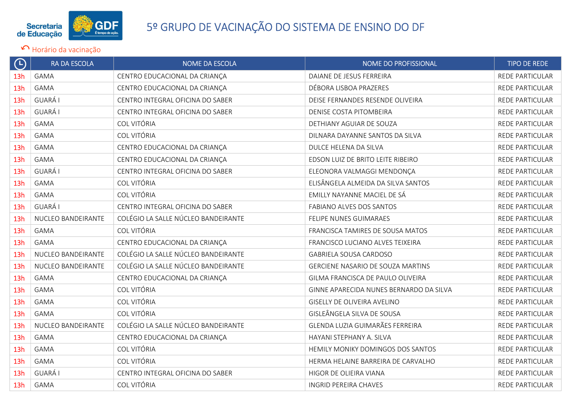

| $\bigoplus$ | <b>RA DA ESCOLA</b> | NOME DA ESCOLA                      | NOME DO PROFISSIONAL                    | <b>TIPO DE REDE</b>    |
|-------------|---------------------|-------------------------------------|-----------------------------------------|------------------------|
| 13h         | <b>GAMA</b>         | CENTRO EDUCACIONAL DA CRIANÇA       | DAIANE DE JESUS FERREIRA                | REDE PARTICULAR        |
| 13h         | <b>GAMA</b>         | CENTRO EDUCACIONAL DA CRIANÇA       | DÉBORA LISBOA PRAZERES                  | REDE PARTICULAR        |
| 13h         | <b>GUARÁ I</b>      | CENTRO INTEGRAL OFICINA DO SABER    | DEISE FERNANDES RESENDE OLIVEIRA        | REDE PARTICULAR        |
| 13h         | <b>GUARÁ I</b>      | CENTRO INTEGRAL OFICINA DO SABER    | DENISE COSTA PITOMBEIRA                 | REDE PARTICULAR        |
| 13h         | <b>GAMA</b>         | <b>COL VITÓRIA</b>                  | DETHIANY AGUIAR DE SOUZA                | REDE PARTICULAR        |
| 13h         | <b>GAMA</b>         | <b>COL VITÓRIA</b>                  | DILNARA DAYANNE SANTOS DA SILVA         | REDE PARTICULAR        |
| 13h         | <b>GAMA</b>         | CENTRO EDUCACIONAL DA CRIANÇA       | DULCE HELENA DA SILVA                   | REDE PARTICULAR        |
| 13h         | <b>GAMA</b>         | CENTRO EDUCACIONAL DA CRIANÇA       | EDSON LUIZ DE BRITO LEITE RIBEIRO       | REDE PARTICULAR        |
| 13h         | <b>GUARÁ I</b>      | CENTRO INTEGRAL OFICINA DO SABER    | ELEONORA VALMAGGI MENDONÇA              | REDE PARTICULAR        |
| 13h         | <b>GAMA</b>         | COL VITÓRIA                         | ELISÂNGELA ALMEIDA DA SILVA SANTOS      | REDE PARTICULAR        |
| 13h         | <b>GAMA</b>         | <b>COL VITÓRIA</b>                  | EMILLY NAYANNE MACIEL DE SÁ             | REDE PARTICULAR        |
| 13h         | <b>GUARÁ I</b>      | CENTRO INTEGRAL OFICINA DO SABER    | FABIANO ALVES DOS SANTOS                | REDE PARTICULAR        |
| 13h         | NUCLEO BANDEIRANTE  | COLÉGIO LA SALLE NÚCLEO BANDEIRANTE | FELIPE NUNES GUIMARAES                  | REDE PARTICULAR        |
| 13h         | <b>GAMA</b>         | <b>COL VITÓRIA</b>                  | FRANCISCA TAMIRES DE SOUSA MATOS        | <b>REDE PARTICULAR</b> |
| 13h         | <b>GAMA</b>         | CENTRO EDUCACIONAL DA CRIANÇA       | FRANCISCO LUCIANO ALVES TEIXEIRA        | REDE PARTICULAR        |
| 13h         | NUCLEO BANDEIRANTE  | COLÉGIO LA SALLE NÚCLEO BANDEIRANTE | GABRIELA SOUSA CARDOSO                  | REDE PARTICULAR        |
| 13h         | NUCLEO BANDEIRANTE  | COLÉGIO LA SALLE NÚCLEO BANDEIRANTE | GERCIENE NASARIO DE SOUZA MARTINS       | REDE PARTICULAR        |
| 13h         | <b>GAMA</b>         | CENTRO EDUCACIONAL DA CRIANÇA       | GILMA FRANCISCA DE PAULO OLIVEIRA       | REDE PARTICULAR        |
| 13h         | <b>GAMA</b>         | COL VITÓRIA                         | GINNE APARECIDA NUNES BERNARDO DA SILVA | REDE PARTICULAR        |
| 13h         | <b>GAMA</b>         | <b>COL VITÓRIA</b>                  | GISELLY DE OLIVEIRA AVELINO             | <b>REDE PARTICULAR</b> |
| 13h         | <b>GAMA</b>         | <b>COL VITÓRIA</b>                  | GISLEÂNGELA SILVA DE SOUSA              | REDE PARTICULAR        |
| 13h         | NUCLEO BANDEIRANTE  | COLÉGIO LA SALLE NÚCLEO BANDEIRANTE | GLENDA LUZIA GUIMARÃES FERREIRA         | REDE PARTICULAR        |
| 13h         | <b>GAMA</b>         | CENTRO EDUCACIONAL DA CRIANÇA       | HAYANI STEPHANY A. SILVA                | <b>REDE PARTICULAR</b> |
| 13h         | <b>GAMA</b>         | COL VITÓRIA                         | HEMILY MONIKY DOMINGOS DOS SANTOS       | REDE PARTICULAR        |
| 13h         | <b>GAMA</b>         | COL VITÓRIA                         | HERMA HELAINE BARREIRA DE CARVALHO      | REDE PARTICULAR        |
| 13h         | <b>GUARÁ I</b>      | CENTRO INTEGRAL OFICINA DO SABER    | HIGOR DE OLIEIRA VIANA                  | REDE PARTICULAR        |
| 13h         | <b>GAMA</b>         | COL VITÓRIA                         | <b>INGRID PEREIRA CHAVES</b>            | REDE PARTICULAR        |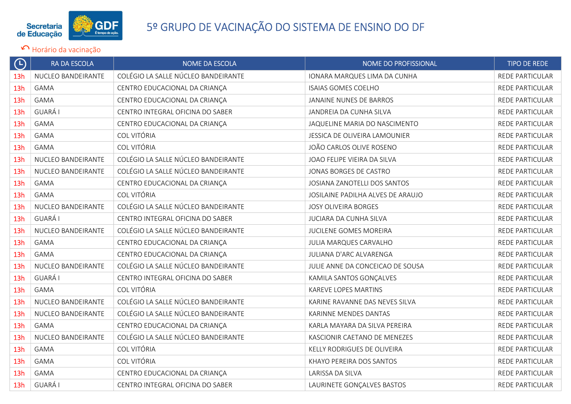

| $\Theta$        | RA DA ESCOLA       | <b>NOME DA ESCOLA</b>               | NOME DO PROFISSIONAL              | <b>TIPO DE REDE</b>    |
|-----------------|--------------------|-------------------------------------|-----------------------------------|------------------------|
| 13h             | NUCLEO BANDEIRANTE | COLÉGIO LA SALLE NÚCLEO BANDEIRANTE | IONARA MARQUES LIMA DA CUNHA      | REDE PARTICULAR        |
| 13h             | <b>GAMA</b>        | CENTRO EDUCACIONAL DA CRIANÇA       | <b>ISAIAS GOMES COELHO</b>        | REDE PARTICULAR        |
| 13h             | <b>GAMA</b>        | CENTRO EDUCACIONAL DA CRIANÇA       | JANAINE NUNES DE BARROS           | REDE PARTICULAR        |
| 13h             | GUARÁ I            | CENTRO INTEGRAL OFICINA DO SABER    | JANDREIA DA CUNHA SILVA           | REDE PARTICULAR        |
| 13h             | <b>GAMA</b>        | CENTRO EDUCACIONAL DA CRIANÇA       | JAQUELINE MARIA DO NASCIMENTO     | REDE PARTICULAR        |
| 13h             | <b>GAMA</b>        | COL VITÓRIA                         | JESSICA DE OLIVEIRA LAMOUNIER     | <b>REDE PARTICULAR</b> |
| 13h             | <b>GAMA</b>        | COL VITÓRIA                         | JOÃO CARLOS OLIVE ROSENO          | REDE PARTICULAR        |
| 13h             | NUCLEO BANDEIRANTE | COLÉGIO LA SALLE NÚCLEO BANDEIRANTE | JOAO FELIPE VIEIRA DA SILVA       | REDE PARTICULAR        |
| 13h             | NUCLEO BANDEIRANTE | COLÉGIO LA SALLE NÚCLEO BANDEIRANTE | JONAS BORGES DE CASTRO            | REDE PARTICULAR        |
| 13h             | <b>GAMA</b>        | CENTRO EDUCACIONAL DA CRIANÇA       | JOSIANA ZANOTELLI DOS SANTOS      | REDE PARTICULAR        |
| 13h             | <b>GAMA</b>        | <b>COL VITÓRIA</b>                  | JOSILAINE PADILHA ALVES DE ARAUJO | REDE PARTICULAR        |
| 13h             | NUCLEO BANDEIRANTE | COLÉGIO LA SALLE NÚCLEO BANDEIRANTE | JOSY OLIVEIRA BORGES              | REDE PARTICULAR        |
| 13h             | <b>GUARÁ I</b>     | CENTRO INTEGRAL OFICINA DO SABER    | JUCIARA DA CUNHA SILVA            | REDE PARTICULAR        |
| 13h             | NUCLEO BANDEIRANTE | COLÉGIO LA SALLE NÚCLEO BANDEIRANTE | JUCILENE GOMES MOREIRA            | REDE PARTICULAR        |
| 13h             | <b>GAMA</b>        | CENTRO EDUCACIONAL DA CRIANÇA       | JULIA MARQUES CARVALHO            | REDE PARTICULAR        |
| 13h             | GAMA               | CENTRO EDUCACIONAL DA CRIANÇA       | JULIANA D'ARC ALVARENGA           | REDE PARTICULAR        |
| 13h             | NUCLEO BANDEIRANTE | COLÉGIO LA SALLE NÚCLEO BANDEIRANTE | JULIE ANNE DA CONCEICAO DE SOUSA  | REDE PARTICULAR        |
| 13h             | GUARÁ I            | CENTRO INTEGRAL OFICINA DO SABER    | KAMILA SANTOS GONÇALVES           | REDE PARTICULAR        |
| 13h             | <b>GAMA</b>        | COL VITÓRIA                         | KAREVE LOPES MARTINS              | REDE PARTICULAR        |
| 13h             | NUCLEO BANDEIRANTE | COLÉGIO LA SALLE NÚCLEO BANDEIRANTE | KARINE RAVANNE DAS NEVES SILVA    | <b>REDE PARTICULAR</b> |
| 13h             | NUCLEO BANDEIRANTE | COLÉGIO LA SALLE NÚCLEO BANDEIRANTE | KARINNE MENDES DANTAS             | REDE PARTICULAR        |
| 13h             | <b>GAMA</b>        | CENTRO EDUCACIONAL DA CRIANÇA       | KARLA MAYARA DA SILVA PEREIRA     | REDE PARTICULAR        |
| 13 <sub>h</sub> | NUCLEO BANDEIRANTE | COLÉGIO LA SALLE NÚCLEO BANDEIRANTE | KASCIONIR CAETANO DE MENEZES      | REDE PARTICULAR        |
| 13h             | <b>GAMA</b>        | COL VITÓRIA                         | KELLY RODRIGUES DE OLIVEIRA       | REDE PARTICULAR        |
| 13h             | <b>GAMA</b>        | COL VITÓRIA                         | KHAYO PEREIRA DOS SANTOS          | REDE PARTICULAR        |
| 13h             | <b>GAMA</b>        | CENTRO EDUCACIONAL DA CRIANÇA       | LARISSA DA SILVA                  | REDE PARTICULAR        |
| 13h             | GUARÁ I            | CENTRO INTEGRAL OFICINA DO SABER    | LAURINETE GONÇALVES BASTOS        | REDE PARTICULAR        |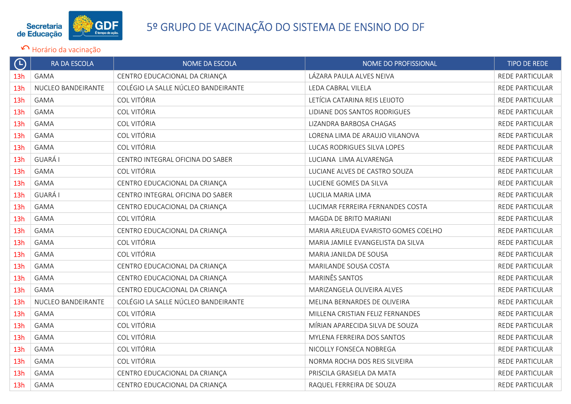

| $\bigoplus$ | <b>RA DA ESCOLA</b> | NOME DA ESCOLA                      | NOME DO PROFISSIONAL                | <b>TIPO DE REDE</b>    |
|-------------|---------------------|-------------------------------------|-------------------------------------|------------------------|
| 13h         | <b>GAMA</b>         | CENTRO EDUCACIONAL DA CRIANÇA       | LÁZARA PAULA ALVES NEIVA            | <b>REDE PARTICULAR</b> |
| 13h         | NUCLEO BANDEIRANTE  | COLÉGIO LA SALLE NÚCLEO BANDEIRANTE | LEDA CABRAL VILELA                  | REDE PARTICULAR        |
| 13h         | <b>GAMA</b>         | <b>COL VITÓRIA</b>                  | LETÍCIA CATARINA REIS LEIJOTO       | REDE PARTICULAR        |
| 13h         | <b>GAMA</b>         | COL VITÓRIA                         | LIDIANE DOS SANTOS RODRIGUES        | <b>REDE PARTICULAR</b> |
| 13h         | <b>GAMA</b>         | COL VITÓRIA                         | LIZANDRA BARBOSA CHAGAS             | REDE PARTICULAR        |
| 13h         | <b>GAMA</b>         | COL VITÓRIA                         | LORENA LIMA DE ARAUJO VILANOVA      | REDE PARTICULAR        |
| 13h         | <b>GAMA</b>         | <b>COL VITÓRIA</b>                  | LUCAS RODRIGUES SILVA LOPES         | REDE PARTICULAR        |
| 13h         | GUARÁ I             | CENTRO INTEGRAL OFICINA DO SABER    | LUCIANA LIMA ALVARENGA              | <b>REDE PARTICULAR</b> |
| 13h         | <b>GAMA</b>         | <b>COL VITÓRIA</b>                  | LUCIANE ALVES DE CASTRO SOUZA       | REDE PARTICULAR        |
| 13h         | <b>GAMA</b>         | CENTRO EDUCACIONAL DA CRIANÇA       | LUCIENE GOMES DA SILVA              | REDE PARTICULAR        |
| 13h         | <b>GUARÁ I</b>      | CENTRO INTEGRAL OFICINA DO SABER    | LUCILIA MARIA LIMA                  | <b>REDE PARTICULAR</b> |
| 13h         | <b>GAMA</b>         | CENTRO EDUCACIONAL DA CRIANÇA       | LUCIMAR FERREIRA FERNANDES COSTA    | REDE PARTICULAR        |
| 13h         | <b>GAMA</b>         | COL VITÓRIA                         | MAGDA DE BRITO MARIANI              | REDE PARTICULAR        |
| 13h         | <b>GAMA</b>         | CENTRO EDUCACIONAL DA CRIANÇA       | MARIA ARLEUDA EVARISTO GOMES COELHO | <b>REDE PARTICULAR</b> |
| 13h         | <b>GAMA</b>         | COL VITÓRIA                         | MARIA JAMILE EVANGELISTA DA SILVA   | REDE PARTICULAR        |
| 13h         | <b>GAMA</b>         | COL VITÓRIA                         | MARIA JANILDA DE SOUSA              | REDE PARTICULAR        |
| 13h         | <b>GAMA</b>         | CENTRO EDUCACIONAL DA CRIANÇA       | MARILANDE SOUSA COSTA               | <b>REDE PARTICULAR</b> |
| 13h         | <b>GAMA</b>         | CENTRO EDUCACIONAL DA CRIANÇA       | MARINÊS SANTOS                      | <b>REDE PARTICULAR</b> |
| 13h         | <b>GAMA</b>         | CENTRO EDUCACIONAL DA CRIANÇA       | MARIZANGELA OLIVEIRA ALVES          | REDE PARTICULAR        |
| 13h         | NUCLEO BANDEIRANTE  | COLÉGIO LA SALLE NÚCLEO BANDEIRANTE | MELINA BERNARDES DE OLIVEIRA        | <b>REDE PARTICULAR</b> |
| 13h         | GAMA                | <b>COL VITÓRIA</b>                  | MILLENA CRISTIAN FELIZ FERNANDES    | REDE PARTICULAR        |
| 13h         | <b>GAMA</b>         | COL VITÓRIA                         | MÍRIAN APARECIDA SILVA DE SOUZA     | REDE PARTICULAR        |
| 13h         | <b>GAMA</b>         | COL VITÓRIA                         | MYLENA FERREIRA DOS SANTOS          | <b>REDE PARTICULAR</b> |
| 13h         | <b>GAMA</b>         | <b>COL VITÓRIA</b>                  | NICOLLY FONSECA NOBREGA             | REDE PARTICULAR        |
| 13h         | <b>GAMA</b>         | <b>COL VITÓRIA</b>                  | NORMA ROCHA DOS REIS SILVEIRA       | REDE PARTICULAR        |
| 13h         | <b>GAMA</b>         | CENTRO EDUCACIONAL DA CRIANÇA       | PRISCILA GRASIELA DA MATA           | <b>REDE PARTICULAR</b> |
| 13h         | <b>GAMA</b>         | CENTRO EDUCACIONAL DA CRIANÇA       | RAQUEL FERREIRA DE SOUZA            | REDE PARTICULAR        |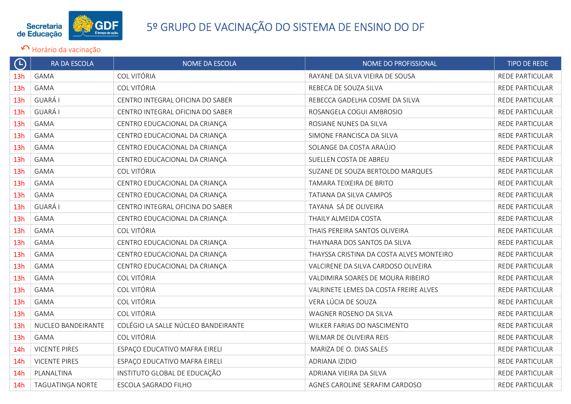

| $\Theta$        | RA DA ESCOLA         | NOME DA ESCOLA                      | NOME DO PROFISSIONAL                     | <b>TIPO DE REDE</b>    |
|-----------------|----------------------|-------------------------------------|------------------------------------------|------------------------|
| 13h             | <b>GAMA</b>          | COL VITÓRIA                         | RAYANE DA SILVA VIEIRA DE SOUSA          | REDE PARTICULAR        |
| 13h             | <b>GAMA</b>          | <b>COL VITÓRIA</b>                  | REBECA DE SOUZA SILVA                    | <b>REDE PARTICULAR</b> |
| 13h             | <b>GUARÁ I</b>       | CENTRO INTEGRAL OFICINA DO SABER    | REBECCA GADELHA COSME DA SILVA           | REDE PARTICULAR        |
| 13h             | <b>GUARÁ I</b>       | CENTRO INTEGRAL OFICINA DO SABER    | ROSANGELA COGUI AMBROSIO                 | REDE PARTICULAR        |
| 13h             | <b>GAMA</b>          | CENTRO EDUCACIONAL DA CRIANÇA       | ROSIANE NUNES DA SILVA                   | REDE PARTICULAR        |
| 13h             | <b>GAMA</b>          | CENTRO EDUCACIONAL DA CRIANÇA       | SIMONE FRANCISCA DA SILVA                | REDE PARTICULAR        |
| 13h             | <b>GAMA</b>          | CENTRO EDUCACIONAL DA CRIANÇA       | SOLANGE DA COSTA ARAÚJO                  | REDE PARTICULAR        |
| 13h             | <b>GAMA</b>          | CENTRO EDUCACIONAL DA CRIANÇA       | SUELLEN COSTA DE ABREU                   | REDE PARTICULAR        |
| 13h             | <b>GAMA</b>          | COL VITÓRIA                         | SUZANE DE SOUZA BERTOLDO MARQUES         | REDE PARTICULAR        |
| 13h             | <b>GAMA</b>          | CENTRO EDUCACIONAL DA CRIANÇA       | TAMARA TEIXEIRA DE BRITO                 | REDE PARTICULAR        |
| 13h             | <b>GAMA</b>          | CENTRO EDUCACIONAL DA CRIANÇA       | TATIANA DA SILVA CAMPOS                  | <b>REDE PARTICULAR</b> |
| 13h             | <b>GUARÁ I</b>       | CENTRO INTEGRAL OFICINA DO SABER    | TAYANA SÁ DE OLIVEIRA                    | <b>REDE PARTICULAR</b> |
| 13h             | <b>GAMA</b>          | CENTRO EDUCACIONAL DA CRIANÇA       | THAILY ALMEIDA COSTA                     | REDE PARTICULAR        |
| 13 <sub>h</sub> | <b>GAMA</b>          | COL VITÓRIA                         | THAIS PEREIRA SANTOS OLIVEIRA            | REDE PARTICULAR        |
| 13h             | <b>GAMA</b>          | CENTRO EDUCACIONAL DA CRIANÇA       | THAYNARA DOS SANTOS DA SILVA             | REDE PARTICULAR        |
| 13h             | <b>GAMA</b>          | CENTRO EDUCACIONAL DA CRIANÇA       | THAYSSA CRISTINA DA COSTA ALVES MONTEIRO | REDE PARTICULAR        |
| 13h             | <b>GAMA</b>          | CENTRO EDUCACIONAL DA CRIANÇA       | VALCIRENE DA SILVA CARDOSO OLIVEIRA      | REDE PARTICULAR        |
| 13h             | <b>GAMA</b>          | <b>COL VITÓRIA</b>                  | VALDIMIRA SOARES DE MOURA RIBEIRO        | REDE PARTICULAR        |
| 13h             | <b>GAMA</b>          | COL VITÓRIA                         | VALRINETE LEMES DA COSTA FREIRE ALVES    | REDE PARTICULAR        |
| 13h             | <b>GAMA</b>          | COL VITÓRIA                         | VERA LÚCIA DE SOUZA                      | REDE PARTICULAR        |
| 13h             | <b>GAMA</b>          | <b>COL VITÓRIA</b>                  | WAGNER ROSENO DA SILVA                   | REDE PARTICULAR        |
| 13h             | NUCLEO BANDEIRANTE   | COLÉGIO LA SALLE NÚCLEO BANDEIRANTE | WILKER FARIAS DO NASCIMENTO              | REDE PARTICULAR        |
| 13h             | <b>GAMA</b>          | <b>COL VITÓRIA</b>                  | WILMAR DE OLIVEIRA REIS                  | REDE PARTICULAR        |
| 14h             | <b>VICENTE PIRES</b> | ESPAÇO EDUCATIVO MAFRA EIRELI       | MARIZA DE O. DIAS SALES                  | REDE PARTICULAR        |
| 14h             | <b>VICENTE PIRES</b> | ESPAÇO EDUCATIVO MAFRA EIRELI       | ADRIANA IZIDIO                           | REDE PARTICULAR        |
| 14h             | PLANALTINA           | INSTITUTO GLOBAL DE EDUCAÇÃO        | ADRIANA VIEIRA DA SILVA                  | REDE PARTICULAR        |
| 14h             | TAGUATINGA NORTE     | ESCOLA SAGRADO FILHO                | AGNES CAROLINE SERAFIM CARDOSO           | REDE PARTICULAR        |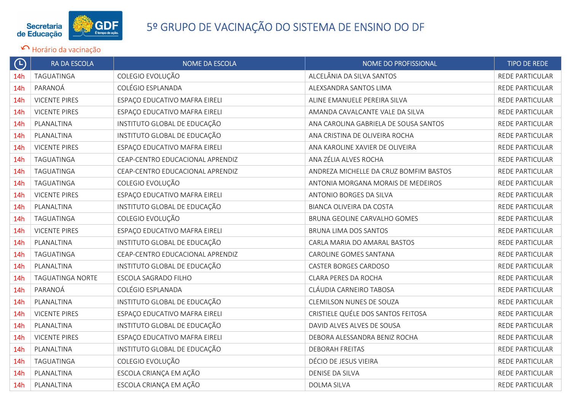

| $\bigoplus$     | <b>RA DA ESCOLA</b>     | <b>NOME DA ESCOLA</b>            | NOME DO PROFISSIONAL                   | <b>TIPO DE REDE</b>    |
|-----------------|-------------------------|----------------------------------|----------------------------------------|------------------------|
| 14 <sub>h</sub> | TAGUATINGA              | COLEGIO EVOLUÇÃO                 | ALCELÂNIA DA SILVA SANTOS              | REDE PARTICULAR        |
| 14h             | PARANOÁ                 | COLÉGIO ESPLANADA                | ALEXSANDRA SANTOS LIMA                 | REDE PARTICULAR        |
| 14h             | <b>VICENTE PIRES</b>    | ESPAÇO EDUCATIVO MAFRA EIRELI    | ALINE EMANUELE PEREIRA SILVA           | REDE PARTICULAR        |
| 14h             | <b>VICENTE PIRES</b>    | ESPAÇO EDUCATIVO MAFRA EIRELI    | AMANDA CAVALCANTE VALE DA SILVA        | REDE PARTICULAR        |
| 14 <sub>h</sub> | PLANALTINA              | INSTITUTO GLOBAL DE EDUCAÇÃO     | ANA CAROLINA GABRIELA DE SOUSA SANTOS  | REDE PARTICULAR        |
| 14h             | PLANALTINA              | INSTITUTO GLOBAL DE EDUCAÇÃO     | ANA CRISTINA DE OLIVEIRA ROCHA         | REDE PARTICULAR        |
| 14 <sub>h</sub> | <b>VICENTE PIRES</b>    | ESPAÇO EDUCATIVO MAFRA EIRELI    | ANA KAROLINE XAVIER DE OLIVEIRA        | REDE PARTICULAR        |
| 14h             | TAGUATINGA              | CEAP-CENTRO EDUCACIONAL APRENDIZ | ANA ZÉLIA ALVES ROCHA                  | REDE PARTICULAR        |
| 14h             | TAGUATINGA              | CEAP-CENTRO EDUCACIONAL APRENDIZ | ANDREZA MICHELLE DA CRUZ BOMFIM BASTOS | REDE PARTICULAR        |
| 14h             | TAGUATINGA              | COLEGIO EVOLUÇÃO                 | ANTONIA MORGANA MORAIS DE MEDEIROS     | REDE PARTICULAR        |
| 14 <sub>h</sub> | <b>VICENTE PIRES</b>    | ESPAÇO EDUCATIVO MAFRA EIRELI    | ANTONIO BORGES DA SILVA                | REDE PARTICULAR        |
| 14h             | PLANALTINA              | INSTITUTO GLOBAL DE EDUCAÇÃO     | BIANCA OLIVEIRA DA COSTA               | REDE PARTICULAR        |
| 14h             | TAGUATINGA              | COLEGIO EVOLUÇÃO                 | BRUNA GEOLINE CARVALHO GOMES           | REDE PARTICULAR        |
| 14h             | <b>VICENTE PIRES</b>    | ESPAÇO EDUCATIVO MAFRA EIRELI    | BRUNA LIMA DOS SANTOS                  | <b>REDE PARTICULAR</b> |
| 14h             | PLANALTINA              | INSTITUTO GLOBAL DE EDUCAÇÃO     | CARLA MARIA DO AMARAL BASTOS           | REDE PARTICULAR        |
| 14h             | TAGUATINGA              | CEAP-CENTRO EDUCACIONAL APRENDIZ | CAROLINE GOMES SANTANA                 | REDE PARTICULAR        |
| 14h             | PLANALTINA              | INSTITUTO GLOBAL DE EDUCAÇÃO     | CASTER BORGES CARDOSO                  | REDE PARTICULAR        |
| 14h             | <b>TAGUATINGA NORTE</b> | ESCOLA SAGRADO FILHO             | CLARA PERES DA ROCHA                   | <b>REDE PARTICULAR</b> |
| 14h             | PARANOÁ                 | COLÉGIO ESPLANADA                | CLÁUDIA CARNEIRO TABOSA                | REDE PARTICULAR        |
| 14h             | PLANALTINA              | INSTITUTO GLOBAL DE EDUCAÇÃO     | CLEMILSON NUNES DE SOUZA               | REDE PARTICULAR        |
| 14h             | <b>VICENTE PIRES</b>    | ESPAÇO EDUCATIVO MAFRA EIRELI    | CRISTIELE QUÉLE DOS SANTOS FEITOSA     | REDE PARTICULAR        |
| 14h             | PLANALTINA              | INSTITUTO GLOBAL DE EDUCAÇÃO     | DAVID ALVES ALVES DE SOUSA             | REDE PARTICULAR        |
| 14 <sub>h</sub> | <b>VICENTE PIRES</b>    | ESPAÇO EDUCATIVO MAFRA EIRELI    | DEBORA ALESSANDRA BENIZ ROCHA          | REDE PARTICULAR        |
| 14 <sub>h</sub> | PLANALTINA              | INSTITUTO GLOBAL DE EDUCAÇÃO     | <b>DEBORAH FREITAS</b>                 | REDE PARTICULAR        |
| 14 <sub>h</sub> | TAGUATINGA              | COLEGIO EVOLUÇÃO                 | DÉCIO DE JESUS VIEIRA                  | REDE PARTICULAR        |
| 14 <sub>h</sub> | PLANALTINA              | ESCOLA CRIANÇA EM AÇÃO           | DENISE DA SILVA                        | REDE PARTICULAR        |
| 14h             | PLANALTINA              | ESCOLA CRIANÇA EM AÇÃO           | <b>DOLMA SILVA</b>                     | REDE PARTICULAR        |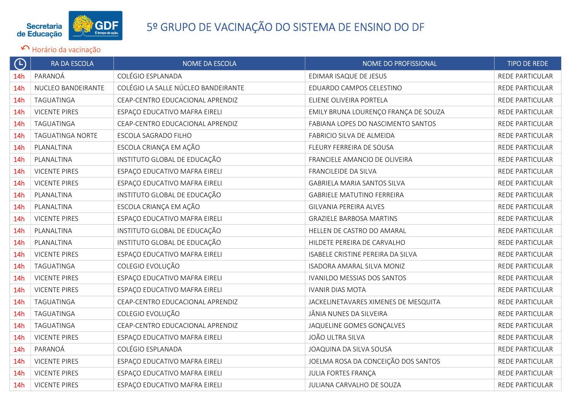

| $\bigoplus$     | RA DA ESCOLA            | NOME DA ESCOLA                      | NOME DO PROFISSIONAL                 | <b>TIPO DE REDE</b>    |
|-----------------|-------------------------|-------------------------------------|--------------------------------------|------------------------|
| 14h             | PARANOÁ                 | COLÉGIO ESPLANADA                   | EDIMAR ISAQUE DE JESUS               | REDE PARTICULAR        |
| 14h             | NUCLEO BANDEIRANTE      | COLÉGIO LA SALLE NÚCLEO BANDEIRANTE | EDUARDO CAMPOS CELESTINO             | REDE PARTICULAR        |
| 14h             | TAGUATINGA              | CEAP-CENTRO EDUCACIONAL APRENDIZ    | ELIENE OLIVEIRA PORTELA              | <b>REDE PARTICULAR</b> |
| 14h             | <b>VICENTE PIRES</b>    | ESPAÇO EDUCATIVO MAFRA EIRELI       | EMILY BRUNA LOURENÇO FRANÇA DE SOUZA | REDE PARTICULAR        |
| 14 <sub>h</sub> | TAGUATINGA              | CEAP-CENTRO EDUCACIONAL APRENDIZ    | FABIANA LOPES DO NASCIMENTO SANTOS   | REDE PARTICULAR        |
| 14h             | <b>TAGUATINGA NORTE</b> | ESCOLA SAGRADO FILHO                | FABRICIO SILVA DE ALMEIDA            | <b>REDE PARTICULAR</b> |
| 14h             | PLANALTINA              | ESCOLA CRIANÇA EM AÇÃO              | FLEURY FERREIRA DE SOUSA             | REDE PARTICULAR        |
| 14h             | PLANALTINA              | INSTITUTO GLOBAL DE EDUCAÇÃO        | FRANCIELE AMANCIO DE OLIVEIRA        | REDE PARTICULAR        |
| 14 <sub>h</sub> | <b>VICENTE PIRES</b>    | ESPAÇO EDUCATIVO MAFRA EIRELI       | FRANCILEIDE DA SILVA                 | <b>REDE PARTICULAR</b> |
| 14h             | <b>VICENTE PIRES</b>    | ESPAÇO EDUCATIVO MAFRA EIRELI       | GABRIELA MARIA SANTOS SILVA          | REDE PARTICULAR        |
| 14h             | PLANALTINA              | INSTITUTO GLOBAL DE EDUCAÇÃO        | <b>GABRIELE MATUTINO FERREIRA</b>    | REDE PARTICULAR        |
| 14 <sub>h</sub> | PLANALTINA              | ESCOLA CRIANÇA EM AÇÃO              | GILVANIA PEREIRA ALVES               | REDE PARTICULAR        |
| 14h             | <b>VICENTE PIRES</b>    | ESPAÇO EDUCATIVO MAFRA EIRELI       | <b>GRAZIELE BARBOSA MARTINS</b>      | REDE PARTICULAR        |
| 14 <sub>h</sub> | PLANALTINA              | INSTITUTO GLOBAL DE EDUCAÇÃO        | HELLEN DE CASTRO DO AMARAL           | REDE PARTICULAR        |
| 14h             | PLANALTINA              | INSTITUTO GLOBAL DE EDUCAÇÃO        | HILDETE PEREIRA DE CARVALHO          | REDE PARTICULAR        |
| 14h             | <b>VICENTE PIRES</b>    | ESPAÇO EDUCATIVO MAFRA EIRELI       | ISABELE CRISTINE PEREIRA DA SILVA    | REDE PARTICULAR        |
| 14 <sub>h</sub> | TAGUATINGA              | COLEGIO EVOLUÇÃO                    | ISADORA AMARAL SILVA MONIZ           | REDE PARTICULAR        |
| 14h             | <b>VICENTE PIRES</b>    | ESPAÇO EDUCATIVO MAFRA EIRELI       | IVANILDO MESSIAS DOS SANTOS          | REDE PARTICULAR        |
| 14h             | <b>VICENTE PIRES</b>    | ESPAÇO EDUCATIVO MAFRA EIRELI       | <b>IVANIR DIAS MOTA</b>              | <b>REDE PARTICULAR</b> |
| 14h             | TAGUATINGA              | CEAP-CENTRO EDUCACIONAL APRENDIZ    | JACKELINETAVARES XIMENES DE MESQUITA | <b>REDE PARTICULAR</b> |
| 14h             | TAGUATINGA              | COLEGIO EVOLUÇÃO                    | JÂNIA NUNES DA SILVEIRA              | REDE PARTICULAR        |
| 14h             | TAGUATINGA              | CEAP-CENTRO EDUCACIONAL APRENDIZ    | JAQUELINE GOMES GONÇALVES            | REDE PARTICULAR        |
| 14h             | <b>VICENTE PIRES</b>    | ESPAÇO EDUCATIVO MAFRA EIRELI       | JOÃO ULTRA SILVA                     | REDE PARTICULAR        |
| 14h             | PARANOÁ                 | COLÉGIO ESPLANADA                   | JOAQUINA DA SILVA SOUSA              | REDE PARTICULAR        |
| 14h             | <b>VICENTE PIRES</b>    | ESPAÇO EDUCATIVO MAFRA EIRELI       | JOELMA ROSA DA CONCEIÇÃO DOS SANTOS  | REDE PARTICULAR        |
| 14 <sub>h</sub> | <b>VICENTE PIRES</b>    | ESPAÇO EDUCATIVO MAFRA EIRELI       | <b>JULIA FORTES FRANÇA</b>           | REDE PARTICULAR        |
| 14h             | <b>VICENTE PIRES</b>    | ESPAÇO EDUCATIVO MAFRA EIRELI       | JULIANA CARVALHO DE SOUZA            | REDE PARTICULAR        |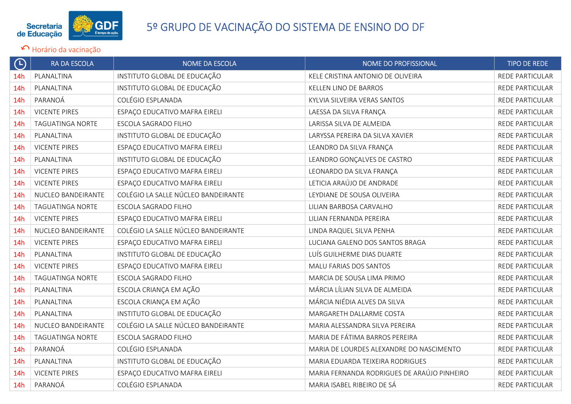

| $\Theta$        | <b>RA DA ESCOLA</b>     | <b>NOME DA ESCOLA</b>               | NOME DO PROFISSIONAL                        | <b>TIPO DE REDE</b> |
|-----------------|-------------------------|-------------------------------------|---------------------------------------------|---------------------|
| 14 <sub>h</sub> | PLANALTINA              | INSTITUTO GLOBAL DE EDUCAÇÃO        | KELE CRISTINA ANTONIO DE OLIVEIRA           | REDE PARTICULAR     |
| 14h             | PLANALTINA              | INSTITUTO GLOBAL DE EDUCAÇÃO        | KELLEN LINO DE BARROS                       | REDE PARTICULAR     |
| 14 <sub>h</sub> | PARANOÁ                 | COLÉGIO ESPLANADA                   | KYLVIA SILVEIRA VERAS SANTOS                | REDE PARTICULAR     |
| 14 <sub>h</sub> | <b>VICENTE PIRES</b>    | ESPAÇO EDUCATIVO MAFRA EIRELI       | LAESSA DA SILVA FRANÇA                      | REDE PARTICULAR     |
| 14h             | TAGUATINGA NORTE        | ESCOLA SAGRADO FILHO                | LARISSA SILVA DE ALMEIDA                    | REDE PARTICULAR     |
| 14 <sub>h</sub> | PLANALTINA              | INSTITUTO GLOBAL DE EDUCAÇÃO        | LARYSSA PEREIRA DA SILVA XAVIER             | REDE PARTICULAR     |
| 14 <sub>h</sub> | <b>VICENTE PIRES</b>    | ESPAÇO EDUCATIVO MAFRA EIRELI       | LEANDRO DA SILVA FRANÇA                     | REDE PARTICULAR     |
| 14h             | PLANALTINA              | INSTITUTO GLOBAL DE EDUCAÇÃO        | LEANDRO GONÇALVES DE CASTRO                 | REDE PARTICULAR     |
| 14h             | <b>VICENTE PIRES</b>    | ESPAÇO EDUCATIVO MAFRA EIRELI       | LEONARDO DA SILVA FRANÇA                    | REDE PARTICULAR     |
| 14h             | <b>VICENTE PIRES</b>    | ESPAÇO EDUCATIVO MAFRA EIRELI       | LETICIA ARAÚJO DE ANDRADE                   | REDE PARTICULAR     |
| 14 <sub>h</sub> | NUCLEO BANDEIRANTE      | COLÉGIO LA SALLE NÚCLEO BANDEIRANTE | LEYDIANE DE SOUSA OLIVEIRA                  | REDE PARTICULAR     |
| 14 <sub>h</sub> | TAGUATINGA NORTE        | ESCOLA SAGRADO FILHO                | LILIAN BARBOSA CARVALHO                     | REDE PARTICULAR     |
| 14h             | <b>VICENTE PIRES</b>    | ESPAÇO EDUCATIVO MAFRA EIRELI       | LILIAN FERNANDA PEREIRA                     | REDE PARTICULAR     |
| 14h             | NUCLEO BANDEIRANTE      | COLÉGIO LA SALLE NÚCLEO BANDEIRANTE | LINDA RAQUEL SILVA PENHA                    | REDE PARTICULAR     |
| 14h             | <b>VICENTE PIRES</b>    | ESPAÇO EDUCATIVO MAFRA EIRELI       | LUCIANA GALENO DOS SANTOS BRAGA             | REDE PARTICULAR     |
| 14 <sub>h</sub> | PLANALTINA              | INSTITUTO GLOBAL DE EDUCAÇÃO        | LUÍS GUILHERME DIAS DUARTE                  | REDE PARTICULAR     |
| 14 <sub>h</sub> | <b>VICENTE PIRES</b>    | ESPAÇO EDUCATIVO MAFRA EIRELI       | MALU FARIAS DOS SANTOS                      | REDE PARTICULAR     |
| 14 <sub>h</sub> | <b>TAGUATINGA NORTE</b> | ESCOLA SAGRADO FILHO                | MARCIA DE SOUSA LIMA PRIMO                  | REDE PARTICULAR     |
| 14 <sub>h</sub> | PLANALTINA              | ESCOLA CRIANÇA EM AÇÃO              | MÁRCIA LÍLIAN SILVA DE ALMEIDA              | REDE PARTICULAR     |
| 14h             | PLANALTINA              | ESCOLA CRIANÇA EM AÇÃO              | MÁRCIA NIÉDIA ALVES DA SILVA                | REDE PARTICULAR     |
| 14h             | PLANALTINA              | INSTITUTO GLOBAL DE EDUCAÇÃO        | MARGARETH DALLARME COSTA                    | REDE PARTICULAR     |
| 14h             | NUCLEO BANDEIRANTE      | COLÉGIO LA SALLE NÚCLEO BANDEIRANTE | MARIA ALESSANDRA SILVA PEREIRA              | REDE PARTICULAR     |
| 14h             | <b>TAGUATINGA NORTE</b> | ESCOLA SAGRADO FILHO                | MARIA DE FÁTIMA BARROS PEREIRA              | REDE PARTICULAR     |
| 14 <sub>h</sub> | PARANOÁ                 | COLÉGIO ESPLANADA                   | MARIA DE LOURDES ALEXANDRE DO NASCIMENTO    | REDE PARTICULAR     |
| 14h             | PLANALTINA              | INSTITUTO GLOBAL DE EDUCAÇÃO        | MARIA EDUARDA TEIXEIRA RODRIGUES            | REDE PARTICULAR     |
| 14 <sub>h</sub> | <b>VICENTE PIRES</b>    | ESPAÇO EDUCATIVO MAFRA EIRELI       | MARIA FERNANDA RODRIGUES DE ARAÚJO PINHEIRO | REDE PARTICULAR     |
| 14h             | PARANOÁ                 | COLÉGIO ESPLANADA                   | MARIA ISABEL RIBEIRO DE SÁ                  | REDE PARTICULAR     |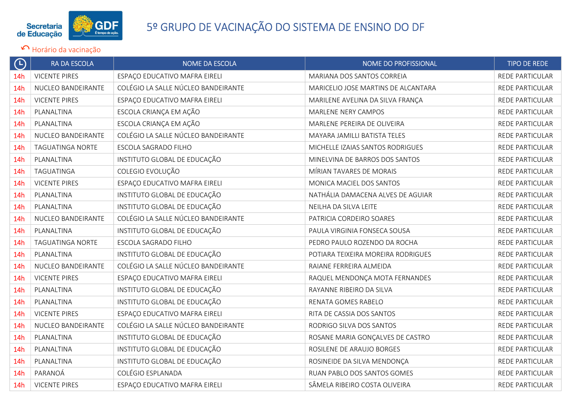

| $\bigoplus$     | <b>RA DA ESCOLA</b>     | NOME DA ESCOLA                      | NOME DO PROFISSIONAL                | <b>TIPO DE REDE</b>    |
|-----------------|-------------------------|-------------------------------------|-------------------------------------|------------------------|
| 14 <sub>h</sub> | <b>VICENTE PIRES</b>    | ESPAÇO EDUCATIVO MAFRA EIRELI       | MARIANA DOS SANTOS CORREIA          | REDE PARTICULAR        |
| 14h             | NUCLEO BANDEIRANTE      | COLÉGIO LA SALLE NÚCLEO BANDEIRANTE | MARICELIO JOSE MARTINS DE ALCANTARA | REDE PARTICULAR        |
| 14h             | <b>VICENTE PIRES</b>    | ESPAÇO EDUCATIVO MAFRA EIRELI       | MARILENE AVELINA DA SILVA FRANÇA    | REDE PARTICULAR        |
| 14h             | PLANALTINA              | ESCOLA CRIANÇA EM AÇÃO              | MARLENE NERY CAMPOS                 | REDE PARTICULAR        |
| 14h             | PLANALTINA              | ESCOLA CRIANÇA EM AÇÃO              | MARLENE PEREIRA DE OLIVEIRA         | REDE PARTICULAR        |
| 14h             | NUCLEO BANDEIRANTE      | COLÉGIO LA SALLE NÚCLEO BANDEIRANTE | MAYARA JAMILLI BATISTA TELES        | <b>REDE PARTICULAR</b> |
| 14 <sub>h</sub> | <b>TAGUATINGA NORTE</b> | ESCOLA SAGRADO FILHO                | MICHELLE IZAIAS SANTOS RODRIGUES    | REDE PARTICULAR        |
| 14 <sub>h</sub> | PLANALTINA              | INSTITUTO GLOBAL DE EDUCAÇÃO        | MINELVINA DE BARROS DOS SANTOS      | REDE PARTICULAR        |
| 14h             | TAGUATINGA              | COLEGIO EVOLUÇÃO                    | MÍRIAN TAVARES DE MORAIS            | REDE PARTICULAR        |
| 14h             | <b>VICENTE PIRES</b>    | ESPAÇO EDUCATIVO MAFRA EIRELI       | MONICA MACIEL DOS SANTOS            | <b>REDE PARTICULAR</b> |
| 14 <sub>h</sub> | PLANALTINA              | INSTITUTO GLOBAL DE EDUCAÇÃO        | NATHÁLIA DAMACENA ALVES DE AGUIAR   | REDE PARTICULAR        |
| 14h             | PLANALTINA              | INSTITUTO GLOBAL DE EDUCAÇÃO        | NEILHA DA SILVA LEITE               | REDE PARTICULAR        |
| 14 <sub>h</sub> | NUCLEO BANDEIRANTE      | COLÉGIO LA SALLE NÚCLEO BANDEIRANTE | PATRICIA CORDEIRO SOARES            | REDE PARTICULAR        |
| 14 <sub>h</sub> | PLANALTINA              | INSTITUTO GLOBAL DE EDUCAÇÃO        | PAULA VIRGINIA FONSECA SOUSA        | <b>REDE PARTICULAR</b> |
| 14h             | <b>TAGUATINGA NORTE</b> | ESCOLA SAGRADO FILHO                | PEDRO PAULO ROZENDO DA ROCHA        | REDE PARTICULAR        |
| 14h             | PLANALTINA              | INSTITUTO GLOBAL DE EDUCAÇÃO        | POTIARA TEIXEIRA MOREIRA RODRIGUES  | REDE PARTICULAR        |
| 14 <sub>h</sub> | NUCLEO BANDEIRANTE      | COLÉGIO LA SALLE NÚCLEO BANDEIRANTE | RAIANE FERREIRA ALMEIDA             | REDE PARTICULAR        |
| 14h             | <b>VICENTE PIRES</b>    | ESPAÇO EDUCATIVO MAFRA EIRELI       | RAQUEL MENDONÇA MOTA FERNANDES      | REDE PARTICULAR        |
| 14h             | PLANALTINA              | INSTITUTO GLOBAL DE EDUCAÇÃO        | RAYANNE RIBEIRO DA SILVA            | REDE PARTICULAR        |
| 14h             | PLANALTINA              | INSTITUTO GLOBAL DE EDUCAÇÃO        | RENATA GOMES RABELO                 | <b>REDE PARTICULAR</b> |
| 14h             | <b>VICENTE PIRES</b>    | ESPAÇO EDUCATIVO MAFRA EIRELI       | RITA DE CASSIA DOS SANTOS           | REDE PARTICULAR        |
| 14 <sub>h</sub> | NUCLEO BANDEIRANTE      | COLÉGIO LA SALLE NÚCLEO BANDEIRANTE | RODRIGO SILVA DOS SANTOS            | REDE PARTICULAR        |
| 14h             | PLANALTINA              | INSTITUTO GLOBAL DE EDUCAÇÃO        | ROSANE MARIA GONÇALVES DE CASTRO    | REDE PARTICULAR        |
| 14 <sub>h</sub> | PLANALTINA              | INSTITUTO GLOBAL DE EDUCAÇÃO        | ROSILENE DE ARAUJO BORGES           | REDE PARTICULAR        |
| 14 <sub>h</sub> | PLANALTINA              | INSTITUTO GLOBAL DE EDUCAÇÃO        | ROSINEIDE DA SILVA MENDONÇA         | REDE PARTICULAR        |
| 14h             | PARANOÁ                 | COLÉGIO ESPLANADA                   | RUAN PABLO DOS SANTOS GOMES         | <b>REDE PARTICULAR</b> |
| 14h             | <b>VICENTE PIRES</b>    | ESPAÇO EDUCATIVO MAFRA EIRELI       | SÂMELA RIBEIRO COSTA OLIVEIRA       | REDE PARTICULAR        |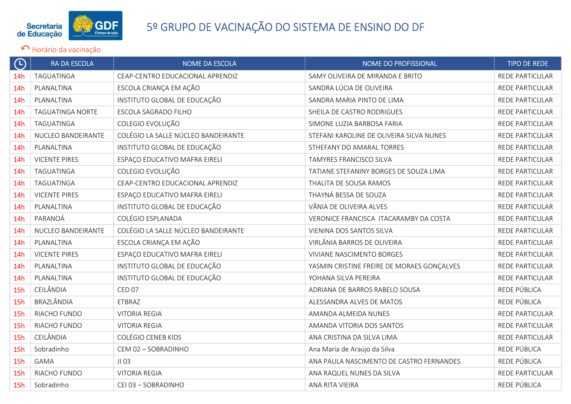

| $\bigoplus$     | <b>RA DA ESCOLA</b>     | <b>NOME DA ESCOLA</b>               | NOME DO PROFISSIONAL                       | <b>TIPO DE REDE</b>    |
|-----------------|-------------------------|-------------------------------------|--------------------------------------------|------------------------|
| 14 <sub>h</sub> | TAGUATINGA              | CEAP-CENTRO EDUCACIONAL APRENDIZ    | SAMY OLIVEIRA DE MIRANDA E BRITO           | <b>REDE PARTICULAR</b> |
| 14h             | PLANALTINA              | ESCOLA CRIANÇA EM AÇÃO              | SANDRA LÚCIA DE OLIVEIRA                   | REDE PARTICULAR        |
| 14h             | PLANALTINA              | INSTITUTO GLOBAL DE EDUCAÇÃO        | SANDRA MARIA PINTO DE LIMA                 | REDE PARTICULAR        |
| 14h             | <b>TAGUATINGA NORTE</b> | ESCOLA SAGRADO FILHO                | SHEILA DE CASTRO RODRIGUES                 | REDE PARTICULAR        |
| 14h             | TAGUATINGA              | COLEGIO EVOLUÇÃO                    | SIMONE LUZIA BARBOSA FARIA                 | <b>REDE PARTICULAR</b> |
| 14h             | NUCLEO BANDEIRANTE      | COLÉGIO LA SALLE NÚCLEO BANDEIRANTE | STEFANI KAROLINE DE OLIVEIRA SILVA NUNES   | <b>REDE PARTICULAR</b> |
| 14h             | PLANALTINA              | INSTITUTO GLOBAL DE EDUCAÇÃO        | STHEFANY DO AMARAL TORRES                  | <b>REDE PARTICULAR</b> |
| 14h             | <b>VICENTE PIRES</b>    | ESPAÇO EDUCATIVO MAFRA EIRELI       | TAMYRES FRANCISCO SILVA                    | REDE PARTICULAR        |
| 14h             | TAGUATINGA              | COLEGIO EVOLUÇÃO                    | TATIANE STEFANINY BORGES DE SOUZA LIMA     | <b>REDE PARTICULAR</b> |
| 14h             | TAGUATINGA              | CEAP-CENTRO EDUCACIONAL APRENDIZ    | THALITA DE SOUSA RAMOS                     | REDE PARTICULAR        |
| 14h             | <b>VICENTE PIRES</b>    | ESPAÇO EDUCATIVO MAFRA EIRELI       | THAYNÁ BESSA DE SOUZA                      | <b>REDE PARTICULAR</b> |
| 14h             | PLANALTINA              | INSTITUTO GLOBAL DE EDUCAÇÃO        | VÂNIA DE OLIVEIRA ALVES                    | REDE PARTICULAR        |
| 14h             | PARANOÁ                 | COLÉGIO ESPLANADA                   | VERONICE FRANCISCA ITACARAMBY DA COSTA     | REDE PARTICULAR        |
| 14 <sub>h</sub> | NUCLEO BANDEIRANTE      | COLÉGIO LA SALLE NÚCLEO BANDEIRANTE | VIENINA DOS SANTOS SILVA                   | REDE PARTICULAR        |
| 14h             | PLANALTINA              | ESCOLA CRIANÇA EM AÇÃO              | VIRLÂNIA BARROS DE OLIVEIRA                | REDE PARTICULAR        |
| 14h             | <b>VICENTE PIRES</b>    | ESPAÇO EDUCATIVO MAFRA EIRELI       | <b>VIVIANE NASCIMENTO BORGES</b>           | REDE PARTICULAR        |
| 14 <sub>h</sub> | PLANALTINA              | INSTITUTO GLOBAL DE EDUCAÇÃO        | YASMIN CRISTINE FREIRE DE MORAES GONÇALVES | REDE PARTICULAR        |
| 14h             | PLANALTINA              | INSTITUTO GLOBAL DE EDUCAÇÃO        | YOHANA SILVA PEREIRA                       | <b>REDE PARTICULAR</b> |
| 15h             | CEILÂNDIA               | <b>CED 07</b>                       | ADRIANA DE BARROS RABELO SOUSA             | REDE PÚBLICA           |
| 15h             | BRAZLÂNDIA              | ETBRAZ                              | ALESSANDRA ALVES DE MATOS                  | REDE PÚBLICA           |
| 15h             | RIACHO FUNDO            | <b>VITORIA REGIA</b>                | AMANDA ALMEIDA NUNES                       | REDE PARTICULAR        |
| 15h             | RIACHO FUNDO            | <b>VITORIA REGIA</b>                | AMANDA VITORIA DOS SANTOS                  | REDE PARTICULAR        |
| 15h             | CEILÂNDIA               | <b>COLÉGIO CENEB KIDS</b>           | ANA CRISTINA DA SILVA LIMA                 | <b>REDE PARTICULAR</b> |
| 15h             | Sobradinho              | CEM 02 - SOBRADINHO                 | Ana Maria de Araújo da Silva               | REDE PÚBLICA           |
| 15h             | <b>GAMA</b>             | JI 03                               | ANA PAULA NASCIMENTO DE CASTRO FERNANDES   | REDE PÚBLICA           |
| 15h             | RIACHO FUNDO            | <b>VITORIA REGIA</b>                | ANA RAQUEL NUNES DA SILVA                  | REDE PARTICULAR        |
| 15h             | Sobradinho              | CEI 03 - SOBRADINHO                 | ANA RITA VIEIRA                            | REDE PÚBLICA           |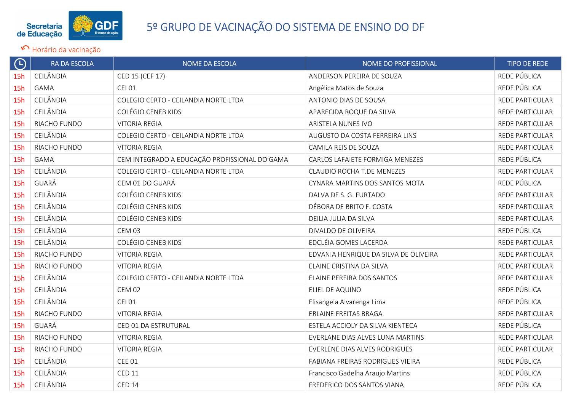

| $\Theta$   | <b>RA DA ESCOLA</b> | NOME DA ESCOLA                                | NOME DO PROFISSIONAL                  | <b>TIPO DE REDE</b> |
|------------|---------------------|-----------------------------------------------|---------------------------------------|---------------------|
| 15h        | CEILÂNDIA           | CED 15 (CEF 17)                               | ANDERSON PEREIRA DE SOUZA             | REDE PÚBLICA        |
| 15h        | <b>GAMA</b>         | <b>CEI 01</b>                                 | Angélica Matos de Souza               | REDE PÚBLICA        |
| 15h        | CEILÂNDIA           | COLEGIO CERTO - CEILANDIA NORTE LTDA          | ANTONIO DIAS DE SOUSA                 | REDE PARTICULAR     |
| 15h        | CEILÂNDIA           | <b>COLÉGIO CENEB KIDS</b>                     | APARECIDA ROQUE DA SILVA              | REDE PARTICULAR     |
| 15h        | RIACHO FUNDO        | <b>VITORIA REGIA</b>                          | ARISTELA NUNES IVO                    | REDE PARTICULAR     |
| 15h        | CEILÂNDIA           | COLEGIO CERTO - CEILANDIA NORTE LTDA          | AUGUSTO DA COSTA FERREIRA LINS        | REDE PARTICULAR     |
| <b>15h</b> | RIACHO FUNDO        | <b>VITORIA REGIA</b>                          | CAMILA REIS DE SOUZA                  | REDE PARTICULAR     |
| 15h        | GAMA                | CEM INTEGRADO A EDUCAÇÃO PROFISSIONAL DO GAMA | CARLOS LAFAIETE FORMIGA MENEZES       | REDE PÚBLICA        |
| 15h        | CEILÂNDIA           | COLEGIO CERTO - CEILANDIA NORTE LTDA          | CLAUDIO ROCHA T.DE MENEZES            | REDE PARTICULAR     |
| 15h        | GUARÁ               | CEM 01 DO GUARÁ                               | CYNARA MARTINS DOS SANTOS MOTA        | REDE PÚBLICA        |
| 15h        | CEILÂNDIA           | <b>COLÉGIO CENEB KIDS</b>                     | DALVA DE S. G. FURTADO                | REDE PARTICULAR     |
| 15h        | CEILÂNDIA           | <b>COLÉGIO CENEB KIDS</b>                     | DÉBORA DE BRITO F. COSTA              | REDE PARTICULAR     |
| 15h        | CEILÂNDIA           | COLÉGIO CENEB KIDS                            | DEILIA JULIA DA SILVA                 | REDE PARTICULAR     |
| 15h        | CEILÂNDIA           | <b>CEM 03</b>                                 | DIVALDO DE OLIVEIRA                   | REDE PÚBLICA        |
| 15h        | CEILÂNDIA           | <b>COLÉGIO CENEB KIDS</b>                     | EDCLÉIA GOMES LACERDA                 | REDE PARTICULAR     |
| 15h        | RIACHO FUNDO        | <b>VITORIA REGIA</b>                          | EDVANIA HENRIQUE DA SILVA DE OLIVEIRA | REDE PARTICULAR     |
| 15h        | RIACHO FUNDO        | <b>VITORIA REGIA</b>                          | ELAINE CRISTINA DA SILVA              | REDE PARTICULAR     |
| 15h        | CEILÂNDIA           | COLEGIO CERTO - CEILANDIA NORTE LTDA          | ELAINE PEREIRA DOS SANTOS             | REDE PARTICULAR     |
| 15h        | CEILÂNDIA           | <b>CEM 02</b>                                 | ELIEL DE AQUINO                       | REDE PÚBLICA        |
| 15h        | CEILÂNDIA           | <b>CEI 01</b>                                 | Elisangela Alvarenga Lima             | REDE PÚBLICA        |
| 15h        | RIACHO FUNDO        | <b>VITORIA REGIA</b>                          | ERLAINE FREITAS BRAGA                 | REDE PARTICULAR     |
| 15h        | GUARÁ               | CED 01 DA ESTRUTURAL                          | ESTELA ACCIOLY DA SILVA KIENTECA      | REDE PÚBLICA        |
| 15h        | RIACHO FUNDO        | <b>VITORIA REGIA</b>                          | EVERLANE DIAS ALVES LUNA MARTINS      | REDE PARTICULAR     |
| 15h        | RIACHO FUNDO        | <b>VITORIA REGIA</b>                          | EVERLENE DIAS ALVES RODRIGUES         | REDE PARTICULAR     |
| 15h        | CEILÂNDIA           | <b>CEE 01</b>                                 | FABIANA FREIRAS RODRIGUES VIEIRA      | REDE PÚBLICA        |
| 15h        | CEILÂNDIA           | <b>CED 11</b>                                 | Francisco Gadelha Araujo Martins      | REDE PÚBLICA        |
| 15h        | CEILÂNDIA           | <b>CED 14</b>                                 | FREDERICO DOS SANTOS VIANA            | REDE PÚBLICA        |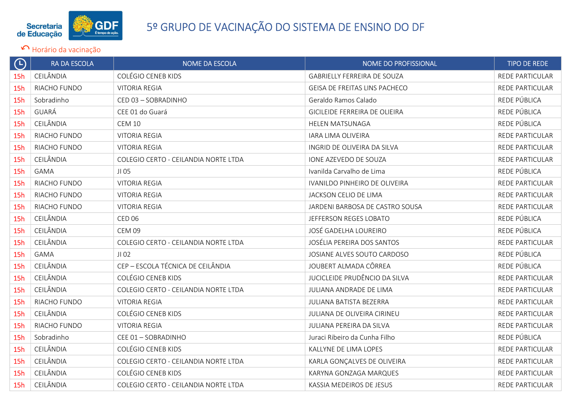

| $\bigoplus$ | RA DA ESCOLA | <b>NOME DA ESCOLA</b>                | NOME DO PROFISSIONAL               | <b>TIPO DE REDE</b>    |
|-------------|--------------|--------------------------------------|------------------------------------|------------------------|
| 15h         | CEILÂNDIA    | <b>COLÉGIO CENEB KIDS</b>            | <b>GABRIELLY FERREIRA DE SOUZA</b> | REDE PARTICULAR        |
| 15h         | RIACHO FUNDO | <b>VITORIA REGIA</b>                 | GEISA DE FREITAS LINS PACHECO      | REDE PARTICULAR        |
| 15h         | Sobradinho   | CED 03 - SOBRADINHO                  | Geraldo Ramos Calado               | REDE PÚBLICA           |
| 15h         | GUARÁ        | CEE 01 do Guará                      | GICILEIDE FERREIRA DE OLIEIRA      | REDE PÚBLICA           |
| 15h         | CEILÂNDIA    | <b>CEM 10</b>                        | <b>HELEN MATSUNAGA</b>             | REDE PÚBLICA           |
| 15h         | RIACHO FUNDO | <b>VITORIA REGIA</b>                 | IARA LIMA OLIVEIRA                 | <b>REDE PARTICULAR</b> |
| 15h         | RIACHO FUNDO | <b>VITORIA REGIA</b>                 | INGRID DE OLIVEIRA DA SILVA        | <b>REDE PARTICULAR</b> |
| 15h         | CEILÂNDIA    | COLEGIO CERTO - CEILANDIA NORTE LTDA | IONE AZEVEDO DE SOUZA              | REDE PARTICULAR        |
| 15h         | <b>GAMA</b>  | JI 05                                | Ivanilda Carvalho de Lima          | REDE PÚBLICA           |
| 15h         | RIACHO FUNDO | <b>VITORIA REGIA</b>                 | IVANILDO PINHEIRO DE OLIVEIRA      | REDE PARTICULAR        |
| 15h         | RIACHO FUNDO | <b>VITORIA REGIA</b>                 | JACKSON CELIO DE LIMA              | REDE PARTICULAR        |
| 15h         | RIACHO FUNDO | <b>VITORIA REGIA</b>                 | JARDENI BARBOSA DE CASTRO SOUSA    | REDE PARTICULAR        |
| 15h         | CEILÂNDIA    | <b>CED 06</b>                        | JEFFERSON REGES LOBATO             | REDE PÚBLICA           |
| 15h         | CEILÂNDIA    | <b>CEM 09</b>                        | JOSÉ GADELHA LOUREIRO              | REDE PÚBLICA           |
| 15h         | CEILÂNDIA    | COLEGIO CERTO - CEILANDIA NORTE LTDA | JOSÉLIA PEREIRA DOS SANTOS         | <b>REDE PARTICULAR</b> |
| 15h         | <b>GAMA</b>  | JI 02                                | JOSIANE ALVES SOUTO CARDOSO        | REDE PÚBLICA           |
| 15h         | CEILÂNDIA    | CEP - ESCOLA TÉCNICA DE CEILÂNDIA    | JOUBERT ALMADA CÔRREA              | REDE PÚBLICA           |
| 15h         | CEILÂNDIA    | <b>COLÉGIO CENEB KIDS</b>            | JUCICLEIDE PRUDÊNCIO DA SILVA      | REDE PARTICULAR        |
| 15h         | CEILÂNDIA    | COLEGIO CERTO - CEILANDIA NORTE LTDA | JULIANA ANDRADE DE LIMA            | REDE PARTICULAR        |
| 15h         | RIACHO FUNDO | <b>VITORIA REGIA</b>                 | JULIANA BATISTA BEZERRA            | <b>REDE PARTICULAR</b> |
| 15h         | CEILÂNDIA    | <b>COLÉGIO CENEB KIDS</b>            | <b>JULIANA DE OLIVEIRA CIRINEU</b> | <b>REDE PARTICULAR</b> |
| 15h         | RIACHO FUNDO | <b>VITORIA REGIA</b>                 | JULIANA PEREIRA DA SILVA           | REDE PARTICULAR        |
| 15h         | Sobradinho   | CEE 01 - SOBRADINHO                  | Juraci Ribeiro da Cunha Filho      | REDE PÚBLICA           |
| 15h         | CEILÂNDIA    | <b>COLÉGIO CENEB KIDS</b>            | KALLYNE DE LIMA LOPES              | REDE PARTICULAR        |
| 15h         | CEILÂNDIA    | COLEGIO CERTO - CEILANDIA NORTE LTDA | KARLA GONÇALVES DE OLIVEIRA        | REDE PARTICULAR        |
| 15h         | CEILÂNDIA    | <b>COLÉGIO CENEB KIDS</b>            | KARYNA GONZAGA MARQUES             | <b>REDE PARTICULAR</b> |
| 15h         | CEILÂNDIA    | COLEGIO CERTO - CEILANDIA NORTE LTDA | KASSIA MEDEIROS DE JESUS           | REDE PARTICULAR        |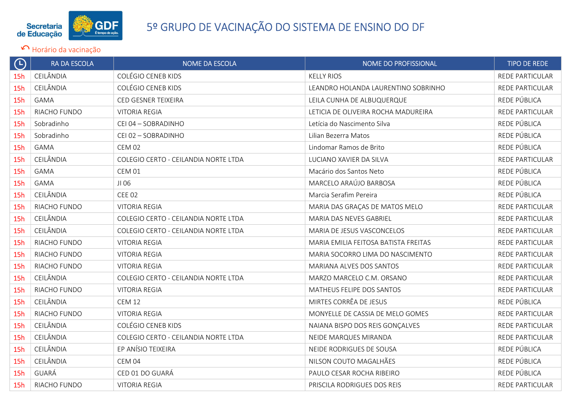

| $\bigoplus$ | <b>RA DA ESCOLA</b> | <b>NOME DA ESCOLA</b>                | NOME DO PROFISSIONAL                 | <b>TIPO DE REDE</b>    |
|-------------|---------------------|--------------------------------------|--------------------------------------|------------------------|
| 15h         | CEILÂNDIA           | <b>COLÉGIO CENEB KIDS</b>            | <b>KELLY RIOS</b>                    | <b>REDE PARTICULAR</b> |
| 15h         | CEILÂNDIA           | <b>COLÉGIO CENEB KIDS</b>            | LEANDRO HOLANDA LAURENTINO SOBRINHO  | <b>REDE PARTICULAR</b> |
| 15h         | <b>GAMA</b>         | CED GESNER TEIXEIRA                  | LEILA CUNHA DE ALBUQUERQUE           | REDE PÚBLICA           |
| 15h         | RIACHO FUNDO        | <b>VITORIA REGIA</b>                 | LETICIA DE OLIVEIRA ROCHA MADUREIRA  | REDE PARTICULAR        |
| 15h         | Sobradinho          | CEI 04 - SOBRADINHO                  | Letícia do Nascimento Silva          | REDE PÚBLICA           |
| 15h         | Sobradinho          | CEI 02 - SOBRADINHO                  | Lilian Bezerra Matos                 | REDE PÚBLICA           |
| 15h         | <b>GAMA</b>         | <b>CEM 02</b>                        | Lindomar Ramos de Brito              | REDE PÚBLICA           |
| 15h         | CEILÂNDIA           | COLEGIO CERTO - CEILANDIA NORTE LTDA | LUCIANO XAVIER DA SILVA              | <b>REDE PARTICULAR</b> |
| 15h         | <b>GAMA</b>         | <b>CEM 01</b>                        | Macário dos Santos Neto              | REDE PÚBLICA           |
| 15h         | <b>GAMA</b>         | JI 06                                | MARCELO ARAÚJO BARBOSA               | REDE PÚBLICA           |
| 15h         | CEILÂNDIA           | <b>CEE 02</b>                        | Marcia Serafim Pereira               | REDE PÚBLICA           |
| 15h         | RIACHO FUNDO        | <b>VITORIA REGIA</b>                 | MARIA DAS GRAÇAS DE MATOS MELO       | REDE PARTICULAR        |
| 15h         | CEILÂNDIA           | COLEGIO CERTO - CEILANDIA NORTE LTDA | MARIA DAS NEVES GABRIEL              | REDE PARTICULAR        |
| 15h         | CEILÂNDIA           | COLEGIO CERTO - CEILANDIA NORTE LTDA | MARIA DE JESUS VASCONCELOS           | <b>REDE PARTICULAR</b> |
| 15h         | RIACHO FUNDO        | <b>VITORIA REGIA</b>                 | MARIA EMILIA FEITOSA BATISTA FREITAS | REDE PARTICULAR        |
| 15h         | RIACHO FUNDO        | <b>VITORIA REGIA</b>                 | MARIA SOCORRO LIMA DO NASCIMENTO     | REDE PARTICULAR        |
| 15h         | RIACHO FUNDO        | <b>VITORIA REGIA</b>                 | <b>MARIANA ALVES DOS SANTOS</b>      | REDE PARTICULAR        |
| 15h         | CEILÂNDIA           | COLEGIO CERTO - CEILANDIA NORTE LTDA | MARZO MARCELO C.M. ORSANO            | REDE PARTICULAR        |
| 15h         | RIACHO FUNDO        | <b>VITORIA REGIA</b>                 | MATHEUS FELIPE DOS SANTOS            | REDE PARTICULAR        |
| 15h         | CEILÂNDIA           | <b>CEM 12</b>                        | MIRTES CORRÊA DE JESUS               | REDE PÚBLICA           |
| 15h         | RIACHO FUNDO        | <b>VITORIA REGIA</b>                 | MONYELLE DE CASSIA DE MELO GOMES     | <b>REDE PARTICULAR</b> |
| 15h         | CEILÂNDIA           | <b>COLÉGIO CENEB KIDS</b>            | NAIANA BISPO DOS REIS GONÇALVES      | <b>REDE PARTICULAR</b> |
| 15h         | CEILÂNDIA           | COLEGIO CERTO - CEILANDIA NORTE LTDA | NEIDE MARQUES MIRANDA                | <b>REDE PARTICULAR</b> |
| 15h         | CEILÂNDIA           | EP ANÍSIO TEIXEIRA                   | NEIDE RODRIGUES DE SOUSA             | REDE PÚBLICA           |
| 15h         | CEILÂNDIA           | <b>CEM 04</b>                        | NILSON COUTO MAGALHÃES               | REDE PÚBLICA           |
| 15h         | GUARÁ               | CED 01 DO GUARÁ                      | PAULO CESAR ROCHA RIBEIRO            | REDE PÚBLICA           |
| 15h         | RIACHO FUNDO        | <b>VITORIA REGIA</b>                 | PRISCILA RODRIGUES DOS REIS          | REDE PARTICULAR        |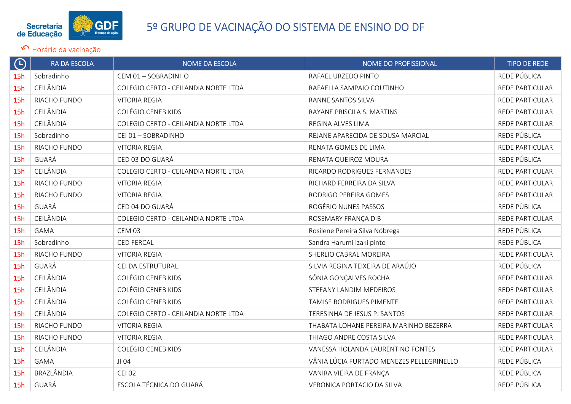

| $\bigoplus$ | <b>RA DA ESCOLA</b> | <b>NOME DA ESCOLA</b>                | NOME DO PROFISSIONAL                      | <b>TIPO DE REDE</b>    |
|-------------|---------------------|--------------------------------------|-------------------------------------------|------------------------|
| 15h         | Sobradinho          | CEM 01 - SOBRADINHO                  | RAFAEL URZEDO PINTO                       | REDE PÚBLICA           |
| 15h         | CEILÂNDIA           | COLEGIO CERTO - CEILANDIA NORTE LTDA | RAFAELLA SAMPAIO COUTINHO                 | <b>REDE PARTICULAR</b> |
| 15h         | RIACHO FUNDO        | <b>VITORIA REGIA</b>                 | RANNE SANTOS SILVA                        | <b>REDE PARTICULAR</b> |
| 15h         | CEILÂNDIA           | <b>COLÉGIO CENEB KIDS</b>            | RAYANE PRISCILA S. MARTINS                | <b>REDE PARTICULAR</b> |
| 15h         | CEILÂNDIA           | COLEGIO CERTO - CEILANDIA NORTE LTDA | REGINA ALVES LIMA                         | <b>REDE PARTICULAR</b> |
| 15h         | Sobradinho          | CEI 01 - SOBRADINHO                  | REJANE APARECIDA DE SOUSA MARCIAL         | REDE PÚBLICA           |
| 15h         | RIACHO FUNDO        | <b>VITORIA REGIA</b>                 | RENATA GOMES DE LIMA                      | REDE PARTICULAR        |
| 15h         | GUARÁ               | CED 03 DO GUARÁ                      | RENATA QUEIROZ MOURA                      | REDE PÚBLICA           |
| 15h         | CEILÂNDIA           | COLEGIO CERTO - CEILANDIA NORTE LTDA | RICARDO RODRIGUES FERNANDES               | REDE PARTICULAR        |
| 15h         | RIACHO FUNDO        | <b>VITORIA REGIA</b>                 | RICHARD FERREIRA DA SILVA                 | <b>REDE PARTICULAR</b> |
| 15h         | RIACHO FUNDO        | <b>VITORIA REGIA</b>                 | RODRIGO PEREIRA GOMES                     | <b>REDE PARTICULAR</b> |
| 15h         | GUARÁ               | CED 04 DO GUARÁ                      | ROGÉRIO NUNES PASSOS                      | REDE PÚBLICA           |
| 15h         | CEILÂNDIA           | COLEGIO CERTO - CEILANDIA NORTE LTDA | ROSEMARY FRANÇA DIB                       | <b>REDE PARTICULAR</b> |
| 15h         | <b>GAMA</b>         | CEM 03                               | Rosilene Pereira Silva Nóbrega            | REDE PÚBLICA           |
| 15h         | Sobradinho          | <b>CED FERCAL</b>                    | Sandra Harumi Izaki pinto                 | REDE PÚBLICA           |
| 15h         | RIACHO FUNDO        | <b>VITORIA REGIA</b>                 | SHERLIO CABRAL MOREIRA                    | REDE PARTICULAR        |
| 15h         | GUARÁ               | CEI DA ESTRUTURAL                    | SILVIA REGINA TEIXEIRA DE ARAÚJO          | REDE PÚBLICA           |
| 15h         | CEILÂNDIA           | <b>COLÉGIO CENEB KIDS</b>            | SÔNIA GONÇALVES ROCHA                     | <b>REDE PARTICULAR</b> |
| 15h         | CEILÂNDIA           | <b>COLÉGIO CENEB KIDS</b>            | STEFANY LANDIM MEDEIROS                   | <b>REDE PARTICULAR</b> |
| 15h         | CEILÂNDIA           | <b>COLÉGIO CENEB KIDS</b>            | TAMISE RODRIGUES PIMENTEL                 | <b>REDE PARTICULAR</b> |
| 15h         | CEILÂNDIA           | COLEGIO CERTO - CEILANDIA NORTE LTDA | TERESINHA DE JESUS P. SANTOS              | REDE PARTICULAR        |
| 15h         | RIACHO FUNDO        | <b>VITORIA REGIA</b>                 | THABATA LOHANE PEREIRA MARINHO BEZERRA    | REDE PARTICULAR        |
| 15h         | RIACHO FUNDO        | <b>VITORIA REGIA</b>                 | THIAGO ANDRE COSTA SILVA                  | <b>REDE PARTICULAR</b> |
| 15h         | CEILÂNDIA           | <b>COLÉGIO CENEB KIDS</b>            | VANESSA HOLANDA LAURENTINO FONTES         | <b>REDE PARTICULAR</b> |
| 15h         | <b>GAMA</b>         | JI 04                                | VÂNIA LÚCIA FURTADO MENEZES PELLEGRINELLO | REDE PÚBLICA           |
| 15h         | BRAZLÂNDIA          | <b>CEI 02</b>                        | VANIRA VIEIRA DE FRANÇA                   | REDE PÚBLICA           |
| 15h         | GUARÁ               | ESCOLA TÉCNICA DO GUARÁ              | VERONICA PORTACIO DA SILVA                | REDE PÚBLICA           |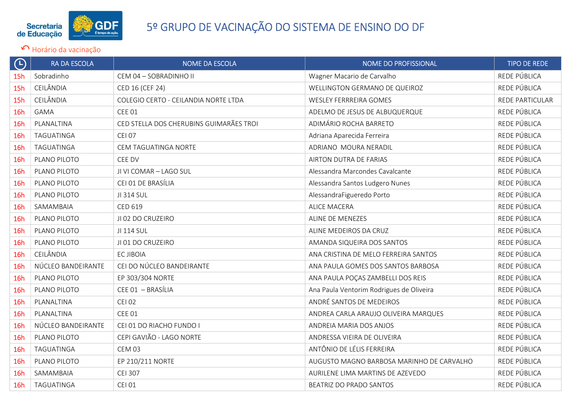

| $\bigoplus$ | <b>RA DA ESCOLA</b> | <b>NOME DA ESCOLA</b>                   | NOME DO PROFISSIONAL                      | <b>TIPO DE REDE</b>    |
|-------------|---------------------|-----------------------------------------|-------------------------------------------|------------------------|
| 15h         | Sobradinho          | CEM 04 - SOBRADINHO II                  | Wagner Macario de Carvalho                | REDE PÚBLICA           |
| 15h         | CEILÂNDIA           | CED 16 (CEF 24)                         | WELLINGTON GERMANO DE QUEIROZ             | REDE PÚBLICA           |
| 15h         | CEILÂNDIA           | COLEGIO CERTO - CEILANDIA NORTE LTDA    | <b>WESLEY FERRREIRA GOMES</b>             | <b>REDE PARTICULAR</b> |
| 16h         | <b>GAMA</b>         | <b>CEE 01</b>                           | ADELMO DE JESUS DE ALBUQUERQUE            | REDE PÚBLICA           |
| 16h         | PLANALTINA          | CED STELLA DOS CHERUBINS GUIMARÃES TROI | ADIMÁRIO ROCHA BARRETO                    | REDE PÚBLICA           |
| <b>16h</b>  | TAGUATINGA          | <b>CEI 07</b>                           | Adriana Aparecida Ferreira                | REDE PÚBLICA           |
| <b>16h</b>  | TAGUATINGA          | CEM TAGUATINGA NORTE                    | ADRIANO MOURA NERADIL                     | REDE PÚBLICA           |
| 16h         | PLANO PILOTO        | CEE DV                                  | AIRTON DUTRA DE FARIAS                    | REDE PÚBLICA           |
| 16h         | PLANO PILOTO        | JI VI COMAR - LAGO SUL                  | Alessandra Marcondes Cavalcante           | REDE PÚBLICA           |
| 16h         | PLANO PILOTO        | CEI 01 DE BRASÍLIA                      | Alessandra Santos Ludgero Nunes           | REDE PÚBLICA           |
| 16h         | PLANO PILOTO        | JI 314 SUL                              | AlessandraFigueredo Porto                 | REDE PÚBLICA           |
| 16h         | SAMAMBAIA           | CED 619                                 | <b>ALICE MACERA</b>                       | REDE PÚBLICA           |
| 16h         | PLANO PILOTO        | JI 02 DO CRUZEIRO                       | ALINE DE MENEZES                          | REDE PÚBLICA           |
| 16h         | PLANO PILOTO        | JI 114 SUL                              | ALINE MEDEIROS DA CRUZ                    | REDE PÚBLICA           |
| 16h         | PLANO PILOTO        | JI 01 DO CRUZEIRO                       | AMANDA SIQUEIRA DOS SANTOS                | REDE PÚBLICA           |
| 16h         | CEILÂNDIA           | EC JIBOIA                               | ANA CRISTINA DE MELO FERREIRA SANTOS      | REDE PÚBLICA           |
| 16h         | NÚCLEO BANDEIRANTE  | CEI DO NÚCLEO BANDEIRANTE               | ANA PAULA GOMES DOS SANTOS BARBOSA        | REDE PÚBLICA           |
| <b>16h</b>  | PLANO PILOTO        | EP 303/304 NORTE                        | ANA PAULA POÇAS ZAMBELLI DOS REIS         | REDE PÚBLICA           |
| <b>16h</b>  | PLANO PILOTO        | CEE 01 - BRASÍLIA                       | Ana Paula Ventorim Rodrigues de Oliveira  | REDE PÚBLICA           |
| 16h         | PLANALTINA          | <b>CEI 02</b>                           | ANDRÉ SANTOS DE MEDEIROS                  | REDE PÚBLICA           |
| 16h         | PLANALTINA          | <b>CEE 01</b>                           | ANDREA CARLA ARAUJO OLIVEIRA MARQUES      | REDE PÚBLICA           |
| 16h         | NÚCLEO BANDEIRANTE  | CEI 01 DO RIACHO FUNDO I                | ANDREIA MARIA DOS ANJOS                   | REDE PÚBLICA           |
| 16h         | PLANO PILOTO        | CEPI GAVIÃO - LAGO NORTE                | ANDRESSA VIEIRA DE OLIVEIRA               | REDE PÚBLICA           |
| <b>16h</b>  | TAGUATINGA          | CEM 03                                  | ANTÔNIO DE LÉLIS FERREIRA                 | REDE PÚBLICA           |
| <b>16h</b>  | PLANO PILOTO        | EP 210/211 NORTE                        | AUGUSTO MAGNO BARBOSA MARINHO DE CARVALHO | REDE PÚBLICA           |
| 16h         | SAMAMBAIA           | <b>CEI 307</b>                          | AURILENE LIMA MARTINS DE AZEVEDO          | REDE PÚBLICA           |
| 16h         | TAGUATINGA          | <b>CEI 01</b>                           | <b>BEATRIZ DO PRADO SANTOS</b>            | REDE PÚBLICA           |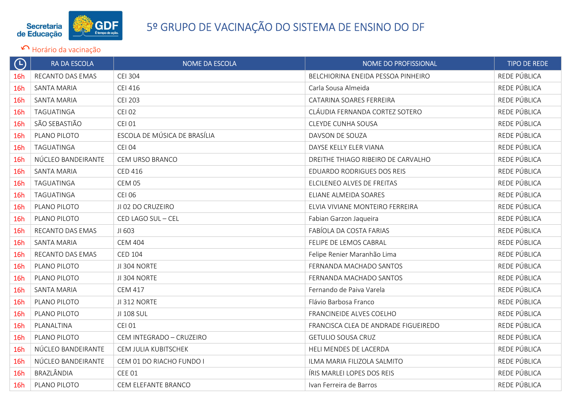

| $\Theta$ | RA DA ESCOLA       | NOME DA ESCOLA               | NOME DO PROFISSIONAL                 | <b>TIPO DE REDE</b> |
|----------|--------------------|------------------------------|--------------------------------------|---------------------|
| 16h      | RECANTO DAS EMAS   | <b>CEI 304</b>               | BELCHIORINA ENEIDA PESSOA PINHEIRO   | REDE PÚBLICA        |
| 16h      | <b>SANTA MARIA</b> | <b>CEI 416</b>               | Carla Sousa Almeida                  | REDE PÚBLICA        |
| 16h      | <b>SANTA MARIA</b> | <b>CEI 203</b>               | CATARINA SOARES FERREIRA             | REDE PÚBLICA        |
| 16h      | TAGUATINGA         | <b>CEI 02</b>                | CLÁUDIA FERNANDA CORTEZ SOTERO       | REDE PÚBLICA        |
| 16h      | SÃO SEBASTIÃO      | <b>CEI 01</b>                | <b>CLEYDE CUNHA SOUSA</b>            | REDE PÚBLICA        |
| 16h      | PLANO PILOTO       | ESCOLA DE MÚSICA DE BRASÍLIA | DAVSON DE SOUZA                      | REDE PÚBLICA        |
| 16h      | TAGUATINGA         | <b>CEI 04</b>                | DAYSE KELLY ELER VIANA               | REDE PÚBLICA        |
| 16h      | NÚCLEO BANDEIRANTE | CEM URSO BRANCO              | DREITHE THIAGO RIBEIRO DE CARVALHO   | REDE PÚBLICA        |
| 16h      | <b>SANTA MARIA</b> | <b>CED 416</b>               | EDUARDO RODRIGUES DOS REIS           | REDE PÚBLICA        |
| 16h      | TAGUATINGA         | <b>CEM 05</b>                | ELCILENEO ALVES DE FREITAS           | REDE PÚBLICA        |
| 16h      | TAGUATINGA         | <b>CEI 06</b>                | ELIANE ALMEIDA SOARES                | REDE PÚBLICA        |
| 16h      | PLANO PILOTO       | JI 02 DO CRUZEIRO            | ELVIA VIVIANE MONTEIRO FERREIRA      | REDE PÚBLICA        |
| 16h      | PLANO PILOTO       | CED LAGO SUL - CEL           | Fabian Garzon Jaqueira               | REDE PÚBLICA        |
| 16h      | RECANTO DAS EMAS   | JI 603                       | FABÍOLA DA COSTA FARIAS              | REDE PÚBLICA        |
| 16h      | <b>SANTA MARIA</b> | <b>CEM 404</b>               | FELIPE DE LEMOS CABRAL               | REDE PÚBLICA        |
| 16h      | RECANTO DAS EMAS   | <b>CED 104</b>               | Felipe Renier Maranhão Lima          | REDE PÚBLICA        |
| 16h      | PLANO PILOTO       | JI 304 NORTE                 | FERNANDA MACHADO SANTOS              | REDE PÚBLICA        |
| 16h      | PLANO PILOTO       | JI 304 NORTE                 | FERNANDA MACHADO SANTOS              | REDE PÚBLICA        |
| 16h      | <b>SANTA MARIA</b> | <b>CEM 417</b>               | Fernando de Paiva Varela             | REDE PÚBLICA        |
| 16h      | PLANO PILOTO       | JI 312 NORTE                 | Flávio Barbosa Franco                | REDE PÚBLICA        |
| 16h      | PLANO PILOTO       | JI 108 SUL                   | FRANCINEIDE ALVES COELHO             | REDE PÚBLICA        |
| 16h      | PLANALTINA         | <b>CEI 01</b>                | FRANCISCA CLEA DE ANDRADE FIGUEIREDO | REDE PÚBLICA        |
| 16h      | PLANO PILOTO       | CEM INTEGRADO - CRUZEIRO     | <b>GETULIO SOUSA CRUZ</b>            | REDE PÚBLICA        |
| 16h      | NÚCLEO BANDEIRANTE | CEM JULIA KUBITSCHEK         | HELI MENDES DE LACERDA               | REDE PÚBLICA        |
| 16h      | NÚCLEO BANDEIRANTE | CEM 01 DO RIACHO FUNDO I     | ILMA MARIA FILIZOLA SALMITO          | REDE PÚBLICA        |
| 16h      | BRAZLÂNDIA         | <b>CEE 01</b>                | ÍRIS MARLEI LOPES DOS REIS           | REDE PÚBLICA        |
| 16h      | PLANO PILOTO       | CEM ELEFANTE BRANCO          | Ivan Ferreira de Barros              | REDE PÚBLICA        |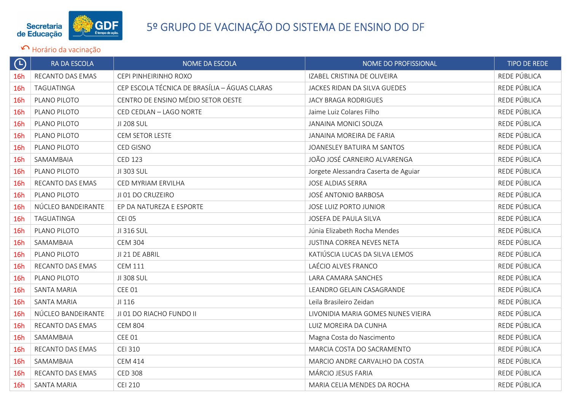

| $\Theta$   | RA DA ESCOLA       | NOME DA ESCOLA                                | NOME DO PROFISSIONAL                 | <b>TIPO DE REDE</b> |
|------------|--------------------|-----------------------------------------------|--------------------------------------|---------------------|
| 16h        | RECANTO DAS EMAS   | CEPI PINHEIRINHO ROXO                         | IZABEL CRISTINA DE OLIVEIRA          | REDE PÚBLICA        |
| 16h        | TAGUATINGA         | CEP ESCOLA TÉCNICA DE BRASÍLIA - ÁGUAS CLARAS | JACKES RIDAN DA SILVA GUEDES         | REDE PÚBLICA        |
| 16h        | PLANO PILOTO       | CENTRO DE ENSINO MÉDIO SETOR OESTE            | <b>JACY BRAGA RODRIGUES</b>          | REDE PÚBLICA        |
| 16h        | PLANO PILOTO       | CED CEDLAN - LAGO NORTE                       | Jaime Luiz Colares Filho             | REDE PÚBLICA        |
| 16h        | PLANO PILOTO       | JI 208 SUL                                    | <b>JANAINA MONICI SOUZA</b>          | REDE PÚBLICA        |
| 16h        | PLANO PILOTO       | CEM SETOR LESTE                               | JANAINA MOREIRA DE FARIA             | REDE PÚBLICA        |
| 16h        | PLANO PILOTO       | CED GISNO                                     | JOANESLEY BATUIRA M SANTOS           | REDE PÚBLICA        |
| 16h        | SAMAMBAIA          | <b>CED 123</b>                                | JOÃO JOSÉ CARNEIRO ALVARENGA         | REDE PÚBLICA        |
| 16h        | PLANO PILOTO       | JI 303 SUL                                    | Jorgete Alessandra Caserta de Aguiar | REDE PÚBLICA        |
| 16h        | RECANTO DAS EMAS   | CED MYRIAM ERVILHA                            | <b>JOSE ALDIAS SERRA</b>             | REDE PÚBLICA        |
| 16h        | PLANO PILOTO       | JI 01 DO CRUZEIRO                             | <b>JOSÉ ANTONIO BARBOSA</b>          | REDE PÚBLICA        |
| <b>16h</b> | NÚCLEO BANDEIRANTE | EP DA NATUREZA E ESPORTE                      | <b>JOSE LUIZ PORTO JUNIOR</b>        | REDE PÚBLICA        |
| 16h        | TAGUATINGA         | <b>CEI 05</b>                                 | JOSEFA DE PAULA SILVA                | REDE PÚBLICA        |
| 16h        | PLANO PILOTO       | JI 316 SUL                                    | Júnia Elizabeth Rocha Mendes         | REDE PÚBLICA        |
| 16h        | SAMAMBAIA          | <b>CEM 304</b>                                | <b>JUSTINA CORREA NEVES NETA</b>     | REDE PÚBLICA        |
| 16h        | PLANO PILOTO       | JI 21 DE ABRIL                                | KATIÚSCIA LUCAS DA SILVA LEMOS       | REDE PÚBLICA        |
| 16h        | RECANTO DAS EMAS   | <b>CEM 111</b>                                | LAÉCIO ALVES FRANCO                  | REDE PÚBLICA        |
| 16h        | PLANO PILOTO       | JI 308 SUL                                    | LARA CAMARA SANCHES                  | REDE PÚBLICA        |
| 16h        | <b>SANTA MARIA</b> | <b>CEE 01</b>                                 | LEANDRO GELAIN CASAGRANDE            | REDE PÚBLICA        |
| 16h        | <b>SANTA MARIA</b> | JI 116                                        | Leila Brasileiro Zeidan              | REDE PÚBLICA        |
| 16h        | NÚCLEO BANDEIRANTE | JI 01 DO RIACHO FUNDO II                      | LIVONIDIA MARIA GOMES NUNES VIEIRA   | REDE PÚBLICA        |
| 16h        | RECANTO DAS EMAS   | <b>CEM 804</b>                                | LUIZ MOREIRA DA CUNHA                | REDE PÚBLICA        |
| 16h        | SAMAMBAIA          | <b>CEE 01</b>                                 | Magna Costa do Nascimento            | REDE PÚBLICA        |
| 16h        | RECANTO DAS EMAS   | <b>CEI 310</b>                                | MARCIA COSTA DO SACRAMENTO           | REDE PÚBLICA        |
| 16h        | SAMAMBAIA          | <b>CEM 414</b>                                | MARCIO ANDRE CARVALHO DA COSTA       | REDE PÚBLICA        |
| 16h        | RECANTO DAS EMAS   | <b>CED 308</b>                                | MÁRCIO JESUS FARIA                   | REDE PÚBLICA        |
| 16h        | <b>SANTA MARIA</b> | <b>CEI 210</b>                                | MARIA CELIA MENDES DA ROCHA          | REDE PÚBLICA        |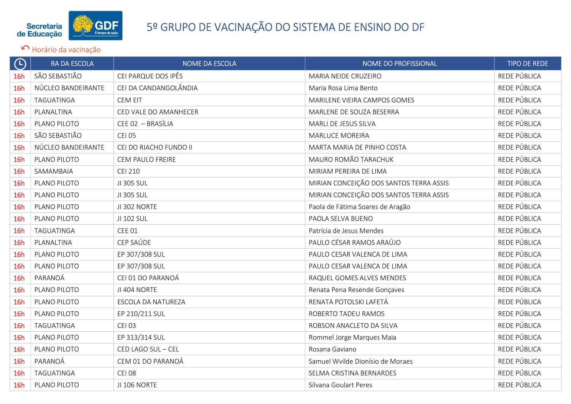

| $\Theta$   | RA DA ESCOLA       | <b>NOME DA ESCOLA</b>   | NOME DO PROFISSIONAL                    | <b>TIPO DE REDE</b> |
|------------|--------------------|-------------------------|-----------------------------------------|---------------------|
| 16h        | SÃO SEBASTIÃO      | CEI PARQUE DOS IPÊS     | MARIA NEIDE CRUZEIRO                    | REDE PÚBLICA        |
| 16h        | NÚCLEO BANDEIRANTE | CEI DA CANDANGOLÂNDIA   | Maria Rosa Lima Bento                   | REDE PÚBLICA        |
| <b>16h</b> | TAGUATINGA         | <b>CEM EIT</b>          | MARILENE VIEIRA CAMPOS GOMES            | REDE PÚBLICA        |
| <b>16h</b> | PLANALTINA         | CED VALE DO AMANHECER   | MARLENE DE SOUZA BESERRA                | REDE PÚBLICA        |
| 16h        | PLANO PILOTO       | CEE 02 - BRASÍLIA       | MARLI DE JESUS SILVA                    | REDE PÚBLICA        |
| <b>16h</b> | SÃO SEBASTIÃO      | <b>CEI 05</b>           | <b>MARLUCE MOREIRA</b>                  | REDE PÚBLICA        |
| <b>16h</b> | NÚCLEO BANDEIRANTE | CEI DO RIACHO FUNDO II  | MARTA MARIA DE PINHO COSTA              | REDE PÚBLICA        |
| 16h        | PLANO PILOTO       | <b>CEM PAULO FREIRE</b> | MAURO ROMÃO TARACHUK                    | REDE PÚBLICA        |
| 16h        | SAMAMBAIA          | <b>CEI 210</b>          | MIRIAM PEREIRA DE LIMA                  | REDE PÚBLICA        |
| 16h        | PLANO PILOTO       | JI 305 SUL              | MIRIAN CONCEIÇÃO DOS SANTOS TERRA ASSIS | REDE PÚBLICA        |
| 16h        | PLANO PILOTO       | JI 305 SUL              | MIRIAN CONCEIÇÃO DOS SANTOS TERRA ASSIS | REDE PÚBLICA        |
| 16h        | PLANO PILOTO       | JI 302 NORTE            | Paola de Fátima Soares de Aragão        | REDE PÚBLICA        |
| <b>16h</b> | PLANO PILOTO       | JI 102 SUL              | PAOLA SELVA BUENO                       | REDE PÚBLICA        |
| 16h        | TAGUATINGA         | <b>CEE 01</b>           | Patrícia de Jesus Mendes                | REDE PÚBLICA        |
| 16h        | PLANALTINA         | CEP SAÚDE               | PAULO CÉSAR RAMOS ARAÚJO                | REDE PÚBLICA        |
| 16h        | PLANO PILOTO       | EP 307/308 SUL          | PAULO CESAR VALENCA DE LIMA             | REDE PÚBLICA        |
| 16h        | PLANO PILOTO       | EP 307/308 SUL          | PAULO CESAR VALENCA DE LIMA             | REDE PÚBLICA        |
| 16h        | PARANOÁ            | CEI 01 DO PARANOÁ       | RAQUEL GOMES ALVES MENDES               | REDE PÚBLICA        |
| <b>16h</b> | PLANO PILOTO       | JI 404 NORTE            | Renata Pena Resende Gonçaves            | REDE PÚBLICA        |
| 16h        | PLANO PILOTO       | ESCOLA DA NATUREZA      | RENATA POTOLSKI LAFETÁ                  | REDE PÚBLICA        |
| 16h        | PLANO PILOTO       | EP 210/211 SUL          | ROBERTO TADEU RAMOS                     | REDE PÚBLICA        |
| <b>16h</b> | TAGUATINGA         | <b>CEI 03</b>           | ROBSON ANACLETO DA SILVA                | REDE PÚBLICA        |
| 16h        | PLANO PILOTO       | EP 313/314 SUL          | Rommel Jorge Marques Maia               | REDE PÚBLICA        |
| 16h        | PLANO PILOTO       | CED LAGO SUL - CEL      | Rosana Gaviano                          | REDE PÚBLICA        |
| <b>16h</b> | PARANOÁ            | CEM 01 DO PARANOÁ       | Samuel Wvilde Dionísio de Moraes        | REDE PÚBLICA        |
| 16h        | TAGUATINGA         | <b>CEI 08</b>           | SELMA CRISTINA BERNARDES                | REDE PÚBLICA        |
| 16h        | PLANO PILOTO       | JI 106 NORTE            | Silvana Goulart Peres                   | REDE PÚBLICA        |